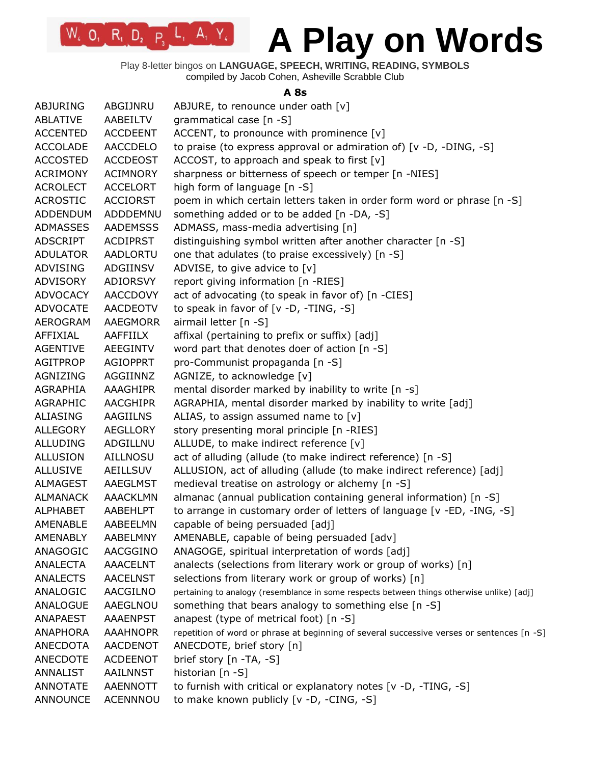Play 8-letter bingos on **LANGUAGE, SPEECH, WRITING, READING, SYMBOLS** compiled by Jacob Cohen, Asheville Scrabble Club

 $W_2$  O<sub>1</sub> R<sub>1</sub> D<sub>2</sub> P<sub>3</sub> L<sub>1</sub> A<sub>1</sub> Y<sub>4</sub>

#### **A 8s**

| ABJURING        | ABGIJNRU        | ABJURE, to renounce under oath [v]                                                         |
|-----------------|-----------------|--------------------------------------------------------------------------------------------|
| <b>ABLATIVE</b> | AABEILTV        | grammatical case [n -S]                                                                    |
| <b>ACCENTED</b> | <b>ACCDEENT</b> | ACCENT, to pronounce with prominence [v]                                                   |
| <b>ACCOLADE</b> | <b>AACCDELO</b> | to praise (to express approval or admiration of) [v -D, -DING, -S]                         |
| <b>ACCOSTED</b> | <b>ACCDEOST</b> | ACCOST, to approach and speak to first [v]                                                 |
| <b>ACRIMONY</b> | ACIMNORY        | sharpness or bitterness of speech or temper [n -NIES]                                      |
| <b>ACROLECT</b> | <b>ACCELORT</b> | high form of language [n -S]                                                               |
| <b>ACROSTIC</b> | <b>ACCIORST</b> | poem in which certain letters taken in order form word or phrase [n -S]                    |
| <b>ADDENDUM</b> | ADDDEMNU        | something added or to be added [n -DA, -S]                                                 |
| <b>ADMASSES</b> | <b>AADEMSSS</b> | ADMASS, mass-media advertising [n]                                                         |
| ADSCRIPT        | <b>ACDIPRST</b> | distinguishing symbol written after another character [n -S]                               |
| <b>ADULATOR</b> | AADLORTU        | one that adulates (to praise excessively) [n -S]                                           |
| ADVISING        | ADGIINSV        | ADVISE, to give advice to [v]                                                              |
| <b>ADVISORY</b> | ADIORSVY        | report giving information [n -RIES]                                                        |
| <b>ADVOCACY</b> | <b>AACCDOVY</b> | act of advocating (to speak in favor of) [n -CIES]                                         |
| <b>ADVOCATE</b> | <b>AACDEOTV</b> | to speak in favor of [v -D, -TING, -S]                                                     |
| AEROGRAM        | <b>AAEGMORR</b> | airmail letter [n -S]                                                                      |
| AFFIXIAL        | <b>AAFFIILX</b> | affixal (pertaining to prefix or suffix) [adj]                                             |
| <b>AGENTIVE</b> | AEEGINTV        | word part that denotes doer of action [n -S]                                               |
| <b>AGITPROP</b> | <b>AGIOPPRT</b> | pro-Communist propaganda [n -S]                                                            |
| <b>AGNIZING</b> | AGGIINNZ        | AGNIZE, to acknowledge [v]                                                                 |
| AGRAPHIA        | AAAGHIPR        | mental disorder marked by inability to write [n -s]                                        |
| <b>AGRAPHIC</b> | <b>AACGHIPR</b> | AGRAPHIA, mental disorder marked by inability to write [adj]                               |
| ALIASING        | AAGIILNS        | ALIAS, to assign assumed name to $[v]$                                                     |
| <b>ALLEGORY</b> | AEGLLORY        | story presenting moral principle [n -RIES]                                                 |
| <b>ALLUDING</b> | ADGILLNU        | ALLUDE, to make indirect reference [v]                                                     |
| <b>ALLUSION</b> | AILLNOSU        | act of alluding (allude (to make indirect reference) [n -S]                                |
| <b>ALLUSIVE</b> | <b>AEILLSUV</b> | ALLUSION, act of alluding (allude (to make indirect reference) [adj]                       |
| ALMAGEST        | AAEGLMST        | medieval treatise on astrology or alchemy [n -S]                                           |
| <b>ALMANACK</b> | AAACKLMN        | almanac (annual publication containing general information) [n -S]                         |
| <b>ALPHABET</b> | AABEHLPT        | to arrange in customary order of letters of language [v -ED, -ING, -S]                     |
| AMENABLE        | AABEELMN        | capable of being persuaded [adj]                                                           |
| AMENABLY        | AABELMNY        | AMENABLE, capable of being persuaded [adv]                                                 |
| ANAGOGIC        | AACGGINO        | ANAGOGE, spiritual interpretation of words [adj]                                           |
| <b>ANALECTA</b> | <b>AAACELNT</b> | analects (selections from literary work or group of works) [n]                             |
| <b>ANALECTS</b> | <b>AACELNST</b> | selections from literary work or group of works) [n]                                       |
| ANALOGIC        | AACGILNO        | pertaining to analogy (resemblance in some respects between things otherwise unlike) [adj] |
| ANALOGUE        | AAEGLNOU        | something that bears analogy to something else [n -S]                                      |
| ANAPAEST        | <b>AAAENPST</b> | anapest (type of metrical foot) [n -S]                                                     |
| ANAPHORA        | <b>AAAHNOPR</b> | repetition of word or phrase at beginning of several successive verses or sentences [n -S] |
| ANECDOTA        | <b>AACDENOT</b> | ANECDOTE, brief story [n]                                                                  |
| ANECDOTE        | <b>ACDEENOT</b> | brief story [n -TA, -S]                                                                    |
| ANNALIST        | AAILNNST        | historian [n -S]                                                                           |
| <b>ANNOTATE</b> | <b>AAENNOTT</b> | to furnish with critical or explanatory notes [v -D, -TING, -S]                            |
| ANNOUNCE        | <b>ACENNNOU</b> | to make known publicly [v -D, -CING, -S]                                                   |
|                 |                 |                                                                                            |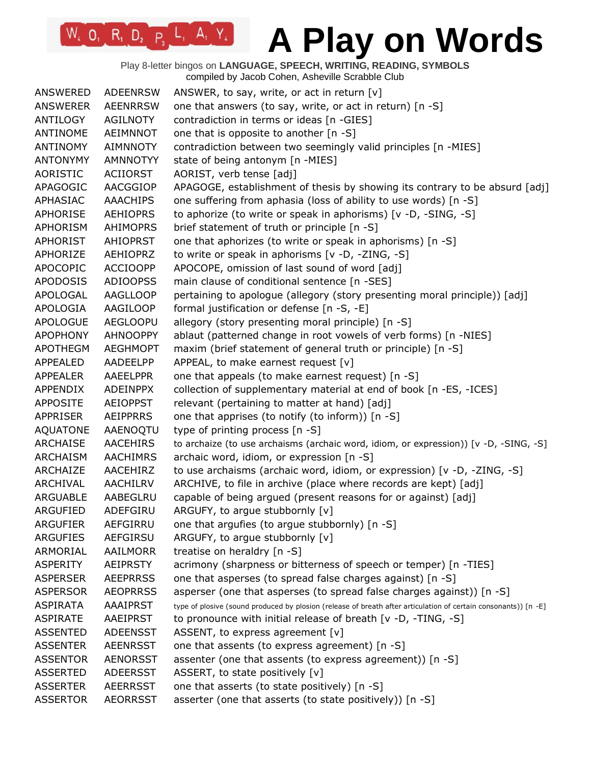Play 8-letter bingos on **LANGUAGE, SPEECH, WRITING, READING, SYMBOLS** compiled by Jacob Cohen, Asheville Scrabble Club

| <b>ANSWERED</b> | <b>ADEENRSW</b> | ANSWER, to say, write, or act in return $[v]$                                                                   |
|-----------------|-----------------|-----------------------------------------------------------------------------------------------------------------|
| ANSWERER        | <b>AEENRRSW</b> | one that answers (to say, write, or act in return) [n -S]                                                       |
| ANTILOGY        | <b>AGILNOTY</b> | contradiction in terms or ideas [n -GIES]                                                                       |
| ANTINOME        | AEIMNNOT        | one that is opposite to another [n -S]                                                                          |
| ANTINOMY        | <b>AIMNNOTY</b> | contradiction between two seemingly valid principles [n -MIES]                                                  |
| <b>ANTONYMY</b> | AMNNOTYY        | state of being antonym [n -MIES]                                                                                |
| AORISTIC        | <b>ACIIORST</b> | AORIST, verb tense [adj]                                                                                        |
| APAGOGIC        | AACGGIOP        | APAGOGE, establishment of thesis by showing its contrary to be absurd [adj]                                     |
| APHASIAC        | <b>AAACHIPS</b> | one suffering from aphasia (loss of ability to use words) [n -S]                                                |
| <b>APHORISE</b> | <b>AEHIOPRS</b> | to aphorize (to write or speak in aphorisms) [v -D, -SING, -S]                                                  |
| APHORISM        | <b>AHIMOPRS</b> | brief statement of truth or principle [n -S]                                                                    |
| <b>APHORIST</b> | <b>AHIOPRST</b> | one that aphorizes (to write or speak in aphorisms) [n -S]                                                      |
| APHORIZE        | <b>AEHIOPRZ</b> | to write or speak in aphorisms [v -D, -ZING, -S]                                                                |
| <b>APOCOPIC</b> | <b>ACCIOOPP</b> | APOCOPE, omission of last sound of word [adj]                                                                   |
| <b>APODOSIS</b> | <b>ADIOOPSS</b> | main clause of conditional sentence [n -SES]                                                                    |
| APOLOGAL        | <b>AAGLLOOP</b> | pertaining to apologue (allegory (story presenting moral principle)) [adj]                                      |
| APOLOGIA        | AAGILOOP        | formal justification or defense [n -S, -E]                                                                      |
| <b>APOLOGUE</b> | <b>AEGLOOPU</b> | allegory (story presenting moral principle) [n -S]                                                              |
| <b>APOPHONY</b> | <b>AHNOOPPY</b> | ablaut (patterned change in root vowels of verb forms) [n -NIES]                                                |
| APOTHEGM        | <b>AEGHMOPT</b> | maxim (brief statement of general truth or principle) [n -S]                                                    |
| APPEALED        | AADEELPP        | APPEAL, to make earnest request [v]                                                                             |
| <b>APPEALER</b> | <b>AAEELPPR</b> | one that appeals (to make earnest request) [n -S]                                                               |
| APPENDIX        | <b>ADEINPPX</b> | collection of supplementary material at end of book [n -ES, -ICES]                                              |
| <b>APPOSITE</b> | <b>AEIOPPST</b> | relevant (pertaining to matter at hand) [adj]                                                                   |
| <b>APPRISER</b> | <b>AEIPPRRS</b> | one that apprises (to notify (to inform)) [n -S]                                                                |
| <b>AQUATONE</b> | AAENOQTU        | type of printing process [n -S]                                                                                 |
| <b>ARCHAISE</b> | <b>AACEHIRS</b> | to archaize (to use archaisms (archaic word, idiom, or expression)) [v -D, -SING, -S]                           |
| <b>ARCHAISM</b> | <b>AACHIMRS</b> | archaic word, idiom, or expression [n -S]                                                                       |
| ARCHAIZE        | AACEHIRZ        | to use archaisms (archaic word, idiom, or expression) [v -D, -ZING, -S]                                         |
| ARCHIVAL        | <b>AACHILRV</b> | ARCHIVE, to file in archive (place where records are kept) [adj]                                                |
| ARGUABLE        | AABEGLRU        | capable of being argued (present reasons for or against) [adj]                                                  |
| <b>ARGUFIED</b> | ADEFGIRU        | ARGUFY, to argue stubbornly [v]                                                                                 |
| <b>ARGUFIER</b> | AEFGIRRU        | one that argufies (to argue stubbornly) [n -S]                                                                  |
| <b>ARGUFIES</b> | AEFGIRSU        | ARGUFY, to argue stubbornly [v]                                                                                 |
| ARMORIAL        | AAILMORR        | treatise on heraldry [n -S]                                                                                     |
| <b>ASPERITY</b> | <b>AEIPRSTY</b> | acrimony (sharpness or bitterness of speech or temper) [n -TIES]                                                |
| <b>ASPERSER</b> | <b>AEEPRRSS</b> | one that asperses (to spread false charges against) [n -S]                                                      |
| <b>ASPERSOR</b> | <b>AEOPRRSS</b> | asperser (one that asperses (to spread false charges against)) [n -S]                                           |
| <b>ASPIRATA</b> | <b>AAAIPRST</b> | type of plosive (sound produced by plosion (release of breath after articulation of certain consonants)) [n -E] |
| <b>ASPIRATE</b> | AAEIPRST        | to pronounce with initial release of breath [v -D, -TING, -S]                                                   |
| <b>ASSENTED</b> | <b>ADEENSST</b> | ASSENT, to express agreement [v]                                                                                |
| <b>ASSENTER</b> | <b>AEENRSST</b> | one that assents (to express agreement) [n -S]                                                                  |
| <b>ASSENTOR</b> | <b>AENORSST</b> | assenter (one that assents (to express agreement)) [n -S]                                                       |
| <b>ASSERTED</b> | ADEERSST        | ASSERT, to state positively [v]                                                                                 |
| <b>ASSERTER</b> | <b>AEERRSST</b> | one that asserts (to state positively) [n -S]                                                                   |
| <b>ASSERTOR</b> | <b>AEORRSST</b> | asserter (one that asserts (to state positively)) [n -S]                                                        |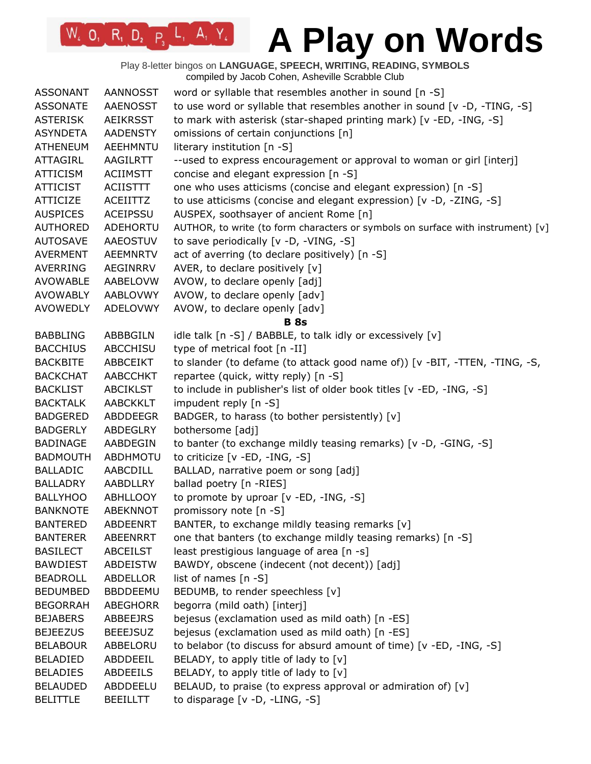Play 8-letter bingos on **LANGUAGE, SPEECH, WRITING, READING, SYMBOLS** compiled by Jacob Cohen, Asheville Scrabble Club

| <b>ASSONANT</b> | <b>AANNOSST</b> | word or syllable that resembles another in sound [n -S]                         |
|-----------------|-----------------|---------------------------------------------------------------------------------|
| <b>ASSONATE</b> | <b>AAENOSST</b> | to use word or syllable that resembles another in sound [v -D, -TING, -S]       |
| <b>ASTERISK</b> | AEIKRSST        | to mark with asterisk (star-shaped printing mark) [v -ED, -ING, -S]             |
| <b>ASYNDETA</b> | <b>AADENSTY</b> | omissions of certain conjunctions [n]                                           |
| <b>ATHENEUM</b> | AEEHMNTU        | literary institution [n -S]                                                     |
| <b>ATTAGIRL</b> | <b>AAGILRTT</b> | --used to express encouragement or approval to woman or girl [interj]           |
| <b>ATTICISM</b> | <b>ACIIMSTT</b> | concise and elegant expression [n -S]                                           |
| <b>ATTICIST</b> | <b>ACIISTTT</b> | one who uses atticisms (concise and elegant expression) [n -S]                  |
| <b>ATTICIZE</b> | ACEIITTZ        | to use atticisms (concise and elegant expression) [v -D, -ZING, -S]             |
| <b>AUSPICES</b> | <b>ACEIPSSU</b> | AUSPEX, soothsayer of ancient Rome [n]                                          |
| <b>AUTHORED</b> | ADEHORTU        | AUTHOR, to write (to form characters or symbols on surface with instrument) [v] |
| <b>AUTOSAVE</b> | AAEOSTUV        | to save periodically [v -D, -VING, -S]                                          |
| <b>AVERMENT</b> | <b>AEEMNRTV</b> | act of averring (to declare positively) [n -S]                                  |
| <b>AVERRING</b> | AEGINRRV        | AVER, to declare positively [v]                                                 |
| AVOWABLE        | AABELOVW        | AVOW, to declare openly [adj]                                                   |
| AVOWABLY        | AABLOVWY        | AVOW, to declare openly [adv]                                                   |
| <b>AVOWEDLY</b> | ADELOVWY        | AVOW, to declare openly [adv]                                                   |
|                 |                 | <b>B</b> 8s                                                                     |
| <b>BABBLING</b> | ABBBGILN        | idle talk [n -S] / BABBLE, to talk idly or excessively [v]                      |
| <b>BACCHIUS</b> | <b>ABCCHISU</b> | type of metrical foot [n -II]                                                   |
| <b>BACKBITE</b> | ABBCEIKT        | to slander (to defame (to attack good name of)) [v -BIT, -TTEN, -TING, -S,      |
| <b>BACKCHAT</b> | <b>AABCCHKT</b> | repartee (quick, witty reply) [n -S]                                            |
| <b>BACKLIST</b> | <b>ABCIKLST</b> | to include in publisher's list of older book titles [v -ED, -ING, -S]           |
| <b>BACKTALK</b> | <b>AABCKKLT</b> | impudent reply [n -S]                                                           |
| <b>BADGERED</b> | ABDDEEGR        | BADGER, to harass (to bother persistently) [v]                                  |
| <b>BADGERLY</b> | ABDEGLRY        | bothersome [adj]                                                                |
| <b>BADINAGE</b> | AABDEGIN        | to banter (to exchange mildly teasing remarks) [v -D, -GING, -S]                |
| <b>BADMOUTH</b> | <b>ABDHMOTU</b> | to criticize [v -ED, -ING, -S]                                                  |
| <b>BALLADIC</b> | AABCDILL        | BALLAD, narrative poem or song [adj]                                            |
| <b>BALLADRY</b> | AABDLLRY        | ballad poetry [n -RIES]                                                         |
| <b>BALLYHOO</b> | ABHLLOOY        | to promote by uproar [v -ED, -ING, -S]                                          |
| <b>BANKNOTE</b> | <b>ABEKNNOT</b> | promissory note [n -S]                                                          |
| <b>BANTERED</b> | <b>ABDEENRT</b> | BANTER, to exchange mildly teasing remarks [v]                                  |
| <b>BANTERER</b> | ABEENRRT        | one that banters (to exchange mildly teasing remarks) [n -S]                    |
| <b>BASILECT</b> | <b>ABCEILST</b> | least prestigious language of area [n -s]                                       |
| <b>BAWDIEST</b> | ABDEISTW        | BAWDY, obscene (indecent (not decent)) [adj]                                    |
| <b>BEADROLL</b> | ABDELLOR        | list of names $[n - S]$                                                         |
| <b>BEDUMBED</b> | <b>BBDDEEMU</b> | BEDUMB, to render speechless [v]                                                |
| <b>BEGORRAH</b> | <b>ABEGHORR</b> | begorra (mild oath) [interj]                                                    |
| <b>BEJABERS</b> | ABBEEJRS        | bejesus (exclamation used as mild oath) [n -ES]                                 |
| <b>BEJEEZUS</b> | <b>BEEEJSUZ</b> | bejesus (exclamation used as mild oath) [n -ES]                                 |
| <b>BELABOUR</b> | ABBELORU        | to belabor (to discuss for absurd amount of time) [v -ED, -ING, -S]             |
| <b>BELADIED</b> | ABDDEEIL        | BELADY, to apply title of lady to [v]                                           |
| <b>BELADIES</b> | <b>ABDEEILS</b> | BELADY, to apply title of lady to $[v]$                                         |
| <b>BELAUDED</b> | ABDDEELU        | BELAUD, to praise (to express approval or admiration of) [v]                    |
| <b>BELITTLE</b> | <b>BEEILLTT</b> | to disparage [v -D, -LING, -S]                                                  |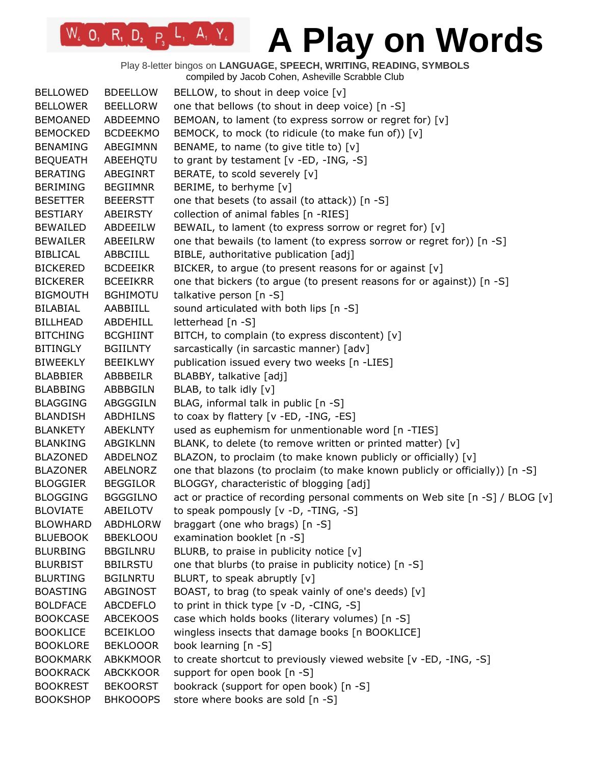Play 8-letter bingos on **LANGUAGE, SPEECH, WRITING, READING, SYMBOLS** compiled by Jacob Cohen, Asheville Scrabble Club

| <b>BELLOWED</b> | <b>BDEELLOW</b> | BELLOW, to shout in deep voice [v]                                           |
|-----------------|-----------------|------------------------------------------------------------------------------|
| <b>BELLOWER</b> | <b>BEELLORW</b> | one that bellows (to shout in deep voice) [n -S]                             |
| <b>BEMOANED</b> | ABDEEMNO        | BEMOAN, to lament (to express sorrow or regret for) [v]                      |
| <b>BEMOCKED</b> | <b>BCDEEKMO</b> | BEMOCK, to mock (to ridicule (to make fun of)) [v]                           |
| <b>BENAMING</b> | ABEGIMNN        | BENAME, to name (to give title to) [v]                                       |
| <b>BEQUEATH</b> | ABEEHQTU        | to grant by testament [v -ED, -ING, -S]                                      |
| <b>BERATING</b> | ABEGINRT        | BERATE, to scold severely [v]                                                |
| <b>BERIMING</b> | <b>BEGIIMNR</b> | BERIME, to berhyme [v]                                                       |
| <b>BESETTER</b> | <b>BEEERSTT</b> | one that besets (to assail (to attack)) [n -S]                               |
| <b>BESTIARY</b> | ABEIRSTY        | collection of animal fables [n -RIES]                                        |
| <b>BEWAILED</b> | ABDEEILW        | BEWAIL, to lament (to express sorrow or regret for) [v]                      |
| <b>BEWAILER</b> | ABEEILRW        | one that bewails (to lament (to express sorrow or regret for)) [n -S]        |
| <b>BIBLICAL</b> | ABBCIILL        | BIBLE, authoritative publication [adj]                                       |
| <b>BICKERED</b> | <b>BCDEEIKR</b> | BICKER, to argue (to present reasons for or against [v]                      |
| <b>BICKERER</b> | <b>BCEEIKRR</b> | one that bickers (to argue (to present reasons for or against)) [n -S]       |
| <b>BIGMOUTH</b> | <b>BGHIMOTU</b> | talkative person [n -S]                                                      |
| <b>BILABIAL</b> | AABBIILL        | sound articulated with both lips [n -S]                                      |
| <b>BILLHEAD</b> | ABDEHILL        | letterhead [n -S]                                                            |
| <b>BITCHING</b> | <b>BCGHIINT</b> | BITCH, to complain (to express discontent) [v]                               |
| <b>BITINGLY</b> | <b>BGIILNTY</b> | sarcastically (in sarcastic manner) [adv]                                    |
| <b>BIWEEKLY</b> | <b>BEEIKLWY</b> | publication issued every two weeks [n -LIES]                                 |
| <b>BLABBIER</b> | ABBBEILR        | BLABBY, talkative [adj]                                                      |
| <b>BLABBING</b> | ABBBGILN        | BLAB, to talk idly [v]                                                       |
| <b>BLAGGING</b> | ABGGGILN        | BLAG, informal talk in public [n -S]                                         |
| <b>BLANDISH</b> | <b>ABDHILNS</b> | to coax by flattery [v -ED, -ING, -ES]                                       |
| <b>BLANKETY</b> | <b>ABEKLNTY</b> | used as euphemism for unmentionable word [n -TIES]                           |
| <b>BLANKING</b> | ABGIKLNN        | BLANK, to delete (to remove written or printed matter) [v]                   |
| <b>BLAZONED</b> | ABDELNOZ        | BLAZON, to proclaim (to make known publicly or officially) [v]               |
| <b>BLAZONER</b> | ABELNORZ        | one that blazons (to proclaim (to make known publicly or officially)) [n -S] |
| <b>BLOGGIER</b> | <b>BEGGILOR</b> | BLOGGY, characteristic of blogging [adj]                                     |
| <b>BLOGGING</b> | <b>BGGGILNO</b> | act or practice of recording personal comments on Web site [n -S] / BLOG [v] |
| <b>BLOVIATE</b> | ABEILOTV        | to speak pompously [v -D, -TING, -S]                                         |
| <b>BLOWHARD</b> | <b>ABDHLORW</b> | braggart (one who brags) [n -S]                                              |
| <b>BLUEBOOK</b> | <b>BBEKLOOU</b> | examination booklet [n -S]                                                   |
| <b>BLURBING</b> | <b>BBGILNRU</b> | BLURB, to praise in publicity notice [v]                                     |
| <b>BLURBIST</b> | <b>BBILRSTU</b> | one that blurbs (to praise in publicity notice) [n -S]                       |
| <b>BLURTING</b> | <b>BGILNRTU</b> | BLURT, to speak abruptly [v]                                                 |
| <b>BOASTING</b> | ABGINOST        | BOAST, to brag (to speak vainly of one's deeds) [v]                          |
| <b>BOLDFACE</b> | ABCDEFLO        | to print in thick type [v -D, -CING, -S]                                     |
| <b>BOOKCASE</b> | <b>ABCEKOOS</b> | case which holds books (literary volumes) [n -S]                             |
| <b>BOOKLICE</b> | <b>BCEIKLOO</b> | wingless insects that damage books [n BOOKLICE]                              |
| <b>BOOKLORE</b> | <b>BEKLOOOR</b> | book learning [n -S]                                                         |
| <b>BOOKMARK</b> | <b>ABKKMOOR</b> | to create shortcut to previously viewed website [v -ED, -ING, -S]            |
| <b>BOOKRACK</b> | <b>ABCKKOOR</b> | support for open book [n -S]                                                 |
| <b>BOOKREST</b> | <b>BEKOORST</b> | bookrack (support for open book) [n -S]                                      |
|                 |                 |                                                                              |
| <b>BOOKSHOP</b> | <b>BHKOOOPS</b> | store where books are sold [n -S]                                            |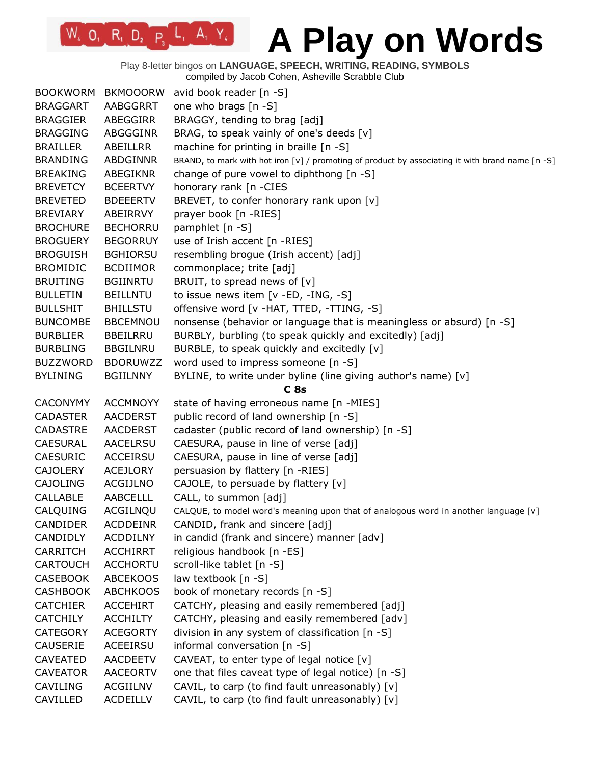Play 8-letter bingos on **LANGUAGE, SPEECH, WRITING, READING, SYMBOLS**

compiled by Jacob Cohen, Asheville Scrabble Club

| <b>BOOKWORM</b> | <b>BKMOOORW</b> | avid book reader $[n - S]$                                                                       |
|-----------------|-----------------|--------------------------------------------------------------------------------------------------|
| <b>BRAGGART</b> | AABGGRRT        | one who brags [n -S]                                                                             |
| <b>BRAGGIER</b> | ABEGGIRR        | BRAGGY, tending to brag [adj]                                                                    |
| <b>BRAGGING</b> | ABGGGINR        | BRAG, to speak vainly of one's deeds [v]                                                         |
| <b>BRAILLER</b> | ABEILLRR        | machine for printing in braille [n -S]                                                           |
| <b>BRANDING</b> | <b>ABDGINNR</b> | BRAND, to mark with hot iron [v] / promoting of product by associating it with brand name [n -S] |
| <b>BREAKING</b> | ABEGIKNR        | change of pure vowel to diphthong [n -S]                                                         |
| <b>BREVETCY</b> | <b>BCEERTVY</b> | honorary rank [n -CIES                                                                           |
| <b>BREVETED</b> | <b>BDEEERTV</b> | BREVET, to confer honorary rank upon [v]                                                         |
| <b>BREVIARY</b> | ABEIRRVY        | prayer book [n -RIES]                                                                            |
| <b>BROCHURE</b> | <b>BECHORRU</b> | pamphlet [n -S]                                                                                  |
| <b>BROGUERY</b> | <b>BEGORRUY</b> | use of Irish accent [n -RIES]                                                                    |
| <b>BROGUISH</b> | <b>BGHIORSU</b> | resembling brogue (Irish accent) [adj]                                                           |
| <b>BROMIDIC</b> | <b>BCDIIMOR</b> | commonplace; trite [adj]                                                                         |
| <b>BRUITING</b> | <b>BGIINRTU</b> | BRUIT, to spread news of [v]                                                                     |
| <b>BULLETIN</b> | <b>BEILLNTU</b> | to issue news item [v -ED, -ING, -S]                                                             |
| <b>BULLSHIT</b> | <b>BHILLSTU</b> | offensive word [v -HAT, TTED, -TTING, -S]                                                        |
| <b>BUNCOMBE</b> | <b>BBCEMNOU</b> | nonsense (behavior or language that is meaningless or absurd) [n -S]                             |
| <b>BURBLIER</b> | <b>BBEILRRU</b> | BURBLY, burbling (to speak quickly and excitedly) [adj]                                          |
| <b>BURBLING</b> | <b>BBGILNRU</b> | BURBLE, to speak quickly and excitedly [v]                                                       |
| <b>BUZZWORD</b> | <b>BDORUWZZ</b> | word used to impress someone [n -S]                                                              |
| <b>BYLINING</b> | <b>BGIILNNY</b> | BYLINE, to write under byline (line giving author's name) [v]                                    |
|                 |                 | C <sub>8s</sub>                                                                                  |
| <b>CACONYMY</b> | <b>ACCMNOYY</b> | state of having erroneous name [n -MIES]                                                         |
| <b>CADASTER</b> | <b>AACDERST</b> | public record of land ownership [n -S]                                                           |
| <b>CADASTRE</b> | <b>AACDERST</b> | cadaster (public record of land ownership) [n -S]                                                |
| <b>CAESURAL</b> | <b>AACELRSU</b> | CAESURA, pause in line of verse [adj]                                                            |
| <b>CAESURIC</b> | ACCEIRSU        | CAESURA, pause in line of verse [adj]                                                            |
| <b>CAJOLERY</b> | <b>ACEJLORY</b> | persuasion by flattery [n -RIES]                                                                 |
| <b>CAJOLING</b> | ACGIJLNO        | CAJOLE, to persuade by flattery [v]                                                              |
| <b>CALLABLE</b> | <b>AABCELLL</b> | CALL, to summon [adj]                                                                            |
| CALQUING        | ACGILNQU        | CALQUE, to model word's meaning upon that of analogous word in another language [v]              |
| <b>CANDIDER</b> | <b>ACDDEINR</b> | CANDID, frank and sincere [adj]                                                                  |
| <b>CANDIDLY</b> | <b>ACDDILNY</b> | in candid (frank and sincere) manner [adv]                                                       |
| <b>CARRITCH</b> | <b>ACCHIRRT</b> | religious handbook [n -ES]                                                                       |
| <b>CARTOUCH</b> | <b>ACCHORTU</b> | scroll-like tablet [n -S]                                                                        |
| <b>CASEBOOK</b> | <b>ABCEKOOS</b> | law textbook [n -S]                                                                              |
| <b>CASHBOOK</b> | <b>ABCHKOOS</b> | book of monetary records [n -S]                                                                  |
| <b>CATCHIER</b> | <b>ACCEHIRT</b> | CATCHY, pleasing and easily remembered [adj]                                                     |
| <b>CATCHILY</b> | <b>ACCHILTY</b> | CATCHY, pleasing and easily remembered [adv]                                                     |
| <b>CATEGORY</b> | <b>ACEGORTY</b> | division in any system of classification [n -S]                                                  |
| <b>CAUSERIE</b> | ACEEIRSU        | informal conversation [n -S]                                                                     |
| <b>CAVEATED</b> | <b>AACDEETV</b> | CAVEAT, to enter type of legal notice [v]                                                        |
| <b>CAVEATOR</b> | <b>AACEORTV</b> | one that files caveat type of legal notice) [n -S]                                               |
| <b>CAVILING</b> | ACGIILNV        | CAVIL, to carp (to find fault unreasonably) [v]                                                  |
| CAVILLED        | <b>ACDEILLV</b> | CAVIL, to carp (to find fault unreasonably) [v]                                                  |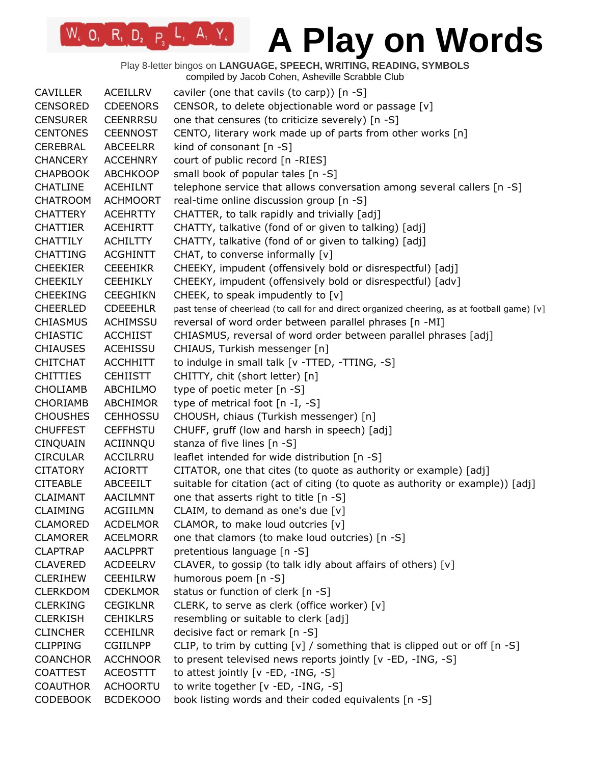Play 8-letter bingos on **LANGUAGE, SPEECH, WRITING, READING, SYMBOLS** compiled by Jacob Cohen, Asheville Scrabble Club

| <b>CAVILLER</b> | <b>ACEILLRV</b> | caviler (one that cavils (to carp)) $[n -S]$                                                 |
|-----------------|-----------------|----------------------------------------------------------------------------------------------|
| <b>CENSORED</b> | <b>CDEENORS</b> | CENSOR, to delete objectionable word or passage [v]                                          |
| <b>CENSURER</b> | <b>CEENRRSU</b> | one that censures (to criticize severely) [n -S]                                             |
| <b>CENTONES</b> | <b>CEENNOST</b> | CENTO, literary work made up of parts from other works [n]                                   |
| CEREBRAL        | ABCEELRR        | kind of consonant $[n -S]$                                                                   |
| <b>CHANCERY</b> | <b>ACCEHNRY</b> | court of public record [n -RIES]                                                             |
| <b>CHAPBOOK</b> | <b>ABCHKOOP</b> | small book of popular tales [n -S]                                                           |
| <b>CHATLINE</b> | <b>ACEHILNT</b> | telephone service that allows conversation among several callers [n -S]                      |
| <b>CHATROOM</b> | <b>ACHMOORT</b> | real-time online discussion group [n -S]                                                     |
| <b>CHATTERY</b> | <b>ACEHRTTY</b> | CHATTER, to talk rapidly and trivially [adj]                                                 |
| <b>CHATTIER</b> | <b>ACEHIRTT</b> | CHATTY, talkative (fond of or given to talking) [adj]                                        |
| <b>CHATTILY</b> | <b>ACHILTTY</b> | CHATTY, talkative (fond of or given to talking) [adj]                                        |
| <b>CHATTING</b> | <b>ACGHINTT</b> | CHAT, to converse informally [v]                                                             |
| <b>CHEEKIER</b> | <b>CEEEHIKR</b> | CHEEKY, impudent (offensively bold or disrespectful) [adj]                                   |
| <b>CHEEKILY</b> | <b>CEEHIKLY</b> | CHEEKY, impudent (offensively bold or disrespectful) [adv]                                   |
| <b>CHEEKING</b> | <b>CEEGHIKN</b> | CHEEK, to speak impudently to [v]                                                            |
| <b>CHEERLED</b> | <b>CDEEEHLR</b> | past tense of cheerlead (to call for and direct organized cheering, as at football game) [v] |
| <b>CHIASMUS</b> | <b>ACHIMSSU</b> | reversal of word order between parallel phrases [n -MI]                                      |
| <b>CHIASTIC</b> | <b>ACCHIIST</b> | CHIASMUS, reversal of word order between parallel phrases [adj]                              |
| <b>CHIAUSES</b> | ACEHISSU        | CHIAUS, Turkish messenger [n]                                                                |
| <b>CHITCHAT</b> | <b>ACCHHITT</b> | to indulge in small talk [v -TTED, -TTING, -S]                                               |
| <b>CHITTIES</b> | <b>CEHIISTT</b> | CHITTY, chit (short letter) [n]                                                              |
| <b>CHOLIAMB</b> | ABCHILMO        | type of poetic meter [n -S]                                                                  |
| <b>CHORIAMB</b> | ABCHIMOR        | type of metrical foot $[n - I, -S]$                                                          |
| <b>CHOUSHES</b> | <b>CEHHOSSU</b> | CHOUSH, chiaus (Turkish messenger) [n]                                                       |
| <b>CHUFFEST</b> | <b>CEFFHSTU</b> | CHUFF, gruff (low and harsh in speech) [adj]                                                 |
| CINQUAIN        | ACIINNQU        | stanza of five lines [n -S]                                                                  |
| <b>CIRCULAR</b> | ACCILRRU        | leaflet intended for wide distribution [n -S]                                                |
| <b>CITATORY</b> | <b>ACIORTT</b>  | CITATOR, one that cites (to quote as authority or example) [adj]                             |
| <b>CITEABLE</b> | ABCEEILT        | suitable for citation (act of citing (to quote as authority or example)) [adj]               |
| <b>CLAIMANT</b> | AACILMNT        | one that asserts right to title [n -S]                                                       |
| <b>CLAIMING</b> | <b>ACGIILMN</b> | CLAIM, to demand as one's due [v]                                                            |
| <b>CLAMORED</b> | <b>ACDELMOR</b> | CLAMOR, to make loud outcries $[v]$                                                          |
| <b>CLAMORER</b> | <b>ACELMORR</b> | one that clamors (to make loud outcries) [n -S]                                              |
| <b>CLAPTRAP</b> | <b>AACLPPRT</b> | pretentious language [n -S]                                                                  |
| <b>CLAVERED</b> | <b>ACDEELRV</b> | CLAVER, to gossip (to talk idly about affairs of others) [v]                                 |
| <b>CLERIHEW</b> | <b>CEEHILRW</b> | humorous poem [n -S]                                                                         |
| <b>CLERKDOM</b> | <b>CDEKLMOR</b> | status or function of clerk [n -S]                                                           |
| <b>CLERKING</b> | <b>CEGIKLNR</b> | CLERK, to serve as clerk (office worker) [v]                                                 |
| <b>CLERKISH</b> | <b>CEHIKLRS</b> | resembling or suitable to clerk [adj]                                                        |
| <b>CLINCHER</b> | <b>CCEHILNR</b> | decisive fact or remark [n -S]                                                               |
| <b>CLIPPING</b> | <b>CGIILNPP</b> | CLIP, to trim by cutting $[v]$ / something that is clipped out or off $[n -S]$               |
| <b>COANCHOR</b> | <b>ACCHNOOR</b> | to present televised news reports jointly [v -ED, -ING, -S]                                  |
| <b>COATTEST</b> | <b>ACEOSTTT</b> | to attest jointly [v -ED, -ING, -S]                                                          |
| <b>COAUTHOR</b> | <b>ACHOORTU</b> | to write together [v -ED, -ING, -S]                                                          |
| <b>CODEBOOK</b> | BCDEK000        | book listing words and their coded equivalents [n -S]                                        |
|                 |                 |                                                                                              |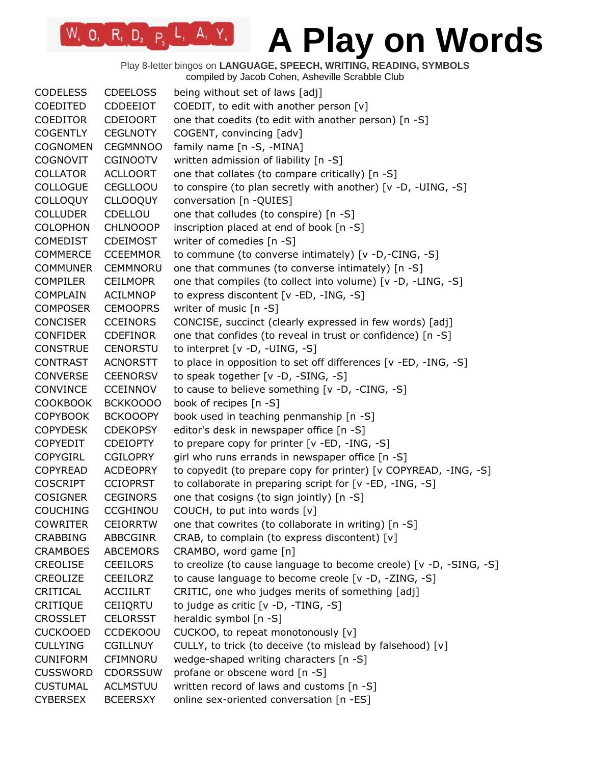Play 8-letter bingos on **LANGUAGE, SPEECH, WRITING, READING, SYMBOLS** compiled by Jacob Cohen, Asheville Scrabble Club

| <b>CODELESS</b> | <b>CDEELOSS</b> | being without set of laws [adj]                                    |
|-----------------|-----------------|--------------------------------------------------------------------|
| <b>COEDITED</b> | <b>CDDEEIOT</b> | COEDIT, to edit with another person [v]                            |
| <b>COEDITOR</b> | <b>CDEIOORT</b> | one that coedits (to edit with another person) [n -S]              |
| <b>COGENTLY</b> | <b>CEGLNOTY</b> | COGENT, convincing [adv]                                           |
| <b>COGNOMEN</b> | <b>CEGMNNOO</b> | family name [n -S, -MINA]                                          |
| <b>COGNOVIT</b> | <b>CGINOOTV</b> | written admission of liability [n -S]                              |
| <b>COLLATOR</b> | <b>ACLLOORT</b> | one that collates (to compare critically) [n -S]                   |
| <b>COLLOGUE</b> | <b>CEGLLOOU</b> | to conspire (to plan secretly with another) [v -D, -UING, -S]      |
| <b>COLLOQUY</b> | <b>CLLOOQUY</b> | conversation [n - QUIES]                                           |
| <b>COLLUDER</b> | CDELLOU         | one that colludes (to conspire) [n -S]                             |
| <b>COLOPHON</b> | <b>CHLNOOOP</b> | inscription placed at end of book [n -S]                           |
| <b>COMEDIST</b> | <b>CDEIMOST</b> | writer of comedies [n -S]                                          |
| <b>COMMERCE</b> | <b>CCEEMMOR</b> | to commune (to converse intimately) [v -D,-CING, -S]               |
| <b>COMMUNER</b> | <b>CEMMNORU</b> | one that communes (to converse intimately) [n -S]                  |
| <b>COMPILER</b> | <b>CEILMOPR</b> | one that compiles (to collect into volume) [v -D, -LING, -S]       |
| <b>COMPLAIN</b> | <b>ACILMNOP</b> | to express discontent [v -ED, -ING, -S]                            |
| <b>COMPOSER</b> | <b>CEMOOPRS</b> | writer of music [n -S]                                             |
| <b>CONCISER</b> | <b>CCEINORS</b> | CONCISE, succinct (clearly expressed in few words) [adj]           |
| <b>CONFIDER</b> | <b>CDEFINOR</b> | one that confides (to reveal in trust or confidence) [n -S]        |
| <b>CONSTRUE</b> | <b>CENORSTU</b> | to interpret $[v -D, -UING, -S]$                                   |
| <b>CONTRAST</b> | <b>ACNORSTT</b> | to place in opposition to set off differences [v -ED, -ING, -S]    |
| <b>CONVERSE</b> | <b>CEENORSV</b> | to speak together [v -D, -SING, -S]                                |
| <b>CONVINCE</b> | <b>CCEINNOV</b> | to cause to believe something [v -D, -CING, -S]                    |
| <b>COOKBOOK</b> | BCKKOOOO        | book of recipes [n -S]                                             |
| <b>COPYBOOK</b> | <b>BCKOOOPY</b> | book used in teaching penmanship [n -S]                            |
| <b>COPYDESK</b> | <b>CDEKOPSY</b> | editor's desk in newspaper office [n -S]                           |
| <b>COPYEDIT</b> | <b>CDEIOPTY</b> | to prepare copy for printer [v -ED, -ING, -S]                      |
| <b>COPYGIRL</b> | <b>CGILOPRY</b> | girl who runs errands in newspaper office [n -S]                   |
| <b>COPYREAD</b> | <b>ACDEOPRY</b> | to copyedit (to prepare copy for printer) [v COPYREAD, -ING, -S]   |
| <b>COSCRIPT</b> | <b>CCIOPRST</b> | to collaborate in preparing script for [v -ED, -ING, -S]           |
| <b>COSIGNER</b> | <b>CEGINORS</b> | one that cosigns (to sign jointly) [n -S]                          |
| <b>COUCHING</b> | <b>CCGHINOU</b> | COUCH, to put into words [v]                                       |
| <b>COWRITER</b> | <b>CEIORRTW</b> | one that cowrites (to collaborate in writing) [n -S]               |
| <b>CRABBING</b> | ABBCGINR        | CRAB, to complain (to express discontent) [v]                      |
| <b>CRAMBOES</b> | <b>ABCEMORS</b> | CRAMBO, word game [n]                                              |
| <b>CREOLISE</b> | <b>CEEILORS</b> | to creolize (to cause language to become creole) [v -D, -SING, -S] |
| CREOLIZE        | CEEILORZ        | to cause language to become creole [v -D, -ZING, -S]               |
| CRITICAL        | <b>ACCIILRT</b> | CRITIC, one who judges merits of something [adj]                   |
| <b>CRITIQUE</b> | CEIIQRTU        | to judge as critic $[v -D, -TING, -S]$                             |
| <b>CROSSLET</b> | <b>CELORSST</b> | heraldic symbol [n -S]                                             |
| <b>CUCKOOED</b> | <b>CCDEKOOU</b> | CUCKOO, to repeat monotonously [v]                                 |
| <b>CULLYING</b> | <b>CGILLNUY</b> | CULLY, to trick (to deceive (to mislead by falsehood) [v]          |
| <b>CUNIFORM</b> | CFIMNORU        | wedge-shaped writing characters [n -S]                             |
| <b>CUSSWORD</b> | <b>CDORSSUW</b> | profane or obscene word [n -S]                                     |
| <b>CUSTUMAL</b> | <b>ACLMSTUU</b> | written record of laws and customs [n -S]                          |
| <b>CYBERSEX</b> | <b>BCEERSXY</b> | online sex-oriented conversation [n -ES]                           |
|                 |                 |                                                                    |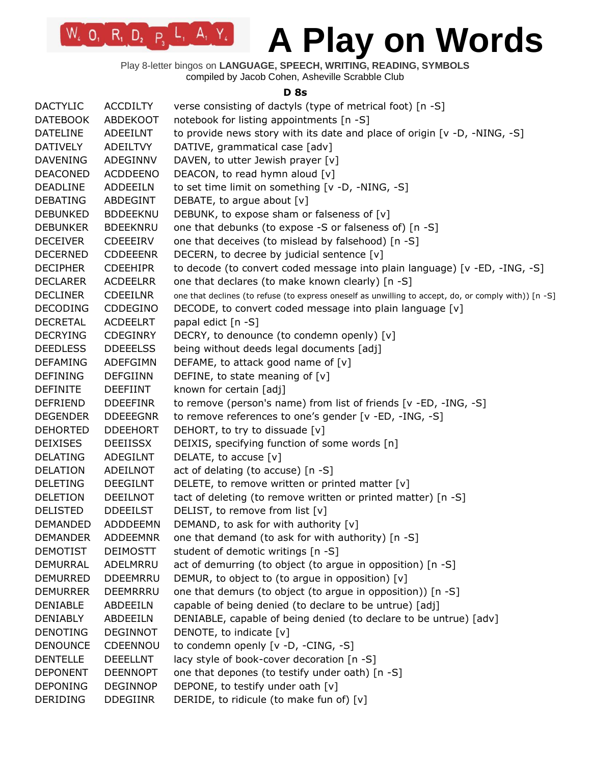Play 8-letter bingos on **LANGUAGE, SPEECH, WRITING, READING, SYMBOLS** compiled by Jacob Cohen, Asheville Scrabble Club

 $W_4$  O<sub>1</sub> R<sub>1</sub> D<sub>2</sub> P<sub>3</sub> L<sub>1</sub> A<sub>1</sub> Y<sub>4</sub>

#### **D 8s**

| <b>ACCDILTY</b><br><b>ABDEKOOT</b> | verse consisting of dactyls (type of metrical foot) [n -S]                                                                                                                                                                                                                                                                                                                                                                                                                                                                                                                                                                                                                                                                 |
|------------------------------------|----------------------------------------------------------------------------------------------------------------------------------------------------------------------------------------------------------------------------------------------------------------------------------------------------------------------------------------------------------------------------------------------------------------------------------------------------------------------------------------------------------------------------------------------------------------------------------------------------------------------------------------------------------------------------------------------------------------------------|
|                                    |                                                                                                                                                                                                                                                                                                                                                                                                                                                                                                                                                                                                                                                                                                                            |
|                                    | notebook for listing appointments [n -S]                                                                                                                                                                                                                                                                                                                                                                                                                                                                                                                                                                                                                                                                                   |
| ADEEILNT                           | to provide news story with its date and place of origin $[v - D, -NING, -S]$                                                                                                                                                                                                                                                                                                                                                                                                                                                                                                                                                                                                                                               |
| ADEILTVY                           | DATIVE, grammatical case [adv]                                                                                                                                                                                                                                                                                                                                                                                                                                                                                                                                                                                                                                                                                             |
|                                    | DAVEN, to utter Jewish prayer [v]                                                                                                                                                                                                                                                                                                                                                                                                                                                                                                                                                                                                                                                                                          |
|                                    | DEACON, to read hymn aloud [v]                                                                                                                                                                                                                                                                                                                                                                                                                                                                                                                                                                                                                                                                                             |
|                                    | to set time limit on something [v -D, -NING, -S]                                                                                                                                                                                                                                                                                                                                                                                                                                                                                                                                                                                                                                                                           |
|                                    | DEBATE, to argue about [v]                                                                                                                                                                                                                                                                                                                                                                                                                                                                                                                                                                                                                                                                                                 |
|                                    | DEBUNK, to expose sham or falseness of [v]                                                                                                                                                                                                                                                                                                                                                                                                                                                                                                                                                                                                                                                                                 |
|                                    | one that debunks (to expose -S or falseness of) [n -S]                                                                                                                                                                                                                                                                                                                                                                                                                                                                                                                                                                                                                                                                     |
|                                    | one that deceives (to mislead by falsehood) [n -S]                                                                                                                                                                                                                                                                                                                                                                                                                                                                                                                                                                                                                                                                         |
|                                    | DECERN, to decree by judicial sentence [v]                                                                                                                                                                                                                                                                                                                                                                                                                                                                                                                                                                                                                                                                                 |
|                                    | to decode (to convert coded message into plain language) [v -ED, -ING, -S]                                                                                                                                                                                                                                                                                                                                                                                                                                                                                                                                                                                                                                                 |
|                                    | one that declares (to make known clearly) [n -S]                                                                                                                                                                                                                                                                                                                                                                                                                                                                                                                                                                                                                                                                           |
|                                    | one that declines (to refuse (to express oneself as unwilling to accept, do, or comply with)) [n -S]                                                                                                                                                                                                                                                                                                                                                                                                                                                                                                                                                                                                                       |
|                                    | DECODE, to convert coded message into plain language [v]                                                                                                                                                                                                                                                                                                                                                                                                                                                                                                                                                                                                                                                                   |
|                                    | papal edict [n -S]                                                                                                                                                                                                                                                                                                                                                                                                                                                                                                                                                                                                                                                                                                         |
|                                    | DECRY, to denounce (to condemn openly) [v]                                                                                                                                                                                                                                                                                                                                                                                                                                                                                                                                                                                                                                                                                 |
|                                    | being without deeds legal documents [adj]                                                                                                                                                                                                                                                                                                                                                                                                                                                                                                                                                                                                                                                                                  |
|                                    | DEFAME, to attack good name of [v]                                                                                                                                                                                                                                                                                                                                                                                                                                                                                                                                                                                                                                                                                         |
|                                    | DEFINE, to state meaning of [v]                                                                                                                                                                                                                                                                                                                                                                                                                                                                                                                                                                                                                                                                                            |
|                                    | known for certain [adj]                                                                                                                                                                                                                                                                                                                                                                                                                                                                                                                                                                                                                                                                                                    |
|                                    | to remove (person's name) from list of friends [v -ED, -ING, -S]                                                                                                                                                                                                                                                                                                                                                                                                                                                                                                                                                                                                                                                           |
|                                    | to remove references to one's gender [v -ED, -ING, -S]                                                                                                                                                                                                                                                                                                                                                                                                                                                                                                                                                                                                                                                                     |
|                                    | DEHORT, to try to dissuade [v]                                                                                                                                                                                                                                                                                                                                                                                                                                                                                                                                                                                                                                                                                             |
|                                    | DEIXIS, specifying function of some words [n]                                                                                                                                                                                                                                                                                                                                                                                                                                                                                                                                                                                                                                                                              |
|                                    | DELATE, to accuse [v]                                                                                                                                                                                                                                                                                                                                                                                                                                                                                                                                                                                                                                                                                                      |
|                                    | act of delating (to accuse) [n -S]                                                                                                                                                                                                                                                                                                                                                                                                                                                                                                                                                                                                                                                                                         |
|                                    | DELETE, to remove written or printed matter [v]                                                                                                                                                                                                                                                                                                                                                                                                                                                                                                                                                                                                                                                                            |
|                                    | tact of deleting (to remove written or printed matter) [n -S]                                                                                                                                                                                                                                                                                                                                                                                                                                                                                                                                                                                                                                                              |
|                                    | DELIST, to remove from list [v]                                                                                                                                                                                                                                                                                                                                                                                                                                                                                                                                                                                                                                                                                            |
|                                    | DEMAND, to ask for with authority [v]                                                                                                                                                                                                                                                                                                                                                                                                                                                                                                                                                                                                                                                                                      |
|                                    | one that demand (to ask for with authority) [n -S]                                                                                                                                                                                                                                                                                                                                                                                                                                                                                                                                                                                                                                                                         |
|                                    | student of demotic writings [n -S]                                                                                                                                                                                                                                                                                                                                                                                                                                                                                                                                                                                                                                                                                         |
|                                    | act of demurring (to object (to argue in opposition) [n -S]                                                                                                                                                                                                                                                                                                                                                                                                                                                                                                                                                                                                                                                                |
|                                    | DEMUR, to object to (to argue in opposition) [v]                                                                                                                                                                                                                                                                                                                                                                                                                                                                                                                                                                                                                                                                           |
|                                    | one that demurs (to object (to argue in opposition)) [n -S]                                                                                                                                                                                                                                                                                                                                                                                                                                                                                                                                                                                                                                                                |
|                                    | capable of being denied (to declare to be untrue) [adj]                                                                                                                                                                                                                                                                                                                                                                                                                                                                                                                                                                                                                                                                    |
|                                    | DENIABLE, capable of being denied (to declare to be untrue) [adv]                                                                                                                                                                                                                                                                                                                                                                                                                                                                                                                                                                                                                                                          |
|                                    | DENOTE, to indicate [v]                                                                                                                                                                                                                                                                                                                                                                                                                                                                                                                                                                                                                                                                                                    |
|                                    | to condemn openly [v -D, -CING, -S]                                                                                                                                                                                                                                                                                                                                                                                                                                                                                                                                                                                                                                                                                        |
|                                    | lacy style of book-cover decoration [n -S]                                                                                                                                                                                                                                                                                                                                                                                                                                                                                                                                                                                                                                                                                 |
|                                    | one that depones (to testify under oath) [n -S]                                                                                                                                                                                                                                                                                                                                                                                                                                                                                                                                                                                                                                                                            |
|                                    | DEPONE, to testify under oath [v]                                                                                                                                                                                                                                                                                                                                                                                                                                                                                                                                                                                                                                                                                          |
|                                    | DERIDE, to ridicule (to make fun of) [v]                                                                                                                                                                                                                                                                                                                                                                                                                                                                                                                                                                                                                                                                                   |
|                                    | ADEGINNV<br><b>ACDDEENO</b><br><b>ADDEEILN</b><br>ABDEGINT<br><b>BDDEEKNU</b><br><b>BDEEKNRU</b><br>CDEEEIRV<br><b>CDDEEENR</b><br><b>CDEEHIPR</b><br><b>ACDEELRR</b><br><b>CDEEILNR</b><br>CDDEGINO<br><b>ACDEELRT</b><br><b>CDEGINRY</b><br><b>DDEEELSS</b><br>ADEFGIMN<br><b>DEFGIINN</b><br><b>DEEFIINT</b><br><b>DDEEFINR</b><br><b>DDEEEGNR</b><br><b>DDEEHORT</b><br><b>DEEIISSX</b><br><b>ADEGILNT</b><br>ADEILNOT<br><b>DEEGILNT</b><br><b>DEEILNOT</b><br><b>DDEEILST</b><br>ADDDEEMN<br><b>ADDEEMNR</b><br><b>DEIMOSTT</b><br>ADELMRRU<br><b>DDEEMRRU</b><br>DEEMRRRU<br>ABDEEILN<br><b>ABDEEILN</b><br><b>DEGINNOT</b><br>CDEENNOU<br><b>DEEELLNT</b><br><b>DEENNOPT</b><br><b>DEGINNOP</b><br><b>DDEGIINR</b> |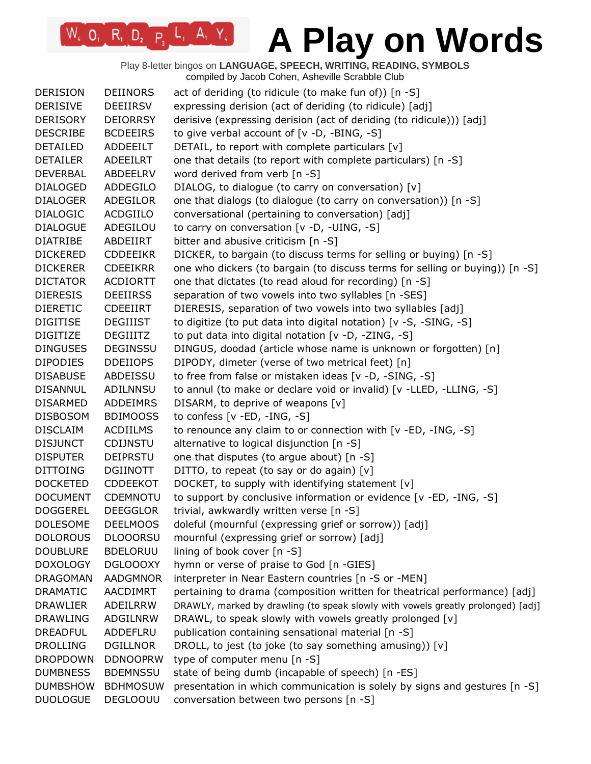Play 8-letter bingos on **LANGUAGE, SPEECH, WRITING, READING, SYMBOLS** compiled by Jacob Cohen, Asheville Scrabble Club

| <b>DERISION</b> | <b>DEIINORS</b> | act of deriding (to ridicule (to make fun of)) [n -S]                            |
|-----------------|-----------------|----------------------------------------------------------------------------------|
| <b>DERISIVE</b> | DEEIIRSV        | expressing derision (act of deriding (to ridicule) [adj]                         |
| <b>DERISORY</b> | <b>DEIORRSY</b> | derisive (expressing derision (act of deriding (to ridicule))) [adj]             |
| <b>DESCRIBE</b> | <b>BCDEEIRS</b> | to give verbal account of [v -D, -BING, -S]                                      |
| <b>DETAILED</b> | ADDEEILT        | DETAIL, to report with complete particulars [v]                                  |
| <b>DETAILER</b> | ADEEILRT        | one that details (to report with complete particulars) [n -S]                    |
| <b>DEVERBAL</b> | ABDEELRV        | word derived from verb [n -S]                                                    |
| <b>DIALOGED</b> | ADDEGILO        | DIALOG, to dialogue (to carry on conversation) [v]                               |
| <b>DIALOGER</b> | ADEGILOR        | one that dialogs (to dialogue (to carry on conversation)) [n -S]                 |
| <b>DIALOGIC</b> | <b>ACDGIILO</b> | conversational (pertaining to conversation) [adj]                                |
| <b>DIALOGUE</b> | ADEGILOU        | to carry on conversation [v -D, -UING, -S]                                       |
| <b>DIATRIBE</b> | ABDEIIRT        | bitter and abusive criticism [n -S]                                              |
| <b>DICKERED</b> | <b>CDDEEIKR</b> | DICKER, to bargain (to discuss terms for selling or buying) [n -S]               |
| <b>DICKERER</b> | <b>CDEEIKRR</b> | one who dickers (to bargain (to discuss terms for selling or buying)) [n -S]     |
| <b>DICTATOR</b> | <b>ACDIORTT</b> | one that dictates (to read aloud for recording) [n -S]                           |
| <b>DIERESIS</b> | <b>DEEIIRSS</b> | separation of two vowels into two syllables [n -SES]                             |
| <b>DIERETIC</b> | <b>CDEEIIRT</b> | DIERESIS, separation of two vowels into two syllables [adj]                      |
| <b>DIGITISE</b> | <b>DEGIIIST</b> | to digitize (to put data into digital notation) [v -S, -SING, -S]                |
| <b>DIGITIZE</b> | <b>DEGIIITZ</b> | to put data into digital notation [v -D, -ZING, -S]                              |
| <b>DINGUSES</b> | <b>DEGINSSU</b> | DINGUS, doodad (article whose name is unknown or forgotten) [n]                  |
| <b>DIPODIES</b> | <b>DDEIIOPS</b> | DIPODY, dimeter (verse of two metrical feet) [n]                                 |
| <b>DISABUSE</b> | ABDEISSU        | to free from false or mistaken ideas [v -D, -SING, -S]                           |
| <b>DISANNUL</b> | ADILNNSU        | to annul (to make or declare void or invalid) [v -LLED, -LLING, -S]              |
| <b>DISARMED</b> | <b>ADDEIMRS</b> | DISARM, to deprive of weapons [v]                                                |
| <b>DISBOSOM</b> | <b>BDIMOOSS</b> | to confess $[v - ED, -ING, -S]$                                                  |
| <b>DISCLAIM</b> | <b>ACDIILMS</b> | to renounce any claim to or connection with [v -ED, -ING, -S]                    |
| <b>DISJUNCT</b> | <b>CDIJNSTU</b> | alternative to logical disjunction [n -S]                                        |
| <b>DISPUTER</b> | <b>DEIPRSTU</b> | one that disputes (to argue about) [n -S]                                        |
| <b>DITTOING</b> | DGIINOTT        | DITTO, to repeat (to say or do again) [v]                                        |
| <b>DOCKETED</b> | <b>CDDEEKOT</b> | DOCKET, to supply with identifying statement [v]                                 |
| <b>DOCUMENT</b> | <b>CDEMNOTU</b> | to support by conclusive information or evidence [v -ED, -ING, -S]               |
| <b>DOGGEREL</b> | <b>DEEGGLOR</b> | trivial, awkwardly written verse [n -S]                                          |
| <b>DOLESOME</b> | <b>DEELMOOS</b> | doleful (mournful (expressing grief or sorrow)) [adj]                            |
| <b>DOLOROUS</b> | <b>DLOOORSU</b> | mournful (expressing grief or sorrow) [adj]                                      |
| <b>DOUBLURE</b> | <b>BDELORUU</b> | lining of book cover [n -S]                                                      |
| <b>DOXOLOGY</b> | <b>DGLOOOXY</b> | hymn or verse of praise to God [n -GIES]                                         |
| <b>DRAGOMAN</b> | <b>AADGMNOR</b> | interpreter in Near Eastern countries [n -S or -MEN]                             |
| <b>DRAMATIC</b> | AACDIMRT        | pertaining to drama (composition written for theatrical performance) [adj]       |
| <b>DRAWLIER</b> | ADEILRRW        | DRAWLY, marked by drawling (to speak slowly with vowels greatly prolonged) [adj] |
| <b>DRAWLING</b> | ADGILNRW        | DRAWL, to speak slowly with vowels greatly prolonged [v]                         |
| <b>DREADFUL</b> | ADDEFLRU        | publication containing sensational material [n -S]                               |
| <b>DROLLING</b> | <b>DGILLNOR</b> | DROLL, to jest (to joke (to say something amusing)) [v]                          |
| <b>DROPDOWN</b> | <b>DDNOOPRW</b> | type of computer menu [n -S]                                                     |
| <b>DUMBNESS</b> | <b>BDEMNSSU</b> | state of being dumb (incapable of speech) [n -ES]                                |
| <b>DUMBSHOW</b> | <b>BDHMOSUW</b> | presentation in which communication is solely by signs and gestures [n -S]       |
| <b>DUOLOGUE</b> | <b>DEGLOOUU</b> | conversation between two persons [n -S]                                          |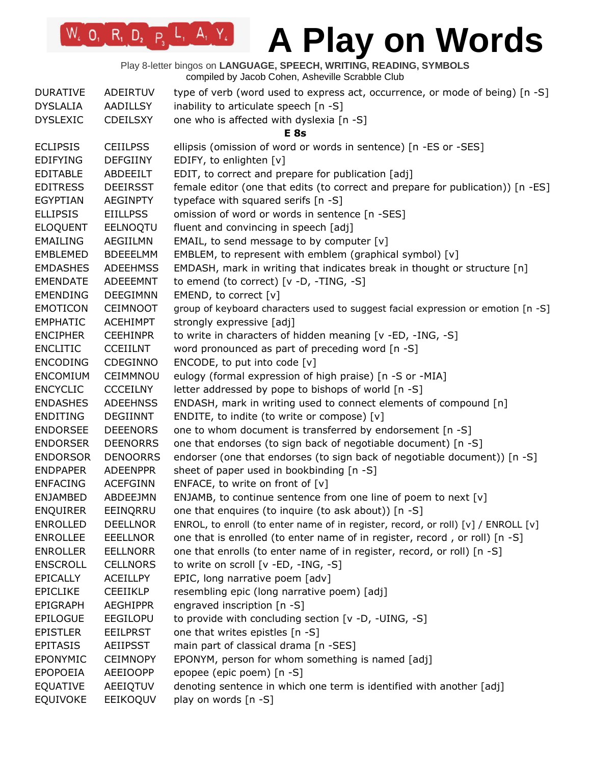Play 8-letter bingos on **LANGUAGE, SPEECH, WRITING, READING, SYMBOLS** compiled by Jacob Cohen, Asheville Scrabble Club

| <b>DURATIVE</b><br><b>DYSLALIA</b><br><b>DYSLEXIC</b> | ADEIRTUV<br><b>AADILLSY</b><br><b>CDEILSXY</b> | type of verb (word used to express act, occurrence, or mode of being) [n -S]<br>inability to articulate speech [n -S]<br>one who is affected with dyslexia [n -S] |
|-------------------------------------------------------|------------------------------------------------|-------------------------------------------------------------------------------------------------------------------------------------------------------------------|
|                                                       |                                                | E <sub>8s</sub>                                                                                                                                                   |
| <b>ECLIPSIS</b>                                       | <b>CEIILPSS</b>                                | ellipsis (omission of word or words in sentence) [n -ES or -SES]                                                                                                  |
| <b>EDIFYING</b>                                       | <b>DEFGIINY</b>                                | EDIFY, to enlighten [v]                                                                                                                                           |
| <b>EDITABLE</b>                                       | ABDEEILT                                       | EDIT, to correct and prepare for publication [adj]                                                                                                                |
| <b>EDITRESS</b>                                       | <b>DEEIRSST</b>                                | female editor (one that edits (to correct and prepare for publication)) [n -ES]                                                                                   |
| <b>EGYPTIAN</b>                                       | <b>AEGINPTY</b>                                | typeface with squared serifs [n -S]                                                                                                                               |
| <b>ELLIPSIS</b>                                       | <b>EIILLPSS</b>                                | omission of word or words in sentence [n -SES]                                                                                                                    |
| <b>ELOQUENT</b>                                       | EELNOQTU                                       | fluent and convincing in speech [adj]                                                                                                                             |
| <b>EMAILING</b>                                       | AEGIILMN                                       | EMAIL, to send message to by computer [v]                                                                                                                         |
| EMBLEMED                                              | <b>BDEEELMM</b>                                | EMBLEM, to represent with emblem (graphical symbol) [v]                                                                                                           |
| <b>EMDASHES</b>                                       | <b>ADEEHMSS</b>                                | EMDASH, mark in writing that indicates break in thought or structure [n]                                                                                          |
| <b>EMENDATE</b>                                       | <b>ADEEEMNT</b>                                | to emend (to correct) [v -D, -TING, -S]                                                                                                                           |
| <b>EMENDING</b>                                       | <b>DEEGIMNN</b>                                | EMEND, to correct [v]                                                                                                                                             |
| <b>EMOTICON</b>                                       | <b>CEIMNOOT</b>                                | group of keyboard characters used to suggest facial expression or emotion [n -S]                                                                                  |
| <b>EMPHATIC</b>                                       | <b>ACEHIMPT</b>                                | strongly expressive [adj]                                                                                                                                         |
| <b>ENCIPHER</b>                                       | <b>CEEHINPR</b>                                | to write in characters of hidden meaning [v -ED, -ING, -S]                                                                                                        |
| <b>ENCLITIC</b>                                       | <b>CCEIILNT</b>                                | word pronounced as part of preceding word [n -S]                                                                                                                  |
| <b>ENCODING</b>                                       | CDEGINNO                                       | ENCODE, to put into code [v]                                                                                                                                      |
| <b>ENCOMIUM</b>                                       | CEIMMNOU                                       | eulogy (formal expression of high praise) [n -S or -MIA]                                                                                                          |
| <b>ENCYCLIC</b>                                       | <b>CCCEILNY</b>                                | letter addressed by pope to bishops of world [n -S]                                                                                                               |
| <b>ENDASHES</b>                                       | <b>ADEEHNSS</b>                                | ENDASH, mark in writing used to connect elements of compound [n]                                                                                                  |
| ENDITING                                              | DEGIINNT                                       | ENDITE, to indite (to write or compose) [v]                                                                                                                       |
| <b>ENDORSEE</b>                                       | <b>DEEENORS</b>                                | one to whom document is transferred by endorsement [n -S]                                                                                                         |
| <b>ENDORSER</b>                                       | <b>DEENORRS</b>                                | one that endorses (to sign back of negotiable document) [n -S]                                                                                                    |
| <b>ENDORSOR</b>                                       | <b>DENOORRS</b>                                | endorser (one that endorses (to sign back of negotiable document)) [n -S]                                                                                         |
| <b>ENDPAPER</b>                                       | <b>ADEENPPR</b>                                | sheet of paper used in bookbinding [n -S]                                                                                                                         |
| <b>ENFACING</b>                                       | <b>ACEFGINN</b>                                | ENFACE, to write on front of $[v]$                                                                                                                                |
| <b>ENJAMBED</b>                                       | ABDEEJMN                                       | ENJAMB, to continue sentence from one line of poem to next [v]                                                                                                    |
| <b>ENQUIRER</b>                                       | EEINQRRU                                       | one that enquires (to inquire (to ask about)) [n -S]                                                                                                              |
| <b>ENROLLED</b>                                       | <b>DEELLNOR</b>                                | ENROL, to enroll (to enter name of in register, record, or roll) [v] / ENROLL [v]                                                                                 |
| <b>ENROLLEE</b>                                       | <b>EEELLNOR</b>                                | one that is enrolled (to enter name of in register, record, or roll) [n -S]                                                                                       |
| <b>ENROLLER</b>                                       | <b>EELLNORR</b>                                | one that enrolls (to enter name of in register, record, or roll) [n -S]                                                                                           |
| <b>ENSCROLL</b>                                       | <b>CELLNORS</b>                                | to write on scroll [v -ED, -ING, -S]                                                                                                                              |
| <b>EPICALLY</b>                                       | <b>ACEILLPY</b>                                | EPIC, long narrative poem [adv]                                                                                                                                   |
| <b>EPICLIKE</b>                                       | <b>CEEIIKLP</b>                                | resembling epic (long narrative poem) [adj]                                                                                                                       |
| <b>EPIGRAPH</b>                                       | <b>AEGHIPPR</b>                                | engraved inscription [n -S]                                                                                                                                       |
| <b>EPILOGUE</b>                                       | <b>EEGILOPU</b>                                | to provide with concluding section [v -D, -UING, -S]                                                                                                              |
| <b>EPISTLER</b>                                       | <b>EEILPRST</b>                                | one that writes epistles [n -S]                                                                                                                                   |
| <b>EPITASIS</b>                                       | <b>AEIIPSST</b>                                | main part of classical drama [n -SES]                                                                                                                             |
| <b>EPONYMIC</b>                                       | <b>CEIMNOPY</b>                                | EPONYM, person for whom something is named [adj]                                                                                                                  |
| <b>EPOPOEIA</b>                                       | AEEIOOPP                                       | epopee (epic poem) [n -S]                                                                                                                                         |
| <b>EQUATIVE</b>                                       | AEEIQTUV                                       | denoting sentence in which one term is identified with another [adj]                                                                                              |
| <b>EQUIVOKE</b>                                       | EEIKOQUV                                       | play on words [n -S]                                                                                                                                              |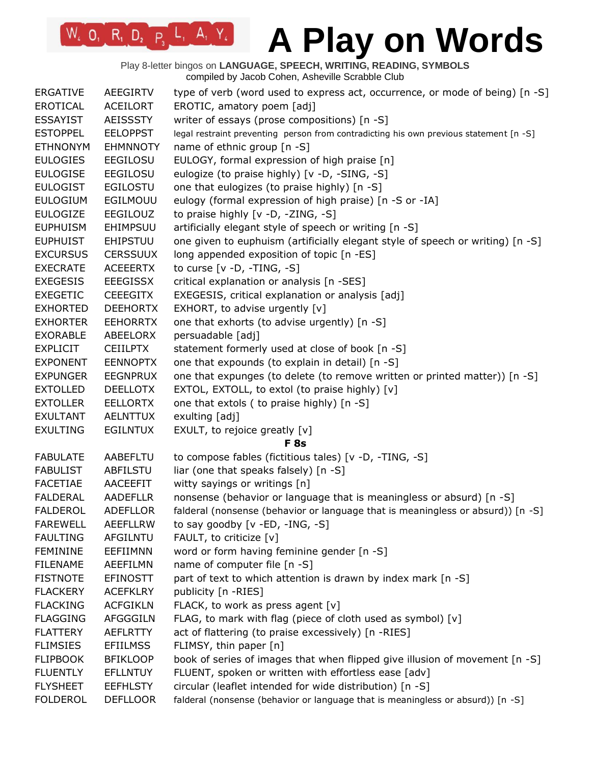Play 8-letter bingos on **LANGUAGE, SPEECH, WRITING, READING, SYMBOLS** compiled by Jacob Cohen, Asheville Scrabble Club

| <b>ERGATIVE</b> | AEEGIRTV        | type of verb (word used to express act, occurrence, or mode of being) [n -S]           |
|-----------------|-----------------|----------------------------------------------------------------------------------------|
| <b>EROTICAL</b> | <b>ACEILORT</b> | EROTIC, amatory poem [adj]                                                             |
| <b>ESSAYIST</b> | <b>AEISSSTY</b> | writer of essays (prose compositions) [n -S]                                           |
| <b>ESTOPPEL</b> | <b>EELOPPST</b> | legal restraint preventing person from contradicting his own previous statement [n -S] |
| <b>ETHNONYM</b> | <b>EHMNNOTY</b> | name of ethnic group [n -S]                                                            |
| <b>EULOGIES</b> | EEGILOSU        | EULOGY, formal expression of high praise [n]                                           |
| <b>EULOGISE</b> | EEGILOSU        | eulogize (to praise highly) [v -D, -SING, -S]                                          |
| <b>EULOGIST</b> | <b>EGILOSTU</b> | one that eulogizes (to praise highly) [n -S]                                           |
| <b>EULOGIUM</b> | EGILMOUU        | eulogy (formal expression of high praise) [n -S or -IA]                                |
| <b>EULOGIZE</b> | <b>EEGILOUZ</b> | to praise highly [v -D, -ZING, -S]                                                     |
| <b>EUPHUISM</b> | EHIMPSUU        | artificially elegant style of speech or writing [n -S]                                 |
| <b>EUPHUIST</b> | <b>EHIPSTUU</b> | one given to euphuism (artificially elegant style of speech or writing) [n -S]         |
| <b>EXCURSUS</b> | <b>CERSSUUX</b> | long appended exposition of topic [n -ES]                                              |
| <b>EXECRATE</b> | <b>ACEEERTX</b> | to curse $[v -D, -TING, -S]$                                                           |
| <b>EXEGESIS</b> | <b>EEEGISSX</b> | critical explanation or analysis [n -SES]                                              |
| <b>EXEGETIC</b> | <b>CEEEGITX</b> | EXEGESIS, critical explanation or analysis [adj]                                       |
| <b>EXHORTED</b> | <b>DEEHORTX</b> | EXHORT, to advise urgently [v]                                                         |
| <b>EXHORTER</b> | <b>EEHORRTX</b> | one that exhorts (to advise urgently) [n -S]                                           |
| <b>EXORABLE</b> | ABEELORX        | persuadable [adj]                                                                      |
| <b>EXPLICIT</b> | <b>CEIILPTX</b> | statement formerly used at close of book [n -S]                                        |
| <b>EXPONENT</b> | <b>EENNOPTX</b> | one that expounds (to explain in detail) [n -S]                                        |
| <b>EXPUNGER</b> | <b>EEGNPRUX</b> | one that expunges (to delete (to remove written or printed matter)) [n -S]             |
| <b>EXTOLLED</b> | <b>DEELLOTX</b> | EXTOL, EXTOLL, to extol (to praise highly) [v]                                         |
| <b>EXTOLLER</b> | <b>EELLORTX</b> | one that extols (to praise highly) [n -S]                                              |
| <b>EXULTANT</b> | <b>AELNTTUX</b> | exulting [adj]                                                                         |
| <b>EXULTING</b> | <b>EGILNTUX</b> | EXULT, to rejoice greatly [v]                                                          |
|                 |                 | <b>F</b> 8s                                                                            |
| <b>FABULATE</b> | AABEFLTU        | to compose fables (fictitious tales) [v -D, -TING, -S]                                 |
| <b>FABULIST</b> | <b>ABFILSTU</b> | liar (one that speaks falsely) [n -S]                                                  |
| <b>FACETIAE</b> | AACEEFIT        | witty sayings or writings [n]                                                          |
| <b>FALDERAL</b> | <b>AADEFLLR</b> | nonsense (behavior or language that is meaningless or absurd) [n -S]                   |
| <b>FALDEROL</b> | <b>ADEFLLOR</b> | falderal (nonsense (behavior or language that is meaningless or absurd)) [n -S]        |
| <b>FAREWELL</b> | <b>AEEFLLRW</b> | to say goodby $[v - ED, -ING, -S]$                                                     |
| <b>FAULTING</b> | <b>AFGILNTU</b> | FAULT, to criticize [v]                                                                |
| <b>FEMININE</b> | EEFIIMNN        | word or form having feminine gender [n -S]                                             |
| <b>FILENAME</b> | AEEFILMN        | name of computer file [n -S]                                                           |
| <b>FISTNOTE</b> | <b>EFINOSTT</b> | part of text to which attention is drawn by index mark [n -S]                          |
| <b>FLACKERY</b> | <b>ACEFKLRY</b> | publicity [n -RIES]                                                                    |
| <b>FLACKING</b> | <b>ACFGIKLN</b> | FLACK, to work as press agent [v]                                                      |
| <b>FLAGGING</b> | <b>AFGGGILN</b> | FLAG, to mark with flag (piece of cloth used as symbol) [v]                            |
| <b>FLATTERY</b> | <b>AEFLRTTY</b> | act of flattering (to praise excessively) [n -RIES]                                    |
| <b>FLIMSIES</b> | <b>EFIILMSS</b> | FLIMSY, thin paper [n]                                                                 |
| <b>FLIPBOOK</b> | <b>BFIKLOOP</b> | book of series of images that when flipped give illusion of movement [n -S]            |
| <b>FLUENTLY</b> | <b>EFLLNTUY</b> | FLUENT, spoken or written with effortless ease [adv]                                   |
| <b>FLYSHEET</b> | <b>EEFHLSTY</b> | circular (leaflet intended for wide distribution) [n -S]                               |
| <b>FOLDEROL</b> | <b>DEFLLOOR</b> | falderal (nonsense (behavior or language that is meaningless or absurd)) [n -S]        |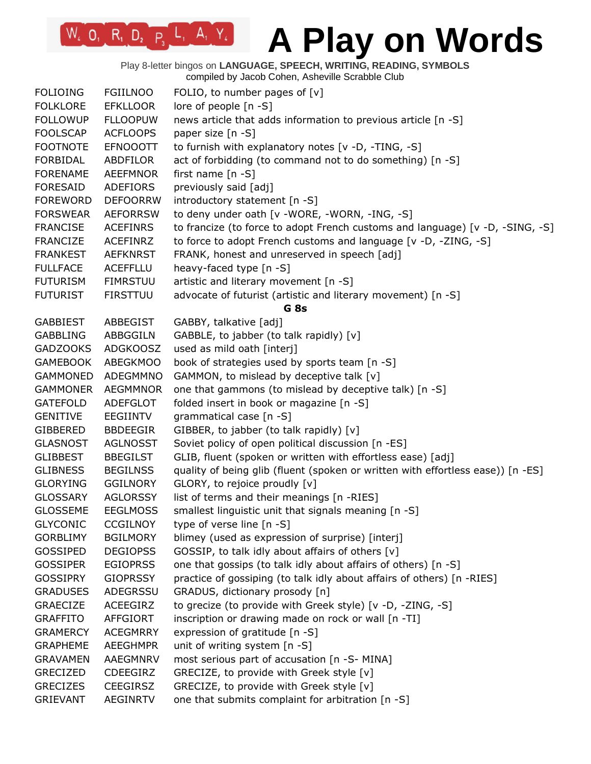Play 8-letter bingos on **LANGUAGE, SPEECH, WRITING, READING, SYMBOLS** compiled by Jacob Cohen, Asheville Scrabble Club

| <b>FOLIOING</b> | <b>FGIILNOO</b> | FOLIO, to number pages of $[v]$                                                 |
|-----------------|-----------------|---------------------------------------------------------------------------------|
| <b>FOLKLORE</b> | <b>EFKLLOOR</b> | lore of people [n -S]                                                           |
| <b>FOLLOWUP</b> | <b>FLLOOPUW</b> | news article that adds information to previous article [n -S]                   |
| <b>FOOLSCAP</b> | <b>ACFLOOPS</b> | paper size [n -S]                                                               |
| <b>FOOTNOTE</b> | <b>EFNOOOTT</b> | to furnish with explanatory notes [v -D, -TING, -S]                             |
| <b>FORBIDAL</b> | ABDFILOR        | act of forbidding (to command not to do something) [n -S]                       |
| <b>FORENAME</b> | <b>AEEFMNOR</b> | first name $[n -S]$                                                             |
| <b>FORESAID</b> | <b>ADEFIORS</b> | previously said [adj]                                                           |
| <b>FOREWORD</b> | <b>DEFOORRW</b> | introductory statement [n -S]                                                   |
| <b>FORSWEAR</b> | <b>AEFORRSW</b> | to deny under oath [v -WORE, -WORN, -ING, -S]                                   |
| <b>FRANCISE</b> | <b>ACEFINRS</b> | to francize (to force to adopt French customs and language) [v -D, -SING, -S]   |
| <b>FRANCIZE</b> | <b>ACEFINRZ</b> | to force to adopt French customs and language [v -D, -ZING, -S]                 |
| <b>FRANKEST</b> | <b>AEFKNRST</b> | FRANK, honest and unreserved in speech [adj]                                    |
| <b>FULLFACE</b> | <b>ACEFFLLU</b> | heavy-faced type [n -S]                                                         |
| <b>FUTURISM</b> | <b>FIMRSTUU</b> | artistic and literary movement [n -S]                                           |
| <b>FUTURIST</b> | <b>FIRSTTUU</b> | advocate of futurist (artistic and literary movement) [n -S]                    |
|                 |                 | G <sub>8s</sub>                                                                 |
| <b>GABBIEST</b> | ABBEGIST        | GABBY, talkative [adj]                                                          |
| <b>GABBLING</b> | ABBGGILN        | GABBLE, to jabber (to talk rapidly) [v]                                         |
| <b>GADZOOKS</b> | <b>ADGKOOSZ</b> | used as mild oath [interj]                                                      |
| <b>GAMEBOOK</b> | <b>ABEGKMOO</b> | book of strategies used by sports team [n -S]                                   |
| <b>GAMMONED</b> | ADEGMMNO        | GAMMON, to mislead by deceptive talk [v]                                        |
| <b>GAMMONER</b> | <b>AEGMMNOR</b> | one that gammons (to mislead by deceptive talk) [n -S]                          |
| <b>GATEFOLD</b> | <b>ADEFGLOT</b> | folded insert in book or magazine [n -S]                                        |
| <b>GENITIVE</b> | EEGIINTV        | grammatical case [n -S]                                                         |
|                 |                 |                                                                                 |
| <b>GIBBERED</b> | <b>BBDEEGIR</b> | GIBBER, to jabber (to talk rapidly) [v]                                         |
| <b>GLASNOST</b> | <b>AGLNOSST</b> | Soviet policy of open political discussion [n -ES]                              |
| <b>GLIBBEST</b> | <b>BBEGILST</b> | GLIB, fluent (spoken or written with effortless ease) [adj]                     |
| <b>GLIBNESS</b> | <b>BEGILNSS</b> | quality of being glib (fluent (spoken or written with effortless ease)) [n -ES] |
| <b>GLORYING</b> | <b>GGILNORY</b> | GLORY, to rejoice proudly [v]                                                   |
| <b>GLOSSARY</b> | <b>AGLORSSY</b> | list of terms and their meanings [n -RIES]                                      |
| <b>GLOSSEME</b> | <b>EEGLMOSS</b> | smallest linguistic unit that signals meaning [n -S]                            |
| <b>GLYCONIC</b> | <b>CCGILNOY</b> | type of verse line [n -S]                                                       |
| <b>GORBLIMY</b> | <b>BGILMORY</b> | blimey (used as expression of surprise) [interj]                                |
| GOSSIPED        | <b>DEGIOPSS</b> | GOSSIP, to talk idly about affairs of others [v]                                |
| <b>GOSSIPER</b> | <b>EGIOPRSS</b> | one that gossips (to talk idly about affairs of others) [n -S]                  |
| <b>GOSSIPRY</b> | <b>GIOPRSSY</b> | practice of gossiping (to talk idly about affairs of others) [n -RIES]          |
| <b>GRADUSES</b> | ADEGRSSU        | GRADUS, dictionary prosody [n]                                                  |
| <b>GRAECIZE</b> | ACEEGIRZ        | to grecize (to provide with Greek style) [v -D, -ZING, -S]                      |
| <b>GRAFFITO</b> | AFFGIORT        | inscription or drawing made on rock or wall [n -TI]                             |
| <b>GRAMERCY</b> | <b>ACEGMRRY</b> | expression of gratitude [n -S]                                                  |
| <b>GRAPHEME</b> | <b>AEEGHMPR</b> | unit of writing system [n -S]                                                   |
| <b>GRAVAMEN</b> | AAEGMNRV        | most serious part of accusation [n -S- MINA]                                    |
| <b>GRECIZED</b> | CDEEGIRZ        | GRECIZE, to provide with Greek style [v]                                        |
| <b>GRECIZES</b> | <b>CEEGIRSZ</b> | GRECIZE, to provide with Greek style [v]                                        |
| <b>GRIEVANT</b> | <b>AEGINRTV</b> | one that submits complaint for arbitration [n -S]                               |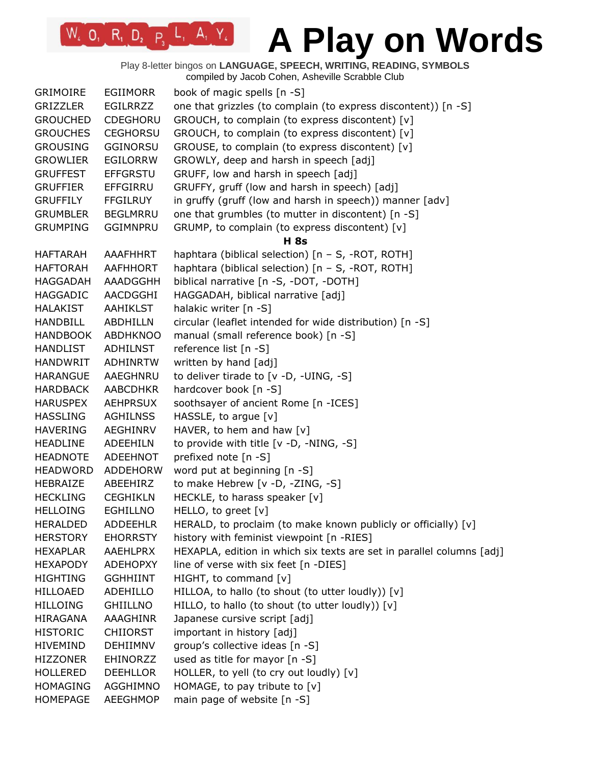Play 8-letter bingos on **LANGUAGE, SPEECH, WRITING, READING, SYMBOLS** compiled by Jacob Cohen, Asheville Scrabble Club

| <b>GRIMOIRE</b>                    | <b>EGIIMORR</b> | book of magic spells [n -S]                                                |
|------------------------------------|-----------------|----------------------------------------------------------------------------|
| GRIZZLER                           | <b>EGILRRZZ</b> | one that grizzles (to complain (to express discontent)) [n -S]             |
| <b>GROUCHED</b>                    | <b>CDEGHORU</b> | GROUCH, to complain (to express discontent) [v]                            |
| <b>GROUCHES</b>                    | <b>CEGHORSU</b> | GROUCH, to complain (to express discontent) [v]                            |
| <b>GROUSING</b>                    | <b>GGINORSU</b> | GROUSE, to complain (to express discontent) [v]                            |
| <b>GROWLIER</b>                    | <b>EGILORRW</b> | GROWLY, deep and harsh in speech [adj]                                     |
| <b>GRUFFEST</b>                    | <b>EFFGRSTU</b> | GRUFF, low and harsh in speech [adj]                                       |
| <b>GRUFFIER</b>                    | <b>EFFGIRRU</b> | GRUFFY, gruff (low and harsh in speech) [adj]                              |
| <b>GRUFFILY</b>                    | <b>FFGILRUY</b> | in gruffy (gruff (low and harsh in speech)) manner [adv]                   |
| <b>GRUMBLER</b>                    | <b>BEGLMRRU</b> | one that grumbles (to mutter in discontent) [n -S]                         |
| <b>GRUMPING</b>                    | <b>GGIMNPRU</b> | GRUMP, to complain (to express discontent) [v]                             |
|                                    |                 | H 8s                                                                       |
| <b>HAFTARAH</b>                    | AAAFHHRT        | haphtara (biblical selection) [n - S, -ROT, ROTH]                          |
| <b>HAFTORAH</b>                    | AAFHHORT        | haphtara (biblical selection) [n - S, -ROT, ROTH]                          |
| <b>HAGGADAH</b>                    | AAADGGHH        | biblical narrative [n -S, -DOT, -DOTH]                                     |
| <b>HAGGADIC</b>                    | AACDGGHI        | HAGGADAH, biblical narrative [adj]                                         |
| HALAKIST                           | <b>AAHIKLST</b> | halakic writer [n -S]                                                      |
| <b>HANDBILL</b>                    | <b>ABDHILLN</b> | circular (leaflet intended for wide distribution) [n -S]                   |
| <b>HANDBOOK</b>                    | <b>ABDHKNOO</b> | manual (small reference book) [n -S]                                       |
| HANDLIST                           | ADHILNST        | reference list [n -S]                                                      |
| <b>HANDWRIT</b>                    | <b>ADHINRTW</b> | written by hand [adj]                                                      |
| <b>HARANGUE</b>                    | AAEGHNRU        | to deliver tirade to [v -D, -UING, -S]                                     |
| <b>HARDBACK</b>                    | AABCDHKR        | hardcover book [n -S]                                                      |
| <b>HARUSPEX</b>                    | <b>AEHPRSUX</b> | soothsayer of ancient Rome [n -ICES]                                       |
| <b>HASSLING</b>                    | <b>AGHILNSS</b> | HASSLE, to argue [v]                                                       |
| <b>HAVERING</b>                    | AEGHINRV        | HAVER, to hem and haw $[v]$                                                |
| <b>HEADLINE</b>                    | ADEEHILN        | to provide with title [v -D, -NING, -S]                                    |
| <b>HEADNOTE</b>                    | ADEEHNOT        | prefixed note [n -S]                                                       |
| <b>HEADWORD</b>                    | <b>ADDEHORW</b> | word put at beginning [n -S]                                               |
| HEBRAIZE                           | ABEEHIRZ        | to make Hebrew [v -D, -ZING, -S]                                           |
| <b>HECKLING</b>                    | <b>CEGHIKLN</b> | HECKLE, to harass speaker [v]                                              |
| <b>HELLOING</b>                    | <b>EGHILLNO</b> | HELLO, to greet [v]                                                        |
| <b>HERALDED</b>                    | <b>ADDEEHLR</b> | HERALD, to proclaim (to make known publicly or officially) [v]             |
| <b>HERSTORY</b>                    | <b>EHORRSTY</b> | history with feminist viewpoint [n -RIES]                                  |
| <b>HEXAPLAR</b>                    | AAEHLPRX        | HEXAPLA, edition in which six texts are set in parallel columns [adj]      |
| <b>HEXAPODY</b>                    | <b>ADEHOPXY</b> | line of verse with six feet [n -DIES]                                      |
| <b>HIGHTING</b>                    | <b>GGHHIINT</b> |                                                                            |
| <b>HILLOAED</b>                    | ADEHILLO        | HIGHT, to command [v]<br>HILLOA, to hallo (to shout (to utter loudly)) [v] |
|                                    |                 | HILLO, to hallo (to shout (to utter loudly)) [v]                           |
| <b>HILLOING</b><br><b>HIRAGANA</b> | <b>GHIILLNO</b> |                                                                            |
|                                    | AAAGHINR        | Japanese cursive script [adj]                                              |
| <b>HISTORIC</b>                    | <b>CHIIORST</b> | important in history [adj]                                                 |
| <b>HIVEMIND</b>                    | <b>DEHIIMNV</b> | group's collective ideas [n -S]                                            |
| <b>HIZZONER</b>                    | EHINORZZ        | used as title for mayor [n -S]                                             |
| <b>HOLLERED</b>                    | <b>DEEHLLOR</b> | HOLLER, to yell (to cry out loudly) [v]                                    |
| <b>HOMAGING</b>                    | AGGHIMNO        | HOMAGE, to pay tribute to [v]                                              |
| <b>HOMEPAGE</b>                    | AEEGHMOP        | main page of website [n -S]                                                |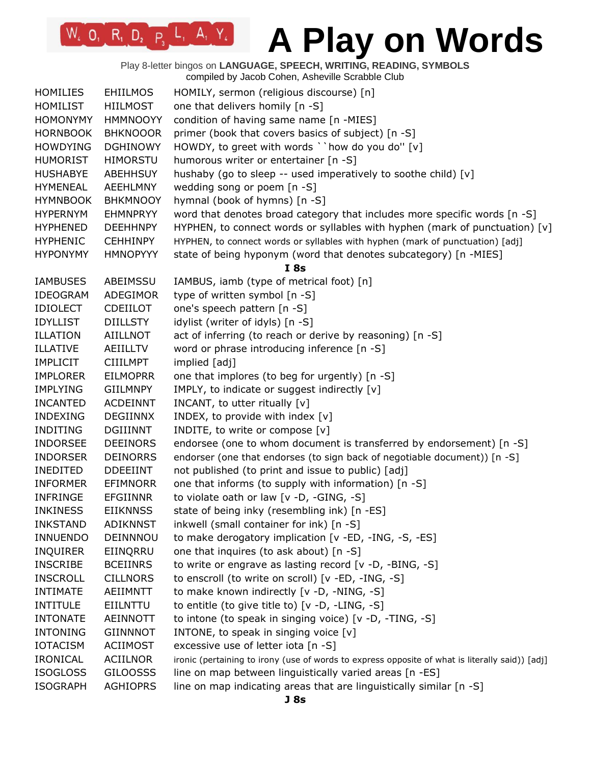Play 8-letter bingos on **LANGUAGE, SPEECH, WRITING, READING, SYMBOLS** compiled by Jacob Cohen, Asheville Scrabble Club

| <b>HOMILIES</b> | <b>EHIILMOS</b> | HOMILY, sermon (religious discourse) [n]                                                        |
|-----------------|-----------------|-------------------------------------------------------------------------------------------------|
| <b>HOMILIST</b> | <b>HIILMOST</b> | one that delivers homily [n -S]                                                                 |
| <b>HOMONYMY</b> | <b>HMMNOOYY</b> | condition of having same name [n -MIES]                                                         |
| <b>HORNBOOK</b> | <b>BHKNOOOR</b> | primer (book that covers basics of subject) [n -S]                                              |
| <b>HOWDYING</b> | <b>DGHINOWY</b> | HOWDY, to greet with words ``how do you do" [v]                                                 |
| <b>HUMORIST</b> | <b>HIMORSTU</b> | humorous writer or entertainer [n -S]                                                           |
| <b>HUSHABYE</b> | <b>ABEHHSUY</b> | hushaby (go to sleep -- used imperatively to soothe child) [v]                                  |
| <b>HYMENEAL</b> | AEEHLMNY        | wedding song or poem [n -S]                                                                     |
| <b>HYMNBOOK</b> | <b>BHKMNOOY</b> | hymnal (book of hymns) [n -S]                                                                   |
| <b>HYPERNYM</b> | <b>EHMNPRYY</b> | word that denotes broad category that includes more specific words [n -S]                       |
| <b>HYPHENED</b> | <b>DEEHHNPY</b> | HYPHEN, to connect words or syllables with hyphen (mark of punctuation) $[v]$                   |
| <b>HYPHENIC</b> | <b>CEHHINPY</b> | HYPHEN, to connect words or syllables with hyphen (mark of punctuation) [adj]                   |
| <b>HYPONYMY</b> | <b>HMNOPYYY</b> | state of being hyponym (word that denotes subcategory) [n -MIES]                                |
|                 |                 | I8s                                                                                             |
| <b>IAMBUSES</b> | ABEIMSSU        | IAMBUS, iamb (type of metrical foot) [n]                                                        |
| IDEOGRAM        | ADEGIMOR        | type of written symbol [n -S]                                                                   |
| <b>IDIOLECT</b> | <b>CDEIILOT</b> | one's speech pattern [n -S]                                                                     |
| <b>IDYLLIST</b> | <b>DIILLSTY</b> | idylist (writer of idyls) [n -S]                                                                |
| <b>ILLATION</b> | <b>AIILLNOT</b> | act of inferring (to reach or derive by reasoning) [n -S]                                       |
| <b>ILLATIVE</b> | AEIILLTV        | word or phrase introducing inference [n -S]                                                     |
| <b>IMPLICIT</b> | <b>CIIILMPT</b> | implied [adj]                                                                                   |
| <b>IMPLORER</b> | <b>EILMOPRR</b> | one that implores (to beg for urgently) [n -S]                                                  |
| <b>IMPLYING</b> | <b>GIILMNPY</b> | IMPLY, to indicate or suggest indirectly [v]                                                    |
| <b>INCANTED</b> | <b>ACDEINNT</b> | INCANT, to utter ritually [v]                                                                   |
| <b>INDEXING</b> | <b>DEGIINNX</b> | INDEX, to provide with index [v]                                                                |
| <b>INDITING</b> | <b>DGIIINNT</b> | INDITE, to write or compose [v]                                                                 |
| <b>INDORSEE</b> | <b>DEEINORS</b> | endorsee (one to whom document is transferred by endorsement) [n -S]                            |
| <b>INDORSER</b> | <b>DEINORRS</b> | endorser (one that endorses (to sign back of negotiable document)) [n -S]                       |
| <b>INEDITED</b> | <b>DDEEIINT</b> | not published (to print and issue to public) [adj]                                              |
| <b>INFORMER</b> | <b>EFIMNORR</b> | one that informs (to supply with information) [n -S]                                            |
| <b>INFRINGE</b> | <b>EFGIINNR</b> | to violate oath or law [v -D, -GING, -S]                                                        |
| <b>INKINESS</b> | <b>EIIKNNSS</b> | state of being inky (resembling ink) [n -ES]                                                    |
| <b>INKSTAND</b> | <b>ADIKNNST</b> | inkwell (small container for ink) [n -S]                                                        |
| <b>INNUENDO</b> | DEINNNOU        | to make derogatory implication [v -ED, -ING, -S, -ES]                                           |
| <b>INQUIRER</b> | EIINQRRU        | one that inquires (to ask about) [n -S]                                                         |
| <b>INSCRIBE</b> | <b>BCEIINRS</b> | to write or engrave as lasting record [v -D, -BING, -S]                                         |
| <b>INSCROLL</b> | <b>CILLNORS</b> | to enscroll (to write on scroll) [v -ED, -ING, -S]                                              |
| <b>INTIMATE</b> | AEIIMNTT        | to make known indirectly [v -D, -NING, -S]                                                      |
| <b>INTITULE</b> | EIILNTTU        | to entitle (to give title to) [v -D, -LING, -S]                                                 |
| <b>INTONATE</b> | AEINNOTT        | to intone (to speak in singing voice) [v -D, -TING, -S]                                         |
| <b>INTONING</b> | <b>GIINNNOT</b> | INTONE, to speak in singing voice [v]                                                           |
| <b>IOTACISM</b> | <b>ACIIMOST</b> | excessive use of letter iota [n -S]                                                             |
| <b>IRONICAL</b> | <b>ACIILNOR</b> | ironic (pertaining to irony (use of words to express opposite of what is literally said)) [adj] |
| <b>ISOGLOSS</b> | <b>GILOOSSS</b> | line on map between linguistically varied areas [n -ES]                                         |
| <b>ISOGRAPH</b> | <b>AGHIOPRS</b> | line on map indicating areas that are linguistically similar [n -S]                             |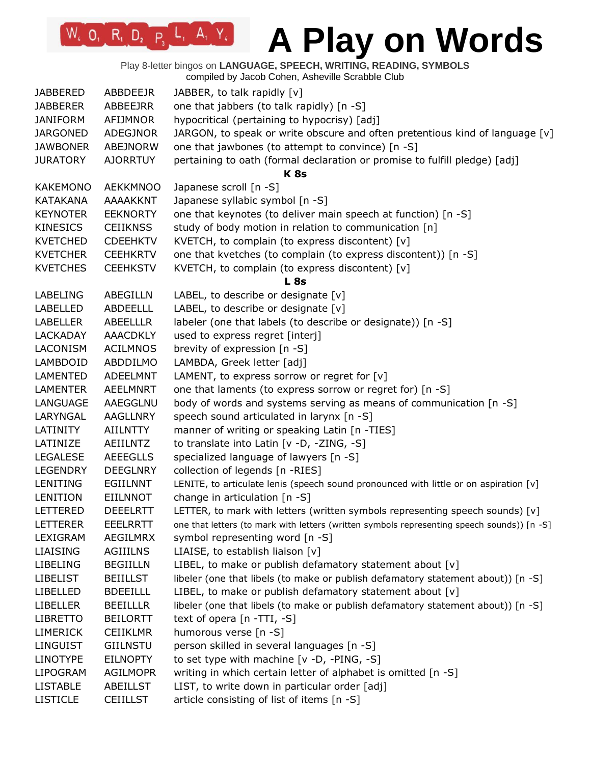Play 8-letter bingos on **LANGUAGE, SPEECH, WRITING, READING, SYMBOLS**

compiled by Jacob Cohen, Asheville Scrabble Club

| <b>JABBERED</b> | ABBDEEJR        | JABBER, to talk rapidly [v]                                                                 |
|-----------------|-----------------|---------------------------------------------------------------------------------------------|
| <b>JABBERER</b> | ABBEEJRR        | one that jabbers (to talk rapidly) [n -S]                                                   |
| <b>JANIFORM</b> | AFIJMNOR        | hypocritical (pertaining to hypocrisy) [adj]                                                |
| <b>JARGONED</b> | ADEGJNOR        | JARGON, to speak or write obscure and often pretentious kind of language $[v]$              |
| <b>JAWBONER</b> | ABEJNORW        | one that jawbones (to attempt to convince) [n -S]                                           |
| <b>JURATORY</b> | <b>AJORRTUY</b> | pertaining to oath (formal declaration or promise to fulfill pledge) [adj]                  |
|                 |                 | <b>K8s</b>                                                                                  |
| <b>KAKEMONO</b> | <b>AEKKMNOO</b> | Japanese scroll [n -S]                                                                      |
| <b>KATAKANA</b> | AAAAKKNT        | Japanese syllabic symbol [n -S]                                                             |
| <b>KEYNOTER</b> | <b>EEKNORTY</b> | one that keynotes (to deliver main speech at function) [n -S]                               |
| <b>KINESICS</b> | <b>CEIIKNSS</b> | study of body motion in relation to communication [n]                                       |
| <b>KVETCHED</b> | <b>CDEEHKTV</b> | KVETCH, to complain (to express discontent) [v]                                             |
| <b>KVETCHER</b> | <b>CEEHKRTV</b> | one that kvetches (to complain (to express discontent)) [n -S]                              |
| <b>KVETCHES</b> | <b>CEEHKSTV</b> | KVETCH, to complain (to express discontent) [v]                                             |
|                 |                 | <b>L</b> 8s                                                                                 |
| LABELING        | ABEGILLN        | LABEL, to describe or designate [v]                                                         |
| <b>LABELLED</b> | <b>ABDEELLL</b> | LABEL, to describe or designate [v]                                                         |
| <b>LABELLER</b> | <b>ABEELLLR</b> | labeler (one that labels (to describe or designate)) [n -S]                                 |
|                 |                 |                                                                                             |
| <b>LACKADAY</b> | <b>AAACDKLY</b> | used to express regret [interj]                                                             |
| LACONISM        | <b>ACILMNOS</b> | brevity of expression [n -S]                                                                |
| LAMBDOID        | ABDDILMO        | LAMBDA, Greek letter [adj]                                                                  |
| LAMENTED        | <b>ADEELMNT</b> | LAMENT, to express sorrow or regret for [v]                                                 |
| <b>LAMENTER</b> | <b>AEELMNRT</b> | one that laments (to express sorrow or regret for) [n -S]                                   |
| LANGUAGE        | AAEGGLNU        | body of words and systems serving as means of communication [n -S]                          |
| LARYNGAL        | <b>AAGLLNRY</b> | speech sound articulated in larynx [n -S]                                                   |
| LATINITY        | <b>AIILNTTY</b> | manner of writing or speaking Latin [n -TIES]                                               |
| LATINIZE        | <b>AEIILNTZ</b> | to translate into Latin [v -D, -ZING, -S]                                                   |
| <b>LEGALESE</b> | <b>AEEEGLLS</b> | specialized language of lawyers [n -S]                                                      |
| <b>LEGENDRY</b> | <b>DEEGLNRY</b> | collection of legends [n -RIES]                                                             |
| LENITING        | EGIILNNT        | LENITE, to articulate lenis (speech sound pronounced with little or on aspiration [v]       |
| <b>LENITION</b> | <b>EIILNNOT</b> | change in articulation [n -S]                                                               |
| <b>LETTERED</b> | <b>DEEELRTT</b> | LETTER, to mark with letters (written symbols representing speech sounds) [v]               |
| <b>LETTERER</b> | <b>EEELRRTT</b> | one that letters (to mark with letters (written symbols representing speech sounds)) [n -S] |
| LEXIGRAM        | AEGILMRX        | symbol representing word [n -S]                                                             |
| <b>LIAISING</b> | <b>AGIIILNS</b> | LIAISE, to establish liaison [v]                                                            |
| <b>LIBELING</b> | <b>BEGIILLN</b> | LIBEL, to make or publish defamatory statement about [v]                                    |
| <b>LIBELIST</b> | <b>BEIILLST</b> | libeler (one that libels (to make or publish defamatory statement about)) [n -S]            |
| <b>LIBELLED</b> | <b>BDEEILLL</b> | LIBEL, to make or publish defamatory statement about [v]                                    |
| <b>LIBELLER</b> | <b>BEEILLLR</b> | libeler (one that libels (to make or publish defamatory statement about)) [n -S]            |
| <b>LIBRETTO</b> | <b>BEILORTT</b> | text of opera [n -TTI, -S]                                                                  |
| <b>LIMERICK</b> | <b>CEIIKLMR</b> | humorous verse [n -S]                                                                       |
| <b>LINGUIST</b> | <b>GIILNSTU</b> | person skilled in several languages [n -S]                                                  |
| <b>LINOTYPE</b> | <b>EILNOPTY</b> | to set type with machine [v -D, -PING, -S]                                                  |
| <b>LIPOGRAM</b> | <b>AGILMOPR</b> | writing in which certain letter of alphabet is omitted [n -S]                               |
| <b>LISTABLE</b> | <b>ABEILLST</b> | LIST, to write down in particular order [adj]                                               |
| <b>LISTICLE</b> | <b>CEIILLST</b> | article consisting of list of items [n -S]                                                  |
|                 |                 |                                                                                             |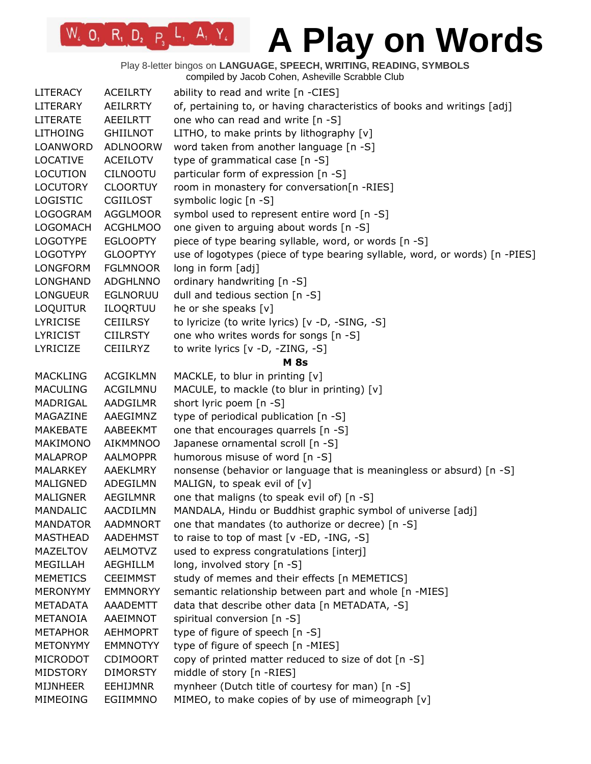Play 8-letter bingos on **LANGUAGE, SPEECH, WRITING, READING, SYMBOLS** compiled by Jacob Cohen, Asheville Scrabble Club

| <b>LITERACY</b> | <b>ACEILRTY</b> | ability to read and write [n -CIES]                                         |
|-----------------|-----------------|-----------------------------------------------------------------------------|
| LITERARY        | <b>AEILRRTY</b> | of, pertaining to, or having characteristics of books and writings [adj]    |
| <b>LITERATE</b> | <b>AEEILRTT</b> | one who can read and write [n -S]                                           |
| <b>LITHOING</b> | <b>GHIILNOT</b> | LITHO, to make prints by lithography $[v]$                                  |
| LOANWORD        | <b>ADLNOORW</b> | word taken from another language [n -S]                                     |
| <b>LOCATIVE</b> | <b>ACEILOTV</b> | type of grammatical case [n -S]                                             |
| <b>LOCUTION</b> | <b>CILNOOTU</b> | particular form of expression [n -S]                                        |
| <b>LOCUTORY</b> | <b>CLOORTUY</b> | room in monastery for conversation[n -RIES]                                 |
| <b>LOGISTIC</b> | <b>CGIILOST</b> | symbolic logic [n -S]                                                       |
| <b>LOGOGRAM</b> | <b>AGGLMOOR</b> | symbol used to represent entire word [n -S]                                 |
| <b>LOGOMACH</b> | <b>ACGHLMOO</b> | one given to arguing about words [n -S]                                     |
| <b>LOGOTYPE</b> | <b>EGLOOPTY</b> | piece of type bearing syllable, word, or words [n -S]                       |
| <b>LOGOTYPY</b> | <b>GLOOPTYY</b> | use of logotypes (piece of type bearing syllable, word, or words) [n -PIES] |
| <b>LONGFORM</b> | <b>FGLMNOOR</b> | long in form [adj]                                                          |
| LONGHAND        | <b>ADGHLNNO</b> | ordinary handwriting [n -S]                                                 |
| <b>LONGUEUR</b> | <b>EGLNORUU</b> | dull and tedious section [n -S]                                             |
| LOQUITUR        | ILOQRTUU        | he or she speaks [v]                                                        |
| <b>LYRICISE</b> | <b>CEIILRSY</b> | to lyricize (to write lyrics) [v -D, -SING, -S]                             |
| <b>LYRICIST</b> | <b>CIILRSTY</b> | one who writes words for songs [n -S]                                       |
| LYRICIZE        | <b>CEIILRYZ</b> | to write lyrics [v -D, -ZING, -S]                                           |
|                 |                 | <b>M</b> 8s                                                                 |
| <b>MACKLING</b> | <b>ACGIKLMN</b> | MACKLE, to blur in printing [v]                                             |
| <b>MACULING</b> | ACGILMNU        | MACULE, to mackle (to blur in printing) [v]                                 |
| MADRIGAL        | AADGILMR        | short lyric poem [n -S]                                                     |
| MAGAZINE        | AAEGIMNZ        | type of periodical publication [n -S]                                       |
| MAKEBATE        | AABEEKMT        | one that encourages quarrels [n -S]                                         |
| MAKIMONO        | <b>AIKMMNOO</b> | Japanese ornamental scroll [n -S]                                           |
| <b>MALAPROP</b> | <b>AALMOPPR</b> |                                                                             |
| MALARKEY        | AAEKLMRY        | humorous misuse of word [n -S]                                              |
|                 |                 | nonsense (behavior or language that is meaningless or absurd) [n -S]        |
| MALIGNED        | ADEGILMN        | MALIGN, to speak evil of [v]                                                |
| <b>MALIGNER</b> | AEGILMNR        | one that maligns (to speak evil of) [n -S]                                  |
| MANDALIC        | AACDILMN        | MANDALA, Hindu or Buddhist graphic symbol of universe [adj]                 |
| <b>MANDATOR</b> | <b>AADMNORT</b> | one that mandates (to authorize or decree) [n -S]                           |
| <b>MASTHEAD</b> | <b>AADEHMST</b> | to raise to top of mast [v -ED, -ING, -S]                                   |
| <b>MAZELTOV</b> | <b>AELMOTVZ</b> | used to express congratulations [interj]                                    |
| MEGILLAH        | <b>AEGHILLM</b> | long, involved story [n -S]                                                 |
| <b>MEMETICS</b> | <b>CEEIMMST</b> | study of memes and their effects [n MEMETICS]                               |
| <b>MERONYMY</b> | <b>EMMNORYY</b> | semantic relationship between part and whole [n -MIES]                      |
| <b>METADATA</b> | AAADEMTT        | data that describe other data [n METADATA, -S]                              |
| METANOIA        | AAEIMNOT        | spiritual conversion [n -S]                                                 |
| <b>METAPHOR</b> | <b>AEHMOPRT</b> | type of figure of speech [n -S]                                             |
| <b>METONYMY</b> | <b>EMMNOTYY</b> | type of figure of speech [n -MIES]                                          |
| MICRODOT        | <b>CDIMOORT</b> | copy of printed matter reduced to size of dot [n -S]                        |
| MIDSTORY        | <b>DIMORSTY</b> | middle of story [n -RIES]                                                   |
| <b>MIJNHEER</b> | <b>EEHIJMNR</b> | mynheer (Dutch title of courtesy for man) [n -S]                            |
| MIMEOING        | EGIIMMNO        | MIMEO, to make copies of by use of mimeograph [v]                           |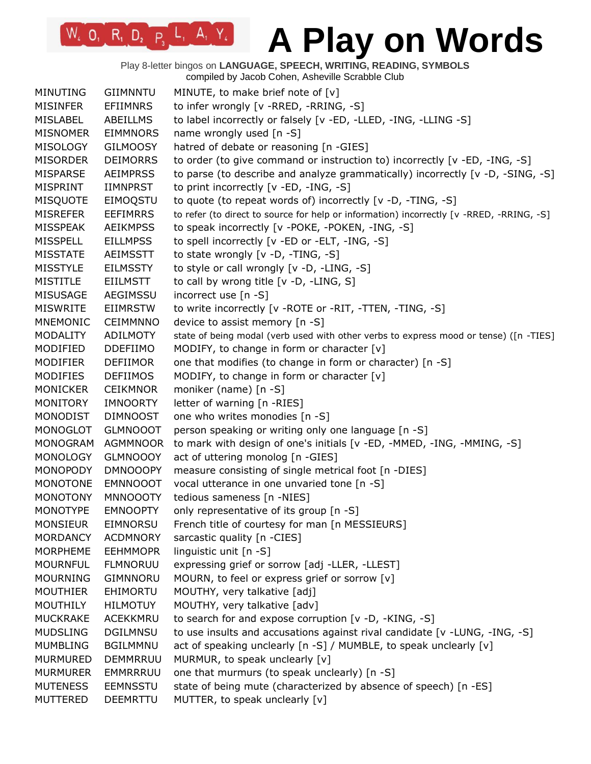Play 8-letter bingos on **LANGUAGE, SPEECH, WRITING, READING, SYMBOLS** compiled by Jacob Cohen, Asheville Scrabble Club

| <b>MINUTING</b> | <b>GIIMNNTU</b> | MINUTE, to make brief note of [v]                                                        |
|-----------------|-----------------|------------------------------------------------------------------------------------------|
| <b>MISINFER</b> | <b>EFIIMNRS</b> | to infer wrongly [v -RRED, -RRING, -S]                                                   |
| <b>MISLABEL</b> | <b>ABEILLMS</b> | to label incorrectly or falsely [v -ED, -LLED, -ING, -LLING -S]                          |
| <b>MISNOMER</b> | <b>EIMMNORS</b> | name wrongly used [n -S]                                                                 |
| MISOLOGY        | <b>GILMOOSY</b> | hatred of debate or reasoning [n -GIES]                                                  |
| <b>MISORDER</b> | <b>DEIMORRS</b> | to order (to give command or instruction to) incorrectly [v -ED, -ING, -S]               |
| MISPARSE        | <b>AEIMPRSS</b> | to parse (to describe and analyze grammatically) incorrectly [v -D, -SING, -S]           |
| MISPRINT        | <b>IIMNPRST</b> | to print incorrectly [v -ED, -ING, -S]                                                   |
| <b>MISQUOTE</b> | EIMOQSTU        | to quote (to repeat words of) incorrectly [v -D, -TING, -S]                              |
| <b>MISREFER</b> | <b>EEFIMRRS</b> | to refer (to direct to source for help or information) incorrectly [v -RRED, -RRING, -S] |
| <b>MISSPEAK</b> | <b>AEIKMPSS</b> | to speak incorrectly [v -POKE, -POKEN, -ING, -S]                                         |
| <b>MISSPELL</b> | <b>EILLMPSS</b> | to spell incorrectly [v -ED or -ELT, -ING, -S]                                           |
| <b>MISSTATE</b> | <b>AEIMSSTT</b> | to state wrongly [v -D, -TING, -S]                                                       |
| <b>MISSTYLE</b> | <b>EILMSSTY</b> | to style or call wrongly [v -D, -LING, -S]                                               |
| <b>MISTITLE</b> | <b>EIILMSTT</b> | to call by wrong title [v -D, -LING, S]                                                  |
| <b>MISUSAGE</b> | AEGIMSSU        | incorrect use [n -S]                                                                     |
| <b>MISWRITE</b> | <b>EIIMRSTW</b> | to write incorrectly [v - ROTE or - RIT, - TTEN, - TING, - S]                            |
| <b>MNEMONIC</b> | <b>CEIMMNNO</b> | device to assist memory [n -S]                                                           |
| <b>MODALITY</b> | <b>ADILMOTY</b> | state of being modal (verb used with other verbs to express mood or tense) ([n -TIES]    |
| MODIFIED        | <b>DDEFIIMO</b> | MODIFY, to change in form or character [v]                                               |
| <b>MODIFIER</b> | <b>DEFIIMOR</b> | one that modifies (to change in form or character) [n -S]                                |
| <b>MODIFIES</b> | <b>DEFIIMOS</b> | MODIFY, to change in form or character [v]                                               |
| <b>MONICKER</b> | <b>CEIKMNOR</b> | moniker (name) [n -S]                                                                    |
| <b>MONITORY</b> | <b>IMNOORTY</b> | letter of warning [n -RIES]                                                              |
| <b>MONODIST</b> | <b>DIMNOOST</b> | one who writes monodies [n -S]                                                           |
| MONOGLOT        | <b>GLMNOOOT</b> | person speaking or writing only one language [n -S]                                      |
| <b>MONOGRAM</b> | <b>AGMMNOOR</b> | to mark with design of one's initials [v -ED, -MMED, -ING, -MMING, -S]                   |
| <b>MONOLOGY</b> | <b>GLMNOOOY</b> | act of uttering monolog [n -GIES]                                                        |
| <b>MONOPODY</b> | <b>DMNOOOPY</b> | measure consisting of single metrical foot [n -DIES]                                     |
| <b>MONOTONE</b> | <b>EMNNOOOT</b> | vocal utterance in one unvaried tone [n -S]                                              |
| <b>MONOTONY</b> | <b>MNNOOOTY</b> | tedious sameness [n -NIES]                                                               |
| <b>MONOTYPE</b> | <b>EMNOOPTY</b> | only representative of its group [n -S]                                                  |
| <b>MONSIEUR</b> | <b>EIMNORSU</b> | French title of courtesy for man [n MESSIEURS]                                           |
| <b>MORDANCY</b> | <b>ACDMNORY</b> | sarcastic quality [n -CIES]                                                              |
| MORPHEME        | <b>EEHMMOPR</b> | linguistic unit [n -S]                                                                   |
| <b>MOURNFUL</b> | <b>FLMNORUU</b> | expressing grief or sorrow [adj -LLER, -LLEST]                                           |
| <b>MOURNING</b> | <b>GIMNNORU</b> | MOURN, to feel or express grief or sorrow [v]                                            |
| <b>MOUTHIER</b> | EHIMORTU        | MOUTHY, very talkative [adj]                                                             |
| <b>MOUTHILY</b> | <b>HILMOTUY</b> | MOUTHY, very talkative [adv]                                                             |
| <b>MUCKRAKE</b> | <b>ACEKKMRU</b> | to search for and expose corruption [v -D, -KING, -S]                                    |
| <b>MUDSLING</b> | <b>DGILMNSU</b> | to use insults and accusations against rival candidate [v -LUNG, -ING, -S]               |
| <b>MUMBLING</b> | <b>BGILMMNU</b> | act of speaking unclearly [n -S] / MUMBLE, to speak unclearly [v]                        |
| MURMURED        | <b>DEMMRRUU</b> | MURMUR, to speak unclearly [v]                                                           |
| <b>MURMURER</b> | EMMRRRUU        | one that murmurs (to speak unclearly) [n -S]                                             |
| <b>MUTENESS</b> | <b>EEMNSSTU</b> | state of being mute (characterized by absence of speech) [n -ES]                         |
| <b>MUTTERED</b> | <b>DEEMRTTU</b> | MUTTER, to speak unclearly [v]                                                           |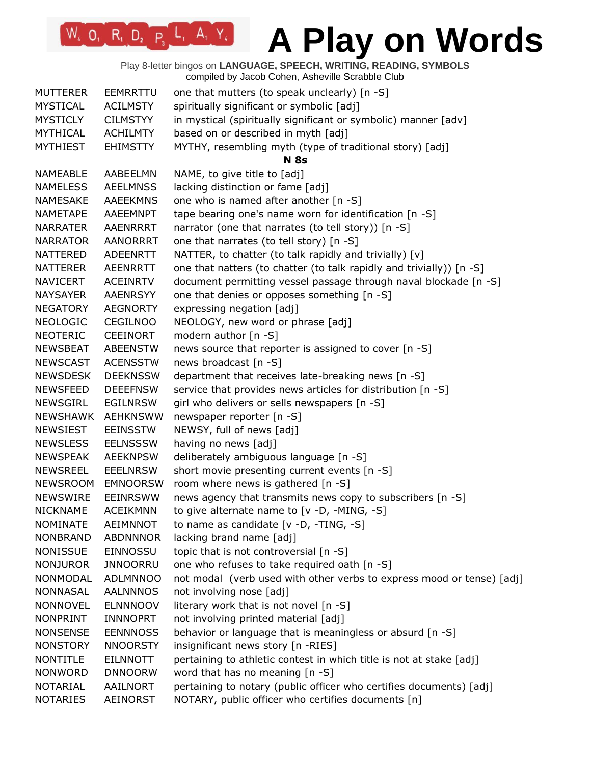Play 8-letter bingos on **LANGUAGE, SPEECH, WRITING, READING, SYMBOLS** compiled by Jacob Cohen, Asheville Scrabble Club

| <b>MUTTERER</b> | EEMRRTTU        | one that mutters (to speak unclearly) [n -S]                          |
|-----------------|-----------------|-----------------------------------------------------------------------|
| <b>MYSTICAL</b> | <b>ACILMSTY</b> | spiritually significant or symbolic [adj]                             |
| <b>MYSTICLY</b> | <b>CILMSTYY</b> | in mystical (spiritually significant or symbolic) manner [adv]        |
| <b>MYTHICAL</b> | <b>ACHILMTY</b> | based on or described in myth [adj]                                   |
| <b>MYTHIEST</b> | <b>EHIMSTTY</b> | MYTHY, resembling myth (type of traditional story) [adj]              |
|                 |                 | <b>N</b> 8s                                                           |
| NAMEABLE        | AABEELMN        | NAME, to give title to [adj]                                          |
| <b>NAMELESS</b> | <b>AEELMNSS</b> | lacking distinction or fame [adj]                                     |
| <b>NAMESAKE</b> | <b>AAEEKMNS</b> | one who is named after another [n -S]                                 |
| <b>NAMETAPE</b> | AAEEMNPT        | tape bearing one's name worn for identification [n -S]                |
| <b>NARRATER</b> | AAENRRRT        | narrator (one that narrates (to tell story)) [n -S]                   |
| <b>NARRATOR</b> | <b>AANORRRT</b> | one that narrates (to tell story) [n -S]                              |
| NATTERED        | ADEENRTT        | NATTER, to chatter (to talk rapidly and trivially) [v]                |
| NATTERER        | <b>AEENRRTT</b> | one that natters (to chatter (to talk rapidly and trivially)) [n -S]  |
| <b>NAVICERT</b> | <b>ACEINRTV</b> | document permitting vessel passage through naval blockade [n -S]      |
| NAYSAYER        | <b>AAENRSYY</b> | one that denies or opposes something [n -S]                           |
| <b>NEGATORY</b> | <b>AEGNORTY</b> | expressing negation [adj]                                             |
| <b>NEOLOGIC</b> | <b>CEGILNOO</b> | NEOLOGY, new word or phrase [adj]                                     |
| NEOTERIC        | <b>CEEINORT</b> | modern author [n -S]                                                  |
| NEWSBEAT        | <b>ABEENSTW</b> | news source that reporter is assigned to cover [n -S]                 |
| <b>NEWSCAST</b> | <b>ACENSSTW</b> | news broadcast [n -S]                                                 |
| <b>NEWSDESK</b> | <b>DEEKNSSW</b> | department that receives late-breaking news [n -S]                    |
| <b>NEWSFEED</b> | <b>DEEEFNSW</b> | service that provides news articles for distribution [n -S]           |
| <b>NEWSGIRL</b> | <b>EGILNRSW</b> | girl who delivers or sells newspapers [n -S]                          |
| NEWSHAWK        | <b>AEHKNSWW</b> | newspaper reporter [n -S]                                             |
| <b>NEWSIEST</b> | <b>EEINSSTW</b> | NEWSY, full of news [adj]                                             |
| <b>NEWSLESS</b> | <b>EELNSSSW</b> | having no news [adj]                                                  |
| <b>NEWSPEAK</b> | <b>AEEKNPSW</b> | deliberately ambiguous language [n -S]                                |
| <b>NEWSREEL</b> | <b>EEELNRSW</b> | short movie presenting current events [n -S]                          |
| <b>NEWSROOM</b> | <b>EMNOORSW</b> | room where news is gathered [n -S]                                    |
| <b>NEWSWIRE</b> | <b>EEINRSWW</b> | news agency that transmits news copy to subscribers [n -S]            |
| <b>NICKNAME</b> | <b>ACEIKMNN</b> | to give alternate name to $[v -D, -MING, -S]$                         |
| <b>NOMINATE</b> | <b>AEIMNNOT</b> | to name as candidate $[v -D, -TING, -S]$                              |
| <b>NONBRAND</b> | <b>ABDNNNOR</b> | lacking brand name [adj]                                              |
| <b>NONISSUE</b> | EINNOSSU        | topic that is not controversial [n -S]                                |
| <b>NONJUROR</b> | <b>JNNOORRU</b> | one who refuses to take required oath [n -S]                          |
| <b>NONMODAL</b> | <b>ADLMNNOO</b> | not modal (verb used with other verbs to express mood or tense) [adj] |
| <b>NONNASAL</b> | <b>AALNNNOS</b> | not involving nose [adj]                                              |
| <b>NONNOVEL</b> | <b>ELNNNOOV</b> | literary work that is not novel [n -S]                                |
| NONPRINT        | INNNOPRT        | not involving printed material [adj]                                  |
| <b>NONSENSE</b> | <b>EENNNOSS</b> | behavior or language that is meaningless or absurd [n -S]             |
| <b>NONSTORY</b> | <b>NNOORSTY</b> | insignificant news story [n -RIES]                                    |
| <b>NONTITLE</b> | <b>EILNNOTT</b> | pertaining to athletic contest in which title is not at stake [adj]   |
| <b>NONWORD</b>  | <b>DNNOORW</b>  | word that has no meaning [n -S]                                       |
| NOTARIAL        | AAILNORT        | pertaining to notary (public officer who certifies documents) [adj]   |
| <b>NOTARIES</b> | AEINORST        | NOTARY, public officer who certifies documents [n]                    |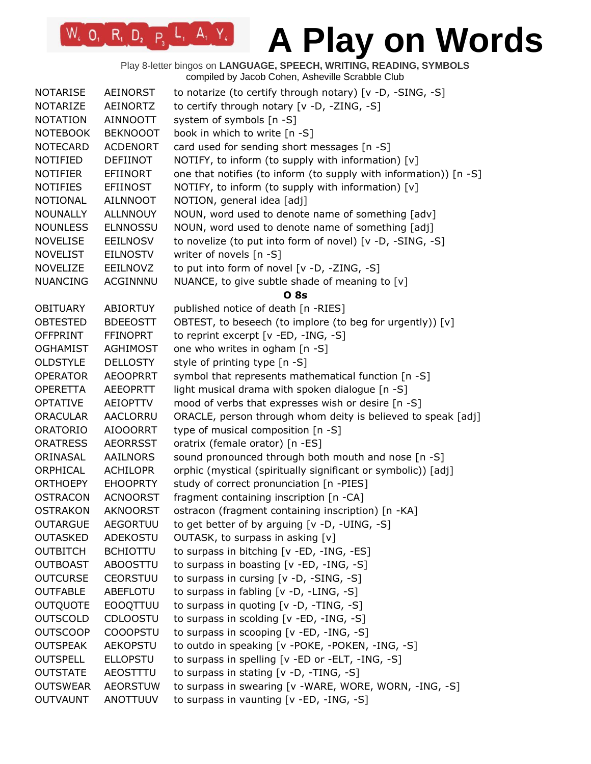Play 8-letter bingos on **LANGUAGE, SPEECH, WRITING, READING, SYMBOLS** compiled by Jacob Cohen, Asheville Scrabble Club

| <b>NOTARISE</b> | <b>AEINORST</b> | to notarize (to certify through notary) [v -D, -SING, -S]         |
|-----------------|-----------------|-------------------------------------------------------------------|
| <b>NOTARIZE</b> | AEINORTZ        | to certify through notary [v -D, -ZING, -S]                       |
| <b>NOTATION</b> | <b>AINNOOTT</b> | system of symbols [n -S]                                          |
| <b>NOTEBOOK</b> | <b>BEKNOOOT</b> | book in which to write [n -S]                                     |
| <b>NOTECARD</b> | <b>ACDENORT</b> | card used for sending short messages [n -S]                       |
| NOTIFIED        | <b>DEFIINOT</b> | NOTIFY, to inform (to supply with information) [v]                |
| <b>NOTIFIER</b> | EFIINORT        | one that notifies (to inform (to supply with information)) [n -S] |
| <b>NOTIFIES</b> | <b>EFIINOST</b> | NOTIFY, to inform (to supply with information) [v]                |
| <b>NOTIONAL</b> | AILNNOOT        | NOTION, general idea [adj]                                        |
| <b>NOUNALLY</b> | <b>ALLNNOUY</b> | NOUN, word used to denote name of something [adv]                 |
| <b>NOUNLESS</b> | <b>ELNNOSSU</b> | NOUN, word used to denote name of something [adj]                 |
| <b>NOVELISE</b> | EEILNOSV        | to novelize (to put into form of novel) [v -D, -SING, -S]         |
| <b>NOVELIST</b> | <b>EILNOSTV</b> | writer of novels [n -S]                                           |
| <b>NOVELIZE</b> | EEILNOVZ        | to put into form of novel [v -D, -ZING, -S]                       |
| <b>NUANCING</b> | ACGINNNU        | NUANCE, to give subtle shade of meaning to [v]                    |
|                 |                 | <b>O</b> 8s                                                       |
| <b>OBITUARY</b> | ABIORTUY        | published notice of death [n -RIES]                               |
| <b>OBTESTED</b> | <b>BDEEOSTT</b> | OBTEST, to beseech (to implore (to beg for urgently)) [v]         |
| <b>OFFPRINT</b> | <b>FFINOPRT</b> | to reprint excerpt [v -ED, -ING, -S]                              |
| <b>OGHAMIST</b> | <b>AGHIMOST</b> | one who writes in ogham [n -S]                                    |
| <b>OLDSTYLE</b> | <b>DELLOSTY</b> | style of printing type [n -S]                                     |
| <b>OPERATOR</b> | <b>AEOOPRRT</b> | symbol that represents mathematical function [n -S]               |
| <b>OPERETTA</b> | <b>AEEOPRTT</b> | light musical drama with spoken dialogue [n -S]                   |
| <b>OPTATIVE</b> | AEIOPTTV        | mood of verbs that expresses wish or desire [n -S]                |
| <b>ORACULAR</b> | AACLORRU        | ORACLE, person through whom deity is believed to speak [adj]      |
| <b>ORATORIO</b> | <b>AIOOORRT</b> | type of musical composition [n -S]                                |
| <b>ORATRESS</b> | <b>AEORRSST</b> | oratrix (female orator) [n -ES]                                   |
| ORINASAL        | AAILNORS        | sound pronounced through both mouth and nose [n -S]               |
| ORPHICAL        | <b>ACHILOPR</b> | orphic (mystical (spiritually significant or symbolic)) [adj]     |
| <b>ORTHOEPY</b> | <b>EHOOPRTY</b> | study of correct pronunciation [n -PIES]                          |
| <b>OSTRACON</b> | <b>ACNOORST</b> | fragment containing inscription [n -CA]                           |
| <b>OSTRAKON</b> | <b>AKNOORST</b> | ostracon (fragment containing inscription) [n -KA]                |
| <b>OUTARGUE</b> | <b>AEGORTUU</b> | to get better of by arguing [v -D, -UING, -S]                     |
| <b>OUTASKED</b> | ADEKOSTU        | OUTASK, to surpass in asking [v]                                  |
| <b>OUTBITCH</b> | <b>BCHIOTTU</b> | to surpass in bitching [v -ED, -ING, -ES]                         |
| <b>OUTBOAST</b> | <b>ABOOSTTU</b> | to surpass in boasting [v -ED, -ING, -S]                          |
| <b>OUTCURSE</b> | <b>CEORSTUU</b> | to surpass in cursing [v -D, -SING, -S]                           |
| <b>OUTFABLE</b> | ABEFLOTU        | to surpass in fabling [v -D, -LING, -S]                           |
| <b>OUTQUOTE</b> | <b>EOOQTTUU</b> | to surpass in quoting [v -D, -TING, -S]                           |
| <b>OUTSCOLD</b> | <b>CDLOOSTU</b> | to surpass in scolding [v -ED, -ING, -S]                          |
| <b>OUTSCOOP</b> | <b>COOOPSTU</b> | to surpass in scooping [v -ED, -ING, -S]                          |
| <b>OUTSPEAK</b> | <b>AEKOPSTU</b> | to outdo in speaking [v -POKE, -POKEN, -ING, -S]                  |
| <b>OUTSPELL</b> | <b>ELLOPSTU</b> | to surpass in spelling [v -ED or -ELT, -ING, -S]                  |
| <b>OUTSTATE</b> | AEOSTTTU        | to surpass in stating [v -D, -TING, -S]                           |
| <b>OUTSWEAR</b> | <b>AEORSTUW</b> | to surpass in swearing [v -WARE, WORE, WORN, -ING, -S]            |
| <b>OUTVAUNT</b> | ANOTTUUV        | to surpass in vaunting [v -ED, -ING, -S]                          |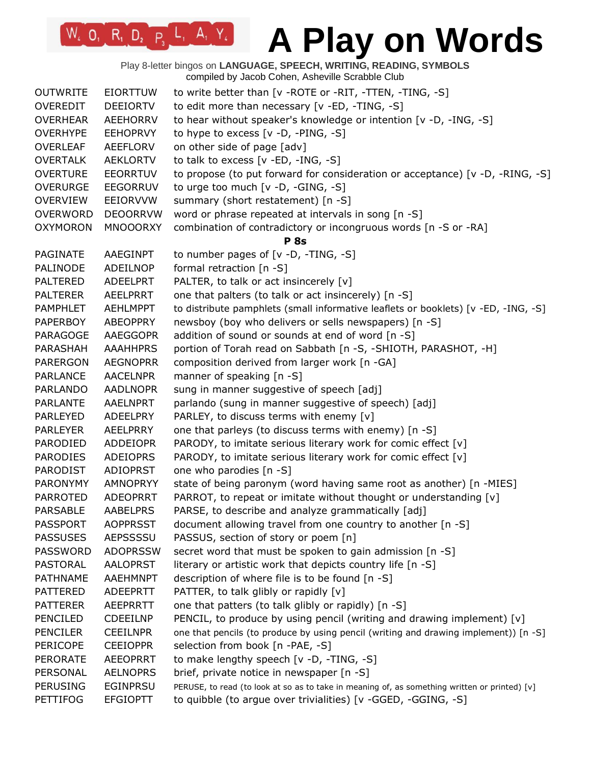# W. O. R. D. P. L. A. Y. A Play on Words

|                 |                 | Play 8-letter bingos on LANGUAGE, SPEECH, WRITING, READING, SYMBOLS<br>compiled by Jacob Cohen, Asheville Scrabble Club |
|-----------------|-----------------|-------------------------------------------------------------------------------------------------------------------------|
| <b>OUTWRITE</b> | <b>EIORTTUW</b> | to write better than [v - ROTE or - RIT, - TTEN, - TING, -S]                                                            |
| <b>OVEREDIT</b> | <b>DEEIORTV</b> | to edit more than necessary [v -ED, -TING, -S]                                                                          |
| <b>OVERHEAR</b> | <b>AEEHORRV</b> | to hear without speaker's knowledge or intention [v -D, -ING, -S]                                                       |
| <b>OVERHYPE</b> | <b>EEHOPRVY</b> | to hype to excess $[v -D, -PING, -S]$                                                                                   |
| <b>OVERLEAF</b> | AEEFLORV        | on other side of page [adv]                                                                                             |
| <b>OVERTALK</b> | <b>AEKLORTV</b> | to talk to excess [v -ED, -ING, -S]                                                                                     |
| <b>OVERTURE</b> | <b>EEORRTUV</b> | to propose (to put forward for consideration or acceptance) [v -D, -RING, -S]                                           |
| <b>OVERURGE</b> | <b>EEGORRUV</b> | to urge too much [v -D, -GING, -S]                                                                                      |
| <b>OVERVIEW</b> | EEIORVVW        | summary (short restatement) [n -S]                                                                                      |
| <b>OVERWORD</b> | <b>DEOORRVW</b> | word or phrase repeated at intervals in song [n -S]                                                                     |
| <b>OXYMORON</b> | <b>MNOOORXY</b> | combination of contradictory or incongruous words [n -S or -RA]                                                         |
|                 |                 | <b>P</b> 8s                                                                                                             |
| PAGINATE        | AAEGINPT        | to number pages of $[v -D, -TING, -S]$                                                                                  |
| PALINODE        | ADEILNOP        | formal retraction [n -S]                                                                                                |
| <b>PALTERED</b> | <b>ADEELPRT</b> | PALTER, to talk or act insincerely [v]                                                                                  |
| <b>PALTERER</b> | <b>AEELPRRT</b> | one that palters (to talk or act insincerely) [n -S]                                                                    |
| <b>PAMPHLET</b> | <b>AEHLMPPT</b> | to distribute pamphlets (small informative leaflets or booklets) [v -ED, -ING, -S]                                      |
| <b>PAPERBOY</b> | <b>ABEOPPRY</b> | newsboy (boy who delivers or sells newspapers) [n -S]                                                                   |
| PARAGOGE        | <b>AAEGGOPR</b> | addition of sound or sounds at end of word [n -S]                                                                       |
| PARASHAH        | <b>AAAHHPRS</b> | portion of Torah read on Sabbath [n -S, -SHIOTH, PARASHOT, -H]                                                          |
| <b>PARERGON</b> | <b>AEGNOPRR</b> | composition derived from larger work [n -GA]                                                                            |
| <b>PARLANCE</b> | <b>AACELNPR</b> | manner of speaking [n -S]                                                                                               |
| <b>PARLANDO</b> | <b>AADLNOPR</b> | sung in manner suggestive of speech [adj]                                                                               |
| <b>PARLANTE</b> | <b>AAELNPRT</b> | parlando (sung in manner suggestive of speech) [adj]                                                                    |
| <b>PARLEYED</b> | <b>ADEELPRY</b> | PARLEY, to discuss terms with enemy [v]                                                                                 |
| <b>PARLEYER</b> | AEELPRRY        | one that parleys (to discuss terms with enemy) [n -S]                                                                   |
| PARODIED        | <b>ADDEIOPR</b> | PARODY, to imitate serious literary work for comic effect [v]                                                           |
| <b>PARODIES</b> | <b>ADEIOPRS</b> | PARODY, to imitate serious literary work for comic effect [v]                                                           |
| <b>PARODIST</b> | <b>ADIOPRST</b> | one who parodies [n -S]                                                                                                 |
| <b>PARONYMY</b> | <b>AMNOPRYY</b> | state of being paronym (word having same root as another) [n -MIES]                                                     |
| <b>PARROTED</b> | <b>ADEOPRRT</b> | PARROT, to repeat or imitate without thought or understanding [v]                                                       |
| <b>PARSABLE</b> | <b>AABELPRS</b> | PARSE, to describe and analyze grammatically [adj]                                                                      |
| <b>PASSPORT</b> | <b>AOPPRSST</b> | document allowing travel from one country to another [n -S]                                                             |
| <b>PASSUSES</b> | <b>AEPSSSSU</b> | PASSUS, section of story or poem [n]                                                                                    |
| <b>PASSWORD</b> | <b>ADOPRSSW</b> | secret word that must be spoken to gain admission [n -S]                                                                |
| PASTORAL        | <b>AALOPRST</b> | literary or artistic work that depicts country life [n -S]                                                              |
| <b>PATHNAME</b> | <b>AAEHMNPT</b> | description of where file is to be found [n -S]                                                                         |
| <b>PATTERED</b> | <b>ADEEPRTT</b> | PATTER, to talk glibly or rapidly [v]                                                                                   |
| <b>PATTERER</b> | <b>AEEPRRTT</b> | one that patters (to talk glibly or rapidly) [n -S]                                                                     |
| <b>PENCILED</b> | <b>CDEEILNP</b> | PENCIL, to produce by using pencil (writing and drawing implement) [v]                                                  |
| <b>PENCILER</b> | <b>CEEILNPR</b> | one that pencils (to produce by using pencil (writing and drawing implement)) [n -S]                                    |
| <b>PERICOPE</b> | <b>CEEIOPPR</b> | selection from book [n -PAE, -S]                                                                                        |
| <b>PERORATE</b> | <b>AEEOPRRT</b> | to make lengthy speech [v -D, -TING, -S]                                                                                |
| PERSONAL        | <b>AELNOPRS</b> | brief, private notice in newspaper [n -S]                                                                               |
| <b>PERUSING</b> | <b>EGINPRSU</b> | PERUSE, to read (to look at so as to take in meaning of, as something written or printed) [v]                           |
| <b>PETTIFOG</b> | <b>EFGIOPTT</b> | to quibble (to argue over trivialities) [v -GGED, -GGING, -S]                                                           |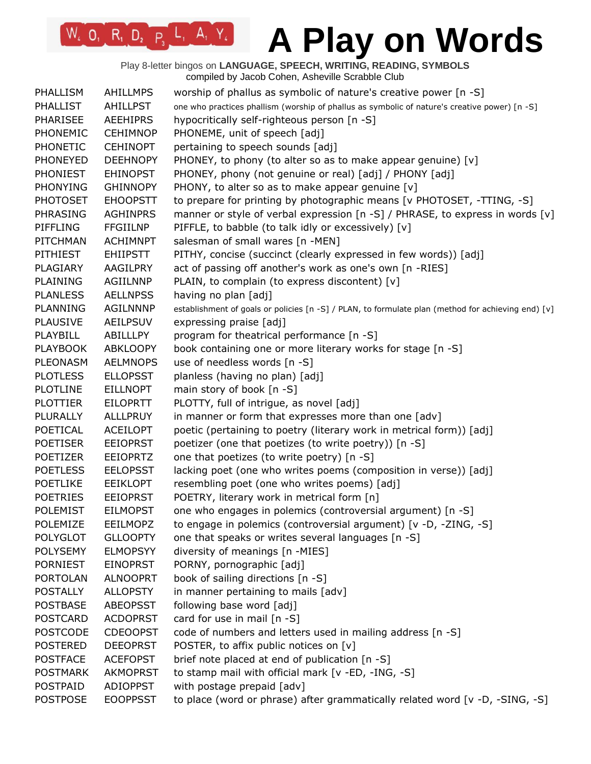Play 8-letter bingos on **LANGUAGE, SPEECH, WRITING, READING, SYMBOLS** compiled by Jacob Cohen, Asheville Scrabble Club

| <b>PHALLIST</b><br><b>AHILLPST</b><br>one who practices phallism (worship of phallus as symbolic of nature's creative power) [n -S]<br><b>PHARISEE</b><br><b>AEEHIPRS</b><br>hypocritically self-righteous person [n -S]<br>PHONEMIC<br>PHONEME, unit of speech [adj]<br><b>CEHIMNOP</b><br><b>CEHINOPT</b><br>pertaining to speech sounds [adj]<br><b>PHONETIC</b><br>PHONEY, to phony (to alter so as to make appear genuine) [v]<br><b>PHONEYED</b><br><b>DEEHNOPY</b><br>PHONEY, phony (not genuine or real) [adj] / PHONY [adj]<br><b>PHONIEST</b><br><b>EHINOPST</b><br>PHONY, to alter so as to make appear genuine [v]<br><b>PHONYING</b><br><b>GHINNOPY</b><br><b>EHOOPSTT</b><br>to prepare for printing by photographic means [v PHOTOSET, -TTING, -S]<br><b>PHOTOSET</b><br>PHRASING<br><b>AGHINPRS</b><br>manner or style of verbal expression $[n -S]$ / PHRASE, to express in words $[v]$<br><b>PIFFLING</b><br><b>FFGIILNP</b><br>PIFFLE, to babble (to talk idly or excessively) [v] |
|-------------------------------------------------------------------------------------------------------------------------------------------------------------------------------------------------------------------------------------------------------------------------------------------------------------------------------------------------------------------------------------------------------------------------------------------------------------------------------------------------------------------------------------------------------------------------------------------------------------------------------------------------------------------------------------------------------------------------------------------------------------------------------------------------------------------------------------------------------------------------------------------------------------------------------------------------------------------------------------------------------|
|                                                                                                                                                                                                                                                                                                                                                                                                                                                                                                                                                                                                                                                                                                                                                                                                                                                                                                                                                                                                       |
|                                                                                                                                                                                                                                                                                                                                                                                                                                                                                                                                                                                                                                                                                                                                                                                                                                                                                                                                                                                                       |
|                                                                                                                                                                                                                                                                                                                                                                                                                                                                                                                                                                                                                                                                                                                                                                                                                                                                                                                                                                                                       |
|                                                                                                                                                                                                                                                                                                                                                                                                                                                                                                                                                                                                                                                                                                                                                                                                                                                                                                                                                                                                       |
|                                                                                                                                                                                                                                                                                                                                                                                                                                                                                                                                                                                                                                                                                                                                                                                                                                                                                                                                                                                                       |
|                                                                                                                                                                                                                                                                                                                                                                                                                                                                                                                                                                                                                                                                                                                                                                                                                                                                                                                                                                                                       |
|                                                                                                                                                                                                                                                                                                                                                                                                                                                                                                                                                                                                                                                                                                                                                                                                                                                                                                                                                                                                       |
|                                                                                                                                                                                                                                                                                                                                                                                                                                                                                                                                                                                                                                                                                                                                                                                                                                                                                                                                                                                                       |
|                                                                                                                                                                                                                                                                                                                                                                                                                                                                                                                                                                                                                                                                                                                                                                                                                                                                                                                                                                                                       |
|                                                                                                                                                                                                                                                                                                                                                                                                                                                                                                                                                                                                                                                                                                                                                                                                                                                                                                                                                                                                       |
| salesman of small wares [n -MEN]<br>PITCHMAN<br><b>ACHIMNPT</b>                                                                                                                                                                                                                                                                                                                                                                                                                                                                                                                                                                                                                                                                                                                                                                                                                                                                                                                                       |
| PITHY, concise (succinct (clearly expressed in few words)) [adj]<br><b>PITHIEST</b><br><b>EHIIPSTT</b>                                                                                                                                                                                                                                                                                                                                                                                                                                                                                                                                                                                                                                                                                                                                                                                                                                                                                                |
| act of passing off another's work as one's own [n -RIES]<br>PLAGIARY<br>AAGILPRY                                                                                                                                                                                                                                                                                                                                                                                                                                                                                                                                                                                                                                                                                                                                                                                                                                                                                                                      |
| PLAINING<br>PLAIN, to complain (to express discontent) [v]<br><b>AGIILNNP</b>                                                                                                                                                                                                                                                                                                                                                                                                                                                                                                                                                                                                                                                                                                                                                                                                                                                                                                                         |
| <b>PLANLESS</b><br><b>AELLNPSS</b><br>having no plan [adj]                                                                                                                                                                                                                                                                                                                                                                                                                                                                                                                                                                                                                                                                                                                                                                                                                                                                                                                                            |
| <b>PLANNING</b><br><b>AGILNNNP</b><br>establishment of goals or policies [n -S] / PLAN, to formulate plan (method for achieving end) [v]                                                                                                                                                                                                                                                                                                                                                                                                                                                                                                                                                                                                                                                                                                                                                                                                                                                              |
| <b>PLAUSIVE</b><br><b>AEILPSUV</b><br>expressing praise [adj]                                                                                                                                                                                                                                                                                                                                                                                                                                                                                                                                                                                                                                                                                                                                                                                                                                                                                                                                         |
| PLAYBILL<br>program for theatrical performance [n -S]<br>ABILLLPY                                                                                                                                                                                                                                                                                                                                                                                                                                                                                                                                                                                                                                                                                                                                                                                                                                                                                                                                     |
| ABKLOOPY<br>book containing one or more literary works for stage [n -S]<br><b>PLAYBOOK</b>                                                                                                                                                                                                                                                                                                                                                                                                                                                                                                                                                                                                                                                                                                                                                                                                                                                                                                            |
| use of needless words [n -S]<br><b>PLEONASM</b><br><b>AELMNOPS</b>                                                                                                                                                                                                                                                                                                                                                                                                                                                                                                                                                                                                                                                                                                                                                                                                                                                                                                                                    |
| <b>PLOTLESS</b><br><b>ELLOPSST</b><br>planless (having no plan) [adj]                                                                                                                                                                                                                                                                                                                                                                                                                                                                                                                                                                                                                                                                                                                                                                                                                                                                                                                                 |
| <b>PLOTLINE</b><br><b>EILLNOPT</b>                                                                                                                                                                                                                                                                                                                                                                                                                                                                                                                                                                                                                                                                                                                                                                                                                                                                                                                                                                    |
| main story of book [n -S]                                                                                                                                                                                                                                                                                                                                                                                                                                                                                                                                                                                                                                                                                                                                                                                                                                                                                                                                                                             |
| PLOTTY, full of intrigue, as novel [adj]<br><b>PLOTTIER</b><br><b>EILOPRTT</b>                                                                                                                                                                                                                                                                                                                                                                                                                                                                                                                                                                                                                                                                                                                                                                                                                                                                                                                        |
| in manner or form that expresses more than one [adv]<br>PLURALLY<br><b>ALLLPRUY</b>                                                                                                                                                                                                                                                                                                                                                                                                                                                                                                                                                                                                                                                                                                                                                                                                                                                                                                                   |
| POETICAL<br>poetic (pertaining to poetry (literary work in metrical form)) [adj]<br><b>ACEILOPT</b>                                                                                                                                                                                                                                                                                                                                                                                                                                                                                                                                                                                                                                                                                                                                                                                                                                                                                                   |
| <b>EEIOPRST</b><br>poetizer (one that poetizes (to write poetry)) [n -S]<br><b>POETISER</b>                                                                                                                                                                                                                                                                                                                                                                                                                                                                                                                                                                                                                                                                                                                                                                                                                                                                                                           |
| <b>POETIZER</b><br><b>EEIOPRTZ</b><br>one that poetizes (to write poetry) [n -S]                                                                                                                                                                                                                                                                                                                                                                                                                                                                                                                                                                                                                                                                                                                                                                                                                                                                                                                      |
| <b>POETLESS</b><br><b>EELOPSST</b><br>lacking poet (one who writes poems (composition in verse)) [adj]                                                                                                                                                                                                                                                                                                                                                                                                                                                                                                                                                                                                                                                                                                                                                                                                                                                                                                |
| resembling poet (one who writes poems) [adj]<br><b>POETLIKE</b><br><b>EEIKLOPT</b>                                                                                                                                                                                                                                                                                                                                                                                                                                                                                                                                                                                                                                                                                                                                                                                                                                                                                                                    |
| POETRY, literary work in metrical form [n]<br><b>POETRIES</b><br><b>EEIOPRST</b>                                                                                                                                                                                                                                                                                                                                                                                                                                                                                                                                                                                                                                                                                                                                                                                                                                                                                                                      |
| one who engages in polemics (controversial argument) [n -S]<br><b>POLEMIST</b><br><b>EILMOPST</b>                                                                                                                                                                                                                                                                                                                                                                                                                                                                                                                                                                                                                                                                                                                                                                                                                                                                                                     |
| to engage in polemics (controversial argument) [v -D, -ZING, -S]<br>POLEMIZE<br><b>EEILMOPZ</b>                                                                                                                                                                                                                                                                                                                                                                                                                                                                                                                                                                                                                                                                                                                                                                                                                                                                                                       |
| one that speaks or writes several languages [n -S]<br><b>POLYGLOT</b><br><b>GLLOOPTY</b>                                                                                                                                                                                                                                                                                                                                                                                                                                                                                                                                                                                                                                                                                                                                                                                                                                                                                                              |
| diversity of meanings [n -MIES]<br><b>POLYSEMY</b><br><b>ELMOPSYY</b>                                                                                                                                                                                                                                                                                                                                                                                                                                                                                                                                                                                                                                                                                                                                                                                                                                                                                                                                 |
| PORNY, pornographic [adj]<br><b>PORNIEST</b><br><b>EINOPRST</b>                                                                                                                                                                                                                                                                                                                                                                                                                                                                                                                                                                                                                                                                                                                                                                                                                                                                                                                                       |
| book of sailing directions [n -S]<br><b>PORTOLAN</b><br><b>ALNOOPRT</b>                                                                                                                                                                                                                                                                                                                                                                                                                                                                                                                                                                                                                                                                                                                                                                                                                                                                                                                               |
| <b>POSTALLY</b><br><b>ALLOPSTY</b><br>in manner pertaining to mails [adv]                                                                                                                                                                                                                                                                                                                                                                                                                                                                                                                                                                                                                                                                                                                                                                                                                                                                                                                             |
| following base word [adj]<br><b>POSTBASE</b><br><b>ABEOPSST</b>                                                                                                                                                                                                                                                                                                                                                                                                                                                                                                                                                                                                                                                                                                                                                                                                                                                                                                                                       |
| <b>POSTCARD</b><br><b>ACDOPRST</b><br>card for use in mail [n -S]                                                                                                                                                                                                                                                                                                                                                                                                                                                                                                                                                                                                                                                                                                                                                                                                                                                                                                                                     |
| code of numbers and letters used in mailing address [n -S]<br><b>POSTCODE</b><br><b>CDEOOPST</b>                                                                                                                                                                                                                                                                                                                                                                                                                                                                                                                                                                                                                                                                                                                                                                                                                                                                                                      |
| POSTER, to affix public notices on [v]<br><b>POSTERED</b><br><b>DEEOPRST</b>                                                                                                                                                                                                                                                                                                                                                                                                                                                                                                                                                                                                                                                                                                                                                                                                                                                                                                                          |
| <b>POSTFACE</b><br><b>ACEFOPST</b><br>brief note placed at end of publication [n -S]                                                                                                                                                                                                                                                                                                                                                                                                                                                                                                                                                                                                                                                                                                                                                                                                                                                                                                                  |
| <b>POSTMARK</b><br>to stamp mail with official mark [v -ED, -ING, -S]<br><b>AKMOPRST</b>                                                                                                                                                                                                                                                                                                                                                                                                                                                                                                                                                                                                                                                                                                                                                                                                                                                                                                              |
| with postage prepaid [adv]<br><b>POSTPAID</b><br><b>ADIOPPST</b>                                                                                                                                                                                                                                                                                                                                                                                                                                                                                                                                                                                                                                                                                                                                                                                                                                                                                                                                      |
| to place (word or phrase) after grammatically related word [v -D, -SING, -S]<br><b>POSTPOSE</b><br><b>EOOPPSST</b>                                                                                                                                                                                                                                                                                                                                                                                                                                                                                                                                                                                                                                                                                                                                                                                                                                                                                    |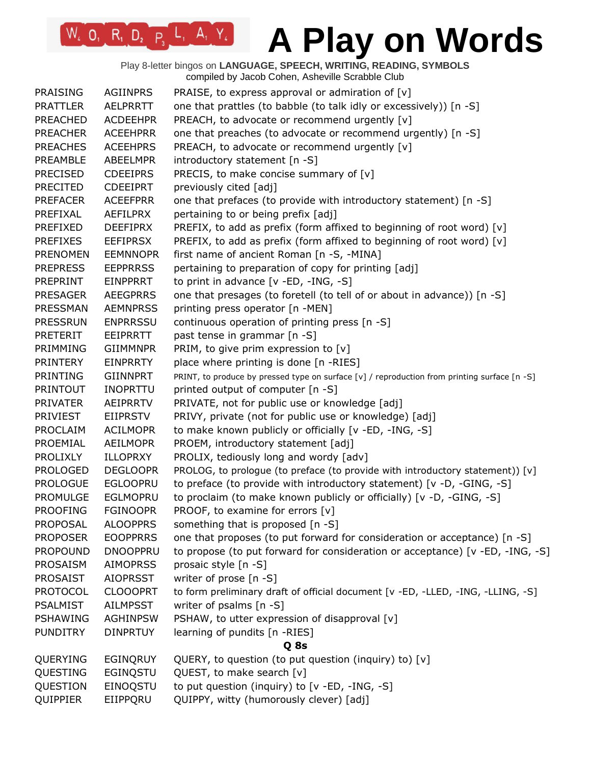Play 8-letter bingos on **LANGUAGE, SPEECH, WRITING, READING, SYMBOLS** compiled by Jacob Cohen, Asheville Scrabble Club

| <b>PRAISING</b> | <b>AGIINPRS</b> | PRAISE, to express approval or admiration of $[v]$                                           |
|-----------------|-----------------|----------------------------------------------------------------------------------------------|
| <b>PRATTLER</b> | <b>AELPRRTT</b> | one that prattles (to babble (to talk idly or excessively)) [n -S]                           |
| <b>PREACHED</b> | <b>ACDEEHPR</b> | PREACH, to advocate or recommend urgently [v]                                                |
| <b>PREACHER</b> | <b>ACEEHPRR</b> | one that preaches (to advocate or recommend urgently) [n -S]                                 |
| <b>PREACHES</b> | <b>ACEEHPRS</b> | PREACH, to advocate or recommend urgently [v]                                                |
| PREAMBLE        | ABEELMPR        | introductory statement [n -S]                                                                |
| <b>PRECISED</b> | <b>CDEEIPRS</b> | PRECIS, to make concise summary of [v]                                                       |
| <b>PRECITED</b> | <b>CDEEIPRT</b> | previously cited [adj]                                                                       |
| <b>PREFACER</b> | <b>ACEEFPRR</b> | one that prefaces (to provide with introductory statement) [n -S]                            |
| PREFIXAL        | <b>AEFILPRX</b> | pertaining to or being prefix [adj]                                                          |
| <b>PREFIXED</b> | <b>DEEFIPRX</b> | PREFIX, to add as prefix (form affixed to beginning of root word) [v]                        |
| <b>PREFIXES</b> | <b>EEFIPRSX</b> | PREFIX, to add as prefix (form affixed to beginning of root word) [v]                        |
| <b>PRENOMEN</b> | <b>EEMNNOPR</b> | first name of ancient Roman [n -S, -MINA]                                                    |
| <b>PREPRESS</b> | <b>EEPPRRSS</b> | pertaining to preparation of copy for printing [adj]                                         |
| <b>PREPRINT</b> | EINPPRRT        | to print in advance $[v - ED, -ING, -S]$                                                     |
|                 |                 |                                                                                              |
| <b>PRESAGER</b> | <b>AEEGPRRS</b> | one that presages (to foretell (to tell of or about in advance)) [n -S]                      |
| PRESSMAN        | <b>AEMNPRSS</b> | printing press operator [n -MEN]                                                             |
| <b>PRESSRUN</b> | <b>ENPRRSSU</b> | continuous operation of printing press [n -S]                                                |
| <b>PRETERIT</b> | EEIPRRTT        | past tense in grammar [n -S]                                                                 |
| PRIMMING        | <b>GIIMMNPR</b> | PRIM, to give prim expression to $[v]$                                                       |
| <b>PRINTERY</b> | <b>EINPRRTY</b> | place where printing is done [n -RIES]                                                       |
| <b>PRINTING</b> | <b>GIINNPRT</b> | PRINT, to produce by pressed type on surface [v] / reproduction from printing surface [n -S] |
| <b>PRINTOUT</b> | <b>INOPRTTU</b> | printed output of computer [n -S]                                                            |
| <b>PRIVATER</b> | <b>AEIPRRTV</b> | PRIVATE, not for public use or knowledge [adj]                                               |
| <b>PRIVIEST</b> | <b>EIIPRSTV</b> | PRIVY, private (not for public use or knowledge) [adj]                                       |
| PROCLAIM        | <b>ACILMOPR</b> | to make known publicly or officially [v -ED, -ING, -S]                                       |
| PROEMIAL        | <b>AEILMOPR</b> | PROEM, introductory statement [adj]                                                          |
| <b>PROLIXLY</b> | <b>ILLOPRXY</b> | PROLIX, tediously long and wordy [adv]                                                       |
| <b>PROLOGED</b> | <b>DEGLOOPR</b> | PROLOG, to prologue (to preface (to provide with introductory statement)) [v]                |
| <b>PROLOGUE</b> | <b>EGLOOPRU</b> | to preface (to provide with introductory statement) [v -D, -GING, -S]                        |
| <b>PROMULGE</b> | <b>EGLMOPRU</b> | to proclaim (to make known publicly or officially) [v -D, -GING, -S]                         |
| <b>PROOFING</b> | <b>FGINOOPR</b> | PROOF, to examine for errors [v]                                                             |
| <b>PROPOSAL</b> | <b>ALOOPPRS</b> | something that is proposed [n -S]                                                            |
| <b>PROPOSER</b> | <b>EOOPPRRS</b> | one that proposes (to put forward for consideration or acceptance) [n -S]                    |
| <b>PROPOUND</b> | <b>DNOOPPRU</b> | to propose (to put forward for consideration or acceptance) [v -ED, -ING, -S]                |
| PROSAISM        | <b>AIMOPRSS</b> | prosaic style [n -S]                                                                         |
| <b>PROSAIST</b> | <b>AIOPRSST</b> | writer of prose [n -S]                                                                       |
| <b>PROTOCOL</b> | <b>CLOOOPRT</b> | to form preliminary draft of official document [v -ED, -LLED, -ING, -LLING, -S]              |
| <b>PSALMIST</b> | <b>AILMPSST</b> | writer of psalms [n -S]                                                                      |
| PSHAWING        | <b>AGHINPSW</b> | PSHAW, to utter expression of disapproval [v]                                                |
| <b>PUNDITRY</b> | <b>DINPRTUY</b> | learning of pundits [n -RIES]                                                                |
|                 |                 | Q 8s                                                                                         |
| QUERYING        | <b>EGINQRUY</b> | QUERY, to question (to put question (inquiry) to) [v]                                        |
| QUESTING        | EGINQSTU        | QUEST, to make search [v]                                                                    |
| QUESTION        | EINOQSTU        | to put question (inquiry) to [v -ED, -ING, -S]                                               |
|                 |                 |                                                                                              |
| QUIPPIER        | EIIPPQRU        | QUIPPY, witty (humorously clever) [adj]                                                      |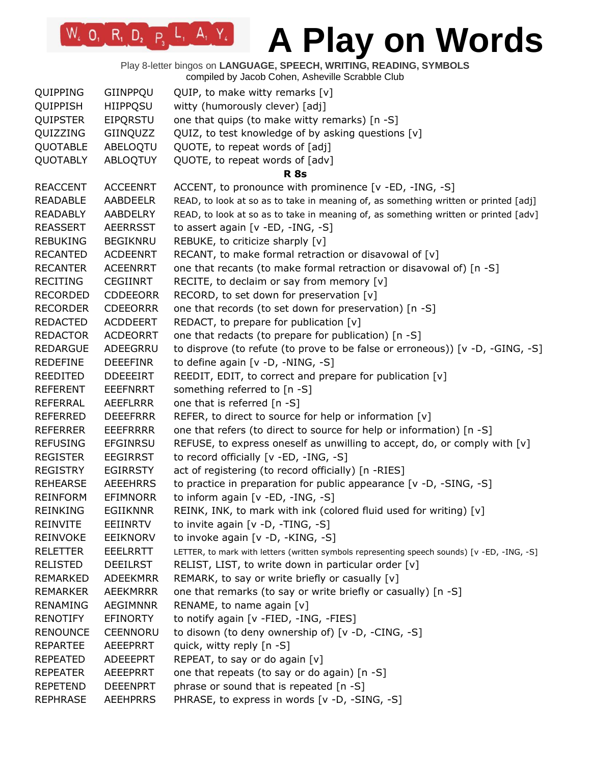Play 8-letter bingos on **LANGUAGE, SPEECH, WRITING, READING, SYMBOLS** compiled by Jacob Cohen, Asheville Scrabble Club

| QUIPPING        | GIINPPQU        | QUIP, to make witty remarks $[v]$                                                           |
|-----------------|-----------------|---------------------------------------------------------------------------------------------|
| QUIPPISH        | <b>HIIPPQSU</b> | witty (humorously clever) [adj]                                                             |
| <b>QUIPSTER</b> | <b>EIPQRSTU</b> | one that quips (to make witty remarks) [n -S]                                               |
| QUIZZING        | GIINQUZZ        | QUIZ, to test knowledge of by asking questions [v]                                          |
| QUOTABLE        | ABELOQTU        | QUOTE, to repeat words of [adj]                                                             |
| <b>QUOTABLY</b> | ABLOQTUY        | QUOTE, to repeat words of [adv]                                                             |
|                 |                 | <b>R</b> 8s                                                                                 |
| <b>REACCENT</b> | <b>ACCEENRT</b> | ACCENT, to pronounce with prominence [v -ED, -ING, -S]                                      |
| <b>READABLE</b> | AABDEELR        | READ, to look at so as to take in meaning of, as something written or printed [adj]         |
| <b>READABLY</b> | AABDELRY        | READ, to look at so as to take in meaning of, as something written or printed [adv]         |
| <b>REASSERT</b> | <b>AEERRSST</b> | to assert again [v -ED, -ING, -S]                                                           |
| <b>REBUKING</b> | <b>BEGIKNRU</b> | REBUKE, to criticize sharply [v]                                                            |
| <b>RECANTED</b> | <b>ACDEENRT</b> | RECANT, to make formal retraction or disavowal of [v]                                       |
| <b>RECANTER</b> | <b>ACEENRRT</b> | one that recants (to make formal retraction or disavowal of) [n -S]                         |
| <b>RECITING</b> | <b>CEGIINRT</b> | RECITE, to declaim or say from memory [v]                                                   |
| <b>RECORDED</b> | <b>CDDEEORR</b> | RECORD, to set down for preservation [v]                                                    |
| <b>RECORDER</b> | <b>CDEEORRR</b> | one that records (to set down for preservation) [n -S]                                      |
| <b>REDACTED</b> | <b>ACDDEERT</b> | REDACT, to prepare for publication [v]                                                      |
| <b>REDACTOR</b> | <b>ACDEORRT</b> | one that redacts (to prepare for publication) [n -S]                                        |
| <b>REDARGUE</b> | ADEEGRRU        | to disprove (to refute (to prove to be false or erroneous)) [v -D, -GING, -S]               |
| <b>REDEFINE</b> | <b>DEEEFINR</b> | to define again [v -D, -NING, -S]                                                           |
| REEDITED        | <b>DDEEEIRT</b> | REEDIT, EDIT, to correct and prepare for publication [v]                                    |
| <b>REFERENT</b> | <b>EEEFNRRT</b> | something referred to [n -S]                                                                |
| <b>REFERRAL</b> | <b>AEEFLRRR</b> | one that is referred [n -S]                                                                 |
| <b>REFERRED</b> | <b>DEEEFRRR</b> | REFER, to direct to source for help or information [v]                                      |
| <b>REFERRER</b> | <b>EEEFRRRR</b> | one that refers (to direct to source for help or information) [n -S]                        |
| <b>REFUSING</b> | EFGINRSU        | REFUSE, to express oneself as unwilling to accept, do, or comply with [v]                   |
| <b>REGISTER</b> | <b>EEGIRRST</b> | to record officially [v -ED, -ING, -S]                                                      |
| <b>REGISTRY</b> | <b>EGIRRSTY</b> | act of registering (to record officially) [n -RIES]                                         |
| <b>REHEARSE</b> | <b>AEEEHRRS</b> | to practice in preparation for public appearance [v -D, -SING, -S]                          |
| <b>REINFORM</b> | <b>EFIMNORR</b> | to inform again [v -ED, -ING, -S]                                                           |
| <b>REINKING</b> | <b>EGIIKNNR</b> | REINK, INK, to mark with ink (colored fluid used for writing) [v]                           |
| <b>REINVITE</b> | <b>EEIINRTV</b> | to invite again [v -D, -TING, -S]                                                           |
| <b>REINVOKE</b> | <b>EEIKNORV</b> | to invoke again [v -D, -KING, -S]                                                           |
| <b>RELETTER</b> | <b>EEELRRTT</b> | LETTER, to mark with letters (written symbols representing speech sounds) [v -ED, -ING, -S] |
| <b>RELISTED</b> | <b>DEEILRST</b> | RELIST, LIST, to write down in particular order [v]                                         |
| REMARKED        | <b>ADEEKMRR</b> | REMARK, to say or write briefly or casually [v]                                             |
| <b>REMARKER</b> | <b>AEEKMRRR</b> | one that remarks (to say or write briefly or casually) [n -S]                               |
| <b>RENAMING</b> | <b>AEGIMNNR</b> | RENAME, to name again [v]                                                                   |
| <b>RENOTIFY</b> | <b>EFINORTY</b> | to notify again [v -FIED, -ING, -FIES]                                                      |
| <b>RENOUNCE</b> | <b>CEENNORU</b> | to disown (to deny ownership of) [v -D, -CING, -S]                                          |
| <b>REPARTEE</b> | <b>AEEEPRRT</b> | quick, witty reply [n -S]                                                                   |
| <b>REPEATED</b> | ADEEEPRT        | REPEAT, to say or do again [v]                                                              |
| <b>REPEATER</b> | AEEEPRRT        | one that repeats (to say or do again) [n -S]                                                |
| <b>REPETEND</b> | <b>DEEENPRT</b> | phrase or sound that is repeated [n -S]                                                     |
| <b>REPHRASE</b> | <b>AEEHPRRS</b> | PHRASE, to express in words [v -D, -SING, -S]                                               |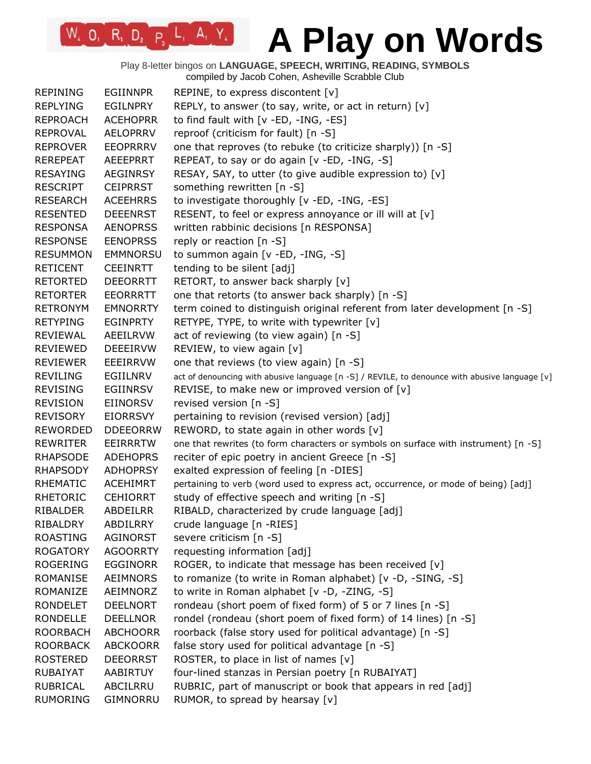Play 8-letter bingos on **LANGUAGE, SPEECH, WRITING, READING, SYMBOLS** compiled by Jacob Cohen, Asheville Scrabble Club

| <b>REPINING</b> | <b>EGIINNPR</b> | REPINE, to express discontent $[v]$                                                            |
|-----------------|-----------------|------------------------------------------------------------------------------------------------|
| <b>REPLYING</b> | <b>EGILNPRY</b> | REPLY, to answer (to say, write, or act in return) $[v]$                                       |
| <b>REPROACH</b> | <b>ACEHOPRR</b> | to find fault with [v -ED, -ING, -ES]                                                          |
| <b>REPROVAL</b> | <b>AELOPRRV</b> | reproof (criticism for fault) [n -S]                                                           |
| <b>REPROVER</b> | <b>EEOPRRRV</b> | one that reproves (to rebuke (to criticize sharply)) [n -S]                                    |
| <b>REREPEAT</b> | <b>AEEEPRRT</b> | REPEAT, to say or do again [v -ED, -ING, -S]                                                   |
| <b>RESAYING</b> | <b>AEGINRSY</b> | RESAY, SAY, to utter (to give audible expression to) [v]                                       |
| <b>RESCRIPT</b> | <b>CEIPRRST</b> | something rewritten [n -S]                                                                     |
| <b>RESEARCH</b> | <b>ACEEHRRS</b> | to investigate thoroughly [v -ED, -ING, -ES]                                                   |
| <b>RESENTED</b> | <b>DEEENRST</b> | RESENT, to feel or express annoyance or ill will at [v]                                        |
| <b>RESPONSA</b> | <b>AENOPRSS</b> | written rabbinic decisions [n RESPONSA]                                                        |
| <b>RESPONSE</b> | <b>EENOPRSS</b> | reply or reaction [n -S]                                                                       |
| <b>RESUMMON</b> | <b>EMMNORSU</b> | to summon again [v -ED, -ING, -S]                                                              |
| <b>RETICENT</b> | <b>CEEINRTT</b> | tending to be silent [adj]                                                                     |
| <b>RETORTED</b> | <b>DEEORRTT</b> | RETORT, to answer back sharply [v]                                                             |
| <b>RETORTER</b> | <b>EEORRRTT</b> | one that retorts (to answer back sharply) [n -S]                                               |
| <b>RETRONYM</b> | <b>EMNORRTY</b> | term coined to distinguish original referent from later development [n -S]                     |
| <b>RETYPING</b> | <b>EGINPRTY</b> | RETYPE, TYPE, to write with typewriter [v]                                                     |
| <b>REVIEWAL</b> | AEEILRVW        | act of reviewing (to view again) [n -S]                                                        |
| <b>REVIEWED</b> | <b>DEEEIRVW</b> | REVIEW, to view again [v]                                                                      |
| <b>REVIEWER</b> | EEEIRRVW        | one that reviews (to view again) [n -S]                                                        |
| <b>REVILING</b> | EGIILNRV        | act of denouncing with abusive language [n -S] / REVILE, to denounce with abusive language [v] |
| <b>REVISING</b> | EGIINRSV        | REVISE, to make new or improved version of [v]                                                 |
| <b>REVISION</b> | EIINORSV        | revised version [n -S]                                                                         |
| <b>REVISORY</b> | <b>EIORRSVY</b> | pertaining to revision (revised version) [adj]                                                 |
| <b>REWORDED</b> | <b>DDEEORRW</b> | REWORD, to state again in other words $[v]$                                                    |
| <b>REWRITER</b> | EEIRRRTW        | one that rewrites (to form characters or symbols on surface with instrument) [n -S]            |
| <b>RHAPSODE</b> | <b>ADEHOPRS</b> | reciter of epic poetry in ancient Greece [n -S]                                                |
| <b>RHAPSODY</b> | <b>ADHOPRSY</b> | exalted expression of feeling [n -DIES]                                                        |
| <b>RHEMATIC</b> | <b>ACEHIMRT</b> | pertaining to verb (word used to express act, occurrence, or mode of being) [adj]              |
| <b>RHETORIC</b> | <b>CEHIORRT</b> | study of effective speech and writing [n -S]                                                   |
| RIBALDER        | ABDEILRR        | RIBALD, characterized by crude language [adj]                                                  |
| RIBALDRY        | ABDILRRY        | crude language [n -RIES]                                                                       |
| <b>ROASTING</b> | AGINORST        | severe criticism [n -S]                                                                        |
| <b>ROGATORY</b> | <b>AGOORRTY</b> | requesting information [adj]                                                                   |
| <b>ROGERING</b> | <b>EGGINORR</b> | ROGER, to indicate that message has been received [v]                                          |
| <b>ROMANISE</b> | <b>AEIMNORS</b> | to romanize (to write in Roman alphabet) [v -D, -SING, -S]                                     |
| ROMANIZE        | AEIMNORZ        | to write in Roman alphabet [v -D, -ZING, -S]                                                   |
| <b>RONDELET</b> | <b>DEELNORT</b> | rondeau (short poem of fixed form) of 5 or 7 lines [n -S]                                      |
| <b>RONDELLE</b> | <b>DEELLNOR</b> | rondel (rondeau (short poem of fixed form) of 14 lines) [n -S]                                 |
| <b>ROORBACH</b> | <b>ABCHOORR</b> | roorback (false story used for political advantage) [n -S]                                     |
| <b>ROORBACK</b> | <b>ABCKOORR</b> | false story used for political advantage [n -S]                                                |
| <b>ROSTERED</b> | <b>DEEORRST</b> | ROSTER, to place in list of names [v]                                                          |
| <b>RUBAIYAT</b> | AABIRTUY        | four-lined stanzas in Persian poetry [n RUBAIYAT]                                              |
| <b>RUBRICAL</b> | ABCILRRU        | RUBRIC, part of manuscript or book that appears in red [adj]                                   |
| <b>RUMORING</b> | GIMNORRU        | RUMOR, to spread by hearsay [v]                                                                |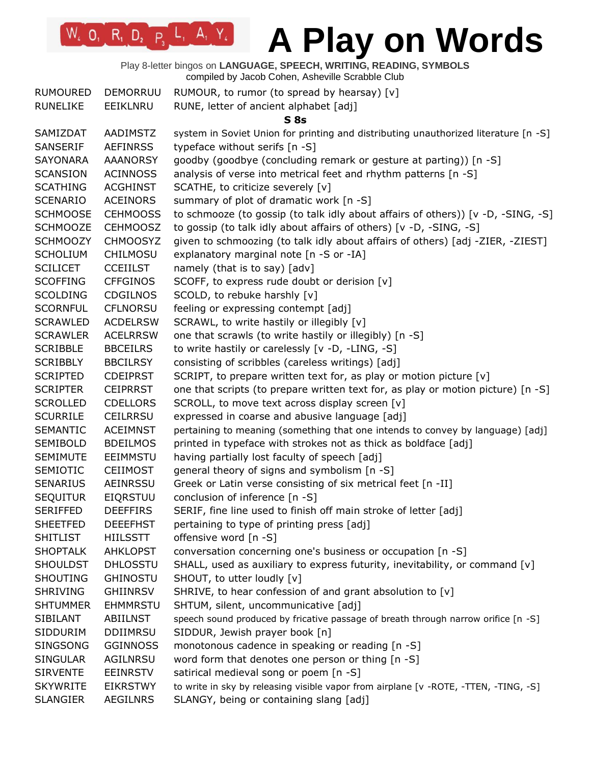Play 8-letter bingos on **LANGUAGE, SPEECH, WRITING, READING, SYMBOLS** compiled by Jacob Cohen, Asheville Scrabble Club

| <b>RUMOURED</b> | <b>DEMORRUU</b> | RUMOUR, to rumor (to spread by hearsay) [v]                                          |
|-----------------|-----------------|--------------------------------------------------------------------------------------|
| <b>RUNELIKE</b> | EEIKLNRU        | RUNE, letter of ancient alphabet [adj]                                               |
|                 |                 | S <sub>8s</sub>                                                                      |
| SAMIZDAT        | AADIMSTZ        | system in Soviet Union for printing and distributing unauthorized literature [n -S]  |
| SANSERIF        | <b>AEFINRSS</b> | typeface without serifs [n -S]                                                       |
| <b>SAYONARA</b> | <b>AAANORSY</b> | goodby (goodbye (concluding remark or gesture at parting)) [n -S]                    |
| <b>SCANSION</b> | <b>ACINNOSS</b> | analysis of verse into metrical feet and rhythm patterns [n -S]                      |
| <b>SCATHING</b> | <b>ACGHINST</b> | SCATHE, to criticize severely [v]                                                    |
| <b>SCENARIO</b> | <b>ACEINORS</b> | summary of plot of dramatic work [n -S]                                              |
| <b>SCHMOOSE</b> | <b>CEHMOOSS</b> | to schmooze (to gossip (to talk idly about affairs of others)) [v -D, -SING, -S]     |
| <b>SCHMOOZE</b> | <b>CEHMOOSZ</b> | to gossip (to talk idly about affairs of others) [v -D, -SING, -S]                   |
| <b>SCHMOOZY</b> | <b>CHMOOSYZ</b> | given to schmoozing (to talk idly about affairs of others) [adj -ZIER, -ZIEST]       |
| <b>SCHOLIUM</b> | <b>CHILMOSU</b> | explanatory marginal note [n -S or -IA]                                              |
| <b>SCILICET</b> | <b>CCEIILST</b> | namely (that is to say) [adv]                                                        |
| <b>SCOFFING</b> | <b>CFFGINOS</b> | SCOFF, to express rude doubt or derision [v]                                         |
| <b>SCOLDING</b> | <b>CDGILNOS</b> | SCOLD, to rebuke harshly [v]                                                         |
| <b>SCORNFUL</b> | <b>CFLNORSU</b> | feeling or expressing contempt [adj]                                                 |
| <b>SCRAWLED</b> | <b>ACDELRSW</b> | SCRAWL, to write hastily or illegibly [v]                                            |
| <b>SCRAWLER</b> | <b>ACELRRSW</b> | one that scrawls (to write hastily or illegibly) [n -S]                              |
| <b>SCRIBBLE</b> | <b>BBCEILRS</b> | to write hastily or carelessly [v -D, -LING, -S]                                     |
| <b>SCRIBBLY</b> | <b>BBCILRSY</b> | consisting of scribbles (careless writings) [adj]                                    |
| <b>SCRIPTED</b> | <b>CDEIPRST</b> | SCRIPT, to prepare written text for, as play or motion picture [v]                   |
| <b>SCRIPTER</b> | <b>CEIPRRST</b> | one that scripts (to prepare written text for, as play or motion picture) [n -S]     |
| <b>SCROLLED</b> | <b>CDELLORS</b> | SCROLL, to move text across display screen [v]                                       |
| <b>SCURRILE</b> | <b>CEILRRSU</b> | expressed in coarse and abusive language [adj]                                       |
| <b>SEMANTIC</b> | <b>ACEIMNST</b> | pertaining to meaning (something that one intends to convey by language) [adj]       |
| <b>SEMIBOLD</b> | <b>BDEILMOS</b> | printed in typeface with strokes not as thick as boldface [adj]                      |
| <b>SEMIMUTE</b> | <b>EEIMMSTU</b> | having partially lost faculty of speech [adj]                                        |
| <b>SEMIOTIC</b> | <b>CEIIMOST</b> | general theory of signs and symbolism [n -S]                                         |
| <b>SENARIUS</b> | AEINRSSU        | Greek or Latin verse consisting of six metrical feet [n -II]                         |
| <b>SEQUITUR</b> | <b>EIQRSTUU</b> | conclusion of inference [n -S]                                                       |
| <b>SERIFFED</b> | <b>DEEFFIRS</b> | SERIF, fine line used to finish off main stroke of letter [adj]                      |
| <b>SHEETFED</b> | <b>DEEEFHST</b> | pertaining to type of printing press [adj]                                           |
| <b>SHITLIST</b> | <b>HIILSSTT</b> | offensive word [n -S]                                                                |
| <b>SHOPTALK</b> | <b>AHKLOPST</b> | conversation concerning one's business or occupation [n -S]                          |
| <b>SHOULDST</b> | <b>DHLOSSTU</b> | SHALL, used as auxiliary to express futurity, inevitability, or command $[v]$        |
| <b>SHOUTING</b> | <b>GHINOSTU</b> | SHOUT, to utter loudly [v]                                                           |
| <b>SHRIVING</b> | <b>GHIINRSV</b> | SHRIVE, to hear confession of and grant absolution to [v]                            |
| <b>SHTUMMER</b> | <b>EHMMRSTU</b> | SHTUM, silent, uncommunicative [adj]                                                 |
| <b>SIBILANT</b> | ABIILNST        | speech sound produced by fricative passage of breath through narrow orifice [n -S]   |
| <b>SIDDURIM</b> | <b>DDIIMRSU</b> | SIDDUR, Jewish prayer book [n]                                                       |
| <b>SINGSONG</b> | <b>GGINNOSS</b> | monotonous cadence in speaking or reading [n -S]                                     |
| <b>SINGULAR</b> | AGILNRSU        | word form that denotes one person or thing [n -S]                                    |
| <b>SIRVENTE</b> | <b>EEINRSTV</b> | satirical medieval song or poem [n -S]                                               |
| <b>SKYWRITE</b> | <b>EIKRSTWY</b> | to write in sky by releasing visible vapor from airplane [v -ROTE, -TTEN, -TING, -S] |
| <b>SLANGIER</b> | AEGILNRS        | SLANGY, being or containing slang [adj]                                              |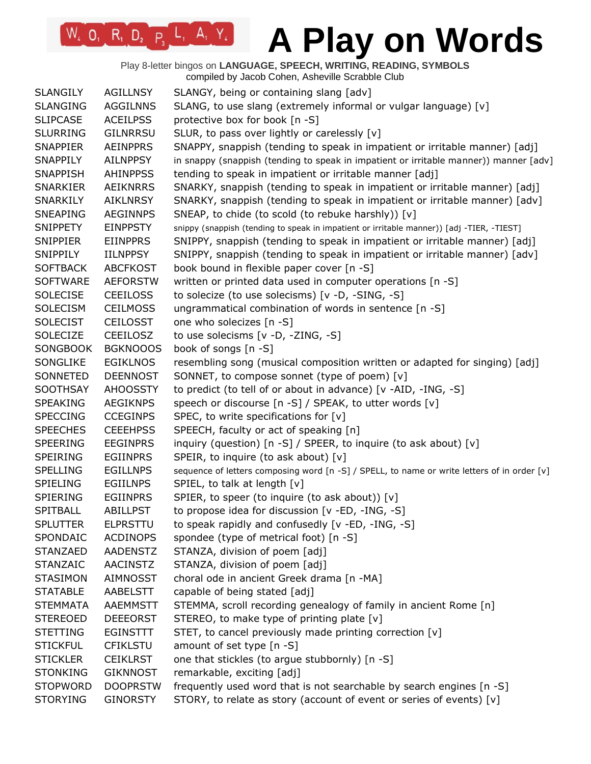Play 8-letter bingos on **LANGUAGE, SPEECH, WRITING, READING, SYMBOLS** compiled by Jacob Cohen, Asheville Scrabble Club

| <b>SLANGILY</b> | <b>AGILLNSY</b> | SLANGY, being or containing slang [adv]                                                     |
|-----------------|-----------------|---------------------------------------------------------------------------------------------|
| <b>SLANGING</b> | <b>AGGILNNS</b> | SLANG, to use slang (extremely informal or vulgar language) [v]                             |
| <b>SLIPCASE</b> | <b>ACEILPSS</b> | protective box for book [n -S]                                                              |
| <b>SLURRING</b> | <b>GILNRRSU</b> | SLUR, to pass over lightly or carelessly [v]                                                |
| <b>SNAPPIER</b> | <b>AEINPPRS</b> | SNAPPY, snappish (tending to speak in impatient or irritable manner) [adj]                  |
| SNAPPILY        | <b>AILNPPSY</b> | in snappy (snappish (tending to speak in impatient or irritable manner)) manner [adv]       |
| <b>SNAPPISH</b> | <b>AHINPPSS</b> | tending to speak in impatient or irritable manner [adj]                                     |
| <b>SNARKIER</b> | <b>AEIKNRRS</b> | SNARKY, snappish (tending to speak in impatient or irritable manner) [adj]                  |
| SNARKILY        | <b>AIKLNRSY</b> | SNARKY, snappish (tending to speak in impatient or irritable manner) [adv]                  |
| <b>SNEAPING</b> | <b>AEGINNPS</b> | SNEAP, to chide (to scold (to rebuke harshly)) [v]                                          |
| <b>SNIPPETY</b> | <b>EINPPSTY</b> | snippy (snappish (tending to speak in impatient or irritable manner)) [adj -TIER, -TIEST]   |
| <b>SNIPPIER</b> | <b>EIINPPRS</b> | SNIPPY, snappish (tending to speak in impatient or irritable manner) [adj]                  |
| SNIPPILY        | <b>IILNPPSY</b> | SNIPPY, snappish (tending to speak in impatient or irritable manner) [adv]                  |
| <b>SOFTBACK</b> | <b>ABCFKOST</b> | book bound in flexible paper cover [n -S]                                                   |
| <b>SOFTWARE</b> | <b>AEFORSTW</b> | written or printed data used in computer operations [n -S]                                  |
| <b>SOLECISE</b> | <b>CEEILOSS</b> | to solecize (to use solecisms) [v -D, -SING, -S]                                            |
| <b>SOLECISM</b> | <b>CEILMOSS</b> | ungrammatical combination of words in sentence [n -S]                                       |
| <b>SOLECIST</b> | <b>CEILOSST</b> | one who solecizes [n -S]                                                                    |
| <b>SOLECIZE</b> | <b>CEEILOSZ</b> | to use solecisms [v -D, -ZING, -S]                                                          |
| <b>SONGBOOK</b> | <b>BGKNOOOS</b> | book of songs [n -S]                                                                        |
| SONGLIKE        | <b>EGIKLNOS</b> | resembling song (musical composition written or adapted for singing) [adj]                  |
| SONNETED        | <b>DEENNOST</b> | SONNET, to compose sonnet (type of poem) [v]                                                |
| <b>SOOTHSAY</b> | <b>AHOOSSTY</b> | to predict (to tell of or about in advance) [v -AID, -ING, -S]                              |
| <b>SPEAKING</b> | <b>AEGIKNPS</b> | speech or discourse [n -S] / SPEAK, to utter words [v]                                      |
| <b>SPECCING</b> | <b>CCEGINPS</b> | SPEC, to write specifications for [v]                                                       |
| <b>SPEECHES</b> | <b>CEEEHPSS</b> | SPEECH, faculty or act of speaking [n]                                                      |
| <b>SPEERING</b> | <b>EEGINPRS</b> | inquiry (question) [n -S] / SPEER, to inquire (to ask about) [v]                            |
| <b>SPEIRING</b> | <b>EGIINPRS</b> | SPEIR, to inquire (to ask about) [v]                                                        |
| <b>SPELLING</b> | <b>EGILLNPS</b> | sequence of letters composing word [n -S] / SPELL, to name or write letters of in order [v] |
| SPIELING        | <b>EGIILNPS</b> | SPIEL, to talk at length [v]                                                                |
| <b>SPIERING</b> | <b>EGIINPRS</b> | SPIER, to speer (to inquire (to ask about)) [v]                                             |
| SPITBALL        | <b>ABILLPST</b> | to propose idea for discussion [v -ED, -ING, -S]                                            |
| <b>SPLUTTER</b> | <b>ELPRSTTU</b> | to speak rapidly and confusedly [v -ED, -ING, -S]                                           |
| SPONDAIC        | <b>ACDINOPS</b> | spondee (type of metrical foot) [n -S]                                                      |
| <b>STANZAED</b> | <b>AADENSTZ</b> | STANZA, division of poem [adj]                                                              |
| <b>STANZAIC</b> | <b>AACINSTZ</b> | STANZA, division of poem [adj]                                                              |
| <b>STASIMON</b> | <b>AIMNOSST</b> | choral ode in ancient Greek drama [n -MA]                                                   |
| <b>STATABLE</b> | AABELSTT        | capable of being stated [adj]                                                               |
| <b>STEMMATA</b> | <b>AAEMMSTT</b> | STEMMA, scroll recording genealogy of family in ancient Rome [n]                            |
| <b>STEREOED</b> | <b>DEEEORST</b> | STEREO, to make type of printing plate [v]                                                  |
| <b>STETTING</b> | EGINSTTT        | STET, to cancel previously made printing correction [v]                                     |
| <b>STICKFUL</b> | <b>CFIKLSTU</b> | amount of set type [n -S]                                                                   |
| <b>STICKLER</b> | <b>CEIKLRST</b> | one that stickles (to argue stubbornly) [n -S]                                              |
| <b>STONKING</b> | <b>GIKNNOST</b> | remarkable, exciting [adj]                                                                  |
| <b>STOPWORD</b> | <b>DOOPRSTW</b> | frequently used word that is not searchable by search engines [n -S]                        |
| <b>STORYING</b> | <b>GINORSTY</b> | STORY, to relate as story (account of event or series of events) [v]                        |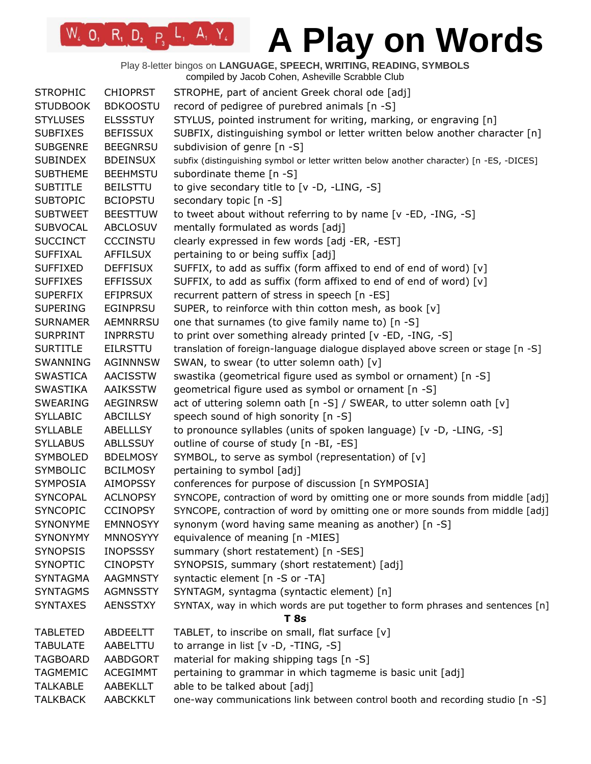Play 8-letter bingos on **LANGUAGE, SPEECH, WRITING, READING, SYMBOLS** compiled by Jacob Cohen, Asheville Scrabble Club

| <b>STROPHIC</b> | <b>CHIOPRST</b> | STROPHE, part of ancient Greek choral ode [adj]                                          |
|-----------------|-----------------|------------------------------------------------------------------------------------------|
| <b>STUDBOOK</b> | <b>BDKOOSTU</b> | record of pedigree of purebred animals [n -S]                                            |
| <b>STYLUSES</b> | <b>ELSSSTUY</b> | STYLUS, pointed instrument for writing, marking, or engraving [n]                        |
| <b>SUBFIXES</b> | <b>BEFISSUX</b> | SUBFIX, distinguishing symbol or letter written below another character [n]              |
| <b>SUBGENRE</b> | <b>BEEGNRSU</b> | subdivision of genre [n -S]                                                              |
| <b>SUBINDEX</b> | <b>BDEINSUX</b> | subfix (distinguishing symbol or letter written below another character) [n -ES, -DICES] |
| <b>SUBTHEME</b> | <b>BEEHMSTU</b> | subordinate theme [n -S]                                                                 |
| <b>SUBTITLE</b> | <b>BEILSTTU</b> | to give secondary title to [v -D, -LING, -S]                                             |
| <b>SUBTOPIC</b> | <b>BCIOPSTU</b> | secondary topic [n -S]                                                                   |
| <b>SUBTWEET</b> | <b>BEESTTUW</b> | to tweet about without referring to by name [v -ED, -ING, -S]                            |
| <b>SUBVOCAL</b> | <b>ABCLOSUV</b> | mentally formulated as words [adj]                                                       |
| <b>SUCCINCT</b> | <b>CCCINSTU</b> | clearly expressed in few words [adj -ER, -EST]                                           |
| <b>SUFFIXAL</b> | <b>AFFILSUX</b> | pertaining to or being suffix [adj]                                                      |
| <b>SUFFIXED</b> | <b>DEFFISUX</b> | SUFFIX, to add as suffix (form affixed to end of end of word) [v]                        |
| <b>SUFFIXES</b> | <b>EFFISSUX</b> | SUFFIX, to add as suffix (form affixed to end of end of word) [v]                        |
| <b>SUPERFIX</b> | <b>EFIPRSUX</b> | recurrent pattern of stress in speech [n -ES]                                            |
| <b>SUPERING</b> | <b>EGINPRSU</b> | SUPER, to reinforce with thin cotton mesh, as book [v]                                   |
| <b>SURNAMER</b> | <b>AEMNRRSU</b> | one that surnames (to give family name to) [n -S]                                        |
| <b>SURPRINT</b> | <b>INPRRSTU</b> | to print over something already printed [v -ED, -ING, -S]                                |
| <b>SURTITLE</b> | <b>EILRSTTU</b> | translation of foreign-language dialogue displayed above screen or stage [n -S]          |
| SWANNING        | AGINNNSW        | SWAN, to swear (to utter solemn oath) [v]                                                |
| <b>SWASTICA</b> | <b>AACISSTW</b> | swastika (geometrical figure used as symbol or ornament) [n -S]                          |
| <b>SWASTIKA</b> | <b>AAIKSSTW</b> | geometrical figure used as symbol or ornament [n -S]                                     |
| <b>SWEARING</b> | <b>AEGINRSW</b> | act of uttering solemn oath [n -S] / SWEAR, to utter solemn oath [v]                     |
| <b>SYLLABIC</b> | <b>ABCILLSY</b> | speech sound of high sonority [n -S]                                                     |
| <b>SYLLABLE</b> | <b>ABELLLSY</b> | to pronounce syllables (units of spoken language) [v -D, -LING, -S]                      |
| <b>SYLLABUS</b> | <b>ABLLSSUY</b> | outline of course of study [n -BI, -ES]                                                  |
| <b>SYMBOLED</b> | <b>BDELMOSY</b> | SYMBOL, to serve as symbol (representation) of [v]                                       |
| <b>SYMBOLIC</b> | <b>BCILMOSY</b> | pertaining to symbol [adj]                                                               |
| <b>SYMPOSIA</b> | <b>AIMOPSSY</b> | conferences for purpose of discussion [n SYMPOSIA]                                       |
| <b>SYNCOPAL</b> | <b>ACLNOPSY</b> | SYNCOPE, contraction of word by omitting one or more sounds from middle [adj]            |
| <b>SYNCOPIC</b> | <b>CCINOPSY</b> | SYNCOPE, contraction of word by omitting one or more sounds from middle [adj]            |
| SYNONYME        | <b>EMNNOSYY</b> | synonym (word having same meaning as another) [n -S]                                     |
| <b>SYNONYMY</b> | <b>MNNOSYYY</b> | equivalence of meaning [n -MIES]                                                         |
| <b>SYNOPSIS</b> | <b>INOPSSSY</b> | summary (short restatement) [n -SES]                                                     |
| <b>SYNOPTIC</b> | <b>CINOPSTY</b> | SYNOPSIS, summary (short restatement) [adj]                                              |
| <b>SYNTAGMA</b> | <b>AAGMNSTY</b> | syntactic element [n -S or -TA]                                                          |
| <b>SYNTAGMS</b> | <b>AGMNSSTY</b> | SYNTAGM, syntagma (syntactic element) [n]                                                |
| <b>SYNTAXES</b> | <b>AENSSTXY</b> | SYNTAX, way in which words are put together to form phrases and sentences [n]            |
|                 |                 | <b>T</b> 8s                                                                              |
| <b>TABLETED</b> | ABDEELTT        | TABLET, to inscribe on small, flat surface [v]                                           |
| <b>TABULATE</b> | AABELTTU        | to arrange in list [v -D, -TING, -S]                                                     |
| <b>TAGBOARD</b> | AABDGORT        | material for making shipping tags [n -S]                                                 |
| <b>TAGMEMIC</b> | <b>ACEGIMMT</b> | pertaining to grammar in which tagmeme is basic unit [adj]                               |
| <b>TALKABLE</b> | <b>AABEKLLT</b> | able to be talked about [adj]                                                            |
| <b>TALKBACK</b> | <b>AABCKKLT</b> | one-way communications link between control booth and recording studio [n -S]            |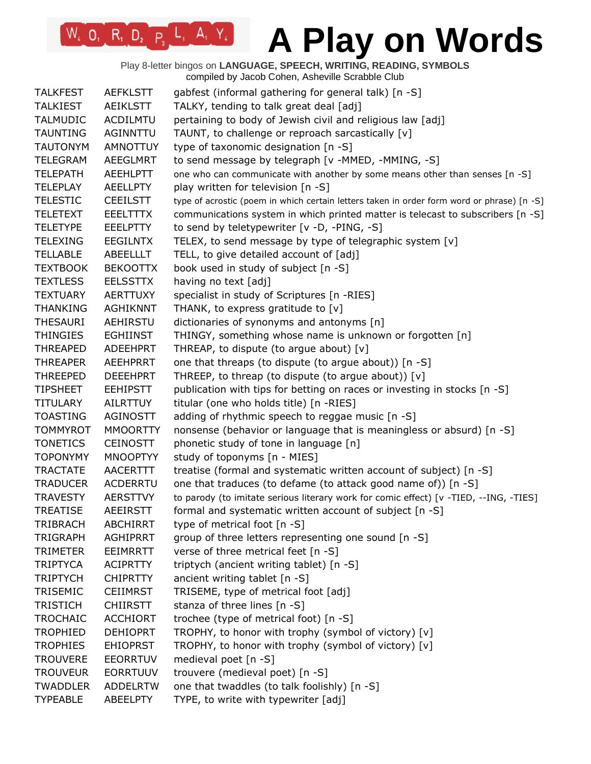Play 8-letter bingos on **LANGUAGE, SPEECH, WRITING, READING, SYMBOLS** compiled by Jacob Cohen, Asheville Scrabble Club

| <b>TALKFEST</b> | <b>AEFKLSTT</b> | gabfest (informal gathering for general talk) [n -S]                                       |
|-----------------|-----------------|--------------------------------------------------------------------------------------------|
| <b>TALKIEST</b> | AEIKLSTT        | TALKY, tending to talk great deal [adj]                                                    |
| <b>TALMUDIC</b> | <b>ACDILMTU</b> | pertaining to body of Jewish civil and religious law [adj]                                 |
| <b>TAUNTING</b> | AGINNTTU        | TAUNT, to challenge or reproach sarcastically [v]                                          |
| <b>TAUTONYM</b> | <b>AMNOTTUY</b> | type of taxonomic designation [n -S]                                                       |
| <b>TELEGRAM</b> | <b>AEEGLMRT</b> | to send message by telegraph [v -MMED, -MMING, -S]                                         |
| <b>TELEPATH</b> | AEEHLPTT        | one who can communicate with another by some means other than senses [n -S]                |
| <b>TELEPLAY</b> | <b>AEELLPTY</b> | play written for television [n -S]                                                         |
| <b>TELESTIC</b> | <b>CEEILSTT</b> | type of acrostic (poem in which certain letters taken in order form word or phrase) [n -S] |
| <b>TELETEXT</b> | <b>EEELTTTX</b> | communications system in which printed matter is telecast to subscribers [n -S]            |
| <b>TELETYPE</b> | <b>EEELPTTY</b> | to send by teletypewriter [v -D, -PING, -S]                                                |
| <b>TELEXING</b> | <b>EEGILNTX</b> | TELEX, to send message by type of telegraphic system [v]                                   |
| <b>TELLABLE</b> | ABEELLLT        | TELL, to give detailed account of [adj]                                                    |
| <b>TEXTBOOK</b> | <b>BEKOOTTX</b> | book used in study of subject [n -S]                                                       |
| <b>TEXTLESS</b> | <b>EELSSTTX</b> | having no text [adj]                                                                       |
| <b>TEXTUARY</b> | <b>AERTTUXY</b> | specialist in study of Scriptures [n -RIES]                                                |
| <b>THANKING</b> | <b>AGHIKNNT</b> | THANK, to express gratitude to [v]                                                         |
| <b>THESAURI</b> | AEHIRSTU        | dictionaries of synonyms and antonyms [n]                                                  |
| <b>THINGIES</b> | <b>EGHIINST</b> | THINGY, something whose name is unknown or forgotten [n]                                   |
| <b>THREAPED</b> | ADEEHPRT        | THREAP, to dispute (to argue about) [v]                                                    |
| <b>THREAPER</b> | <b>AEEHPRRT</b> | one that threaps (to dispute (to argue about)) [n -S]                                      |
| <b>THREEPED</b> | <b>DEEEHPRT</b> | THREEP, to threap (to dispute (to argue about)) [v]                                        |
| <b>TIPSHEET</b> | <b>EEHIPSTT</b> | publication with tips for betting on races or investing in stocks [n -S]                   |
| <b>TITULARY</b> | <b>AILRTTUY</b> | titular (one who holds title) [n -RIES]                                                    |
| <b>TOASTING</b> | AGINOSTT        | adding of rhythmic speech to reggae music [n -S]                                           |
| <b>TOMMYROT</b> | <b>MMOORTTY</b> | nonsense (behavior or language that is meaningless or absurd) [n -S]                       |
| <b>TONETICS</b> | <b>CEINOSTT</b> | phonetic study of tone in language [n]                                                     |
| <b>TOPONYMY</b> | <b>MNOOPTYY</b> | study of toponyms [n - MIES]                                                               |
| <b>TRACTATE</b> | AACERTTT        | treatise (formal and systematic written account of subject) [n -S]                         |
| <b>TRADUCER</b> | ACDERRTU        | one that traduces (to defame (to attack good name of)) [n -S]                              |
| <b>TRAVESTY</b> | <b>AERSTTVY</b> | to parody (to imitate serious literary work for comic effect) [v -TIED, --ING, -TIES]      |
| <b>TREATISE</b> | <b>AEEIRSTT</b> | formal and systematic written account of subject [n -S]                                    |
| <b>TRIBRACH</b> | <b>ABCHIRRT</b> | type of metrical foot [n -S]                                                               |
| <b>TRIGRAPH</b> | <b>AGHIPRRT</b> | group of three letters representing one sound [n -S]                                       |
| <b>TRIMETER</b> | <b>EEIMRRTT</b> | verse of three metrical feet [n -S]                                                        |
| <b>TRIPTYCA</b> | <b>ACIPRTTY</b> | triptych (ancient writing tablet) [n -S]                                                   |
| <b>TRIPTYCH</b> | <b>CHIPRTTY</b> | ancient writing tablet [n -S]                                                              |
| TRISEMIC        | <b>CEIIMRST</b> | TRISEME, type of metrical foot [adj]                                                       |
| <b>TRISTICH</b> | <b>CHIIRSTT</b> | stanza of three lines [n -S]                                                               |
| <b>TROCHAIC</b> | <b>ACCHIORT</b> | trochee (type of metrical foot) [n -S]                                                     |
| <b>TROPHIED</b> | <b>DEHIOPRT</b> | TROPHY, to honor with trophy (symbol of victory) [v]                                       |
| <b>TROPHIES</b> | <b>EHIOPRST</b> | TROPHY, to honor with trophy (symbol of victory) [v]                                       |
| <b>TROUVERE</b> | <b>EEORRTUV</b> | medieval poet [n -S]                                                                       |
| <b>TROUVEUR</b> | <b>EORRTUUV</b> | trouvere (medieval poet) [n -S]                                                            |
| <b>TWADDLER</b> | <b>ADDELRTW</b> | one that twaddles (to talk foolishly) [n -S]                                               |
| <b>TYPEABLE</b> | ABEELPTY        | TYPE, to write with typewriter [adj]                                                       |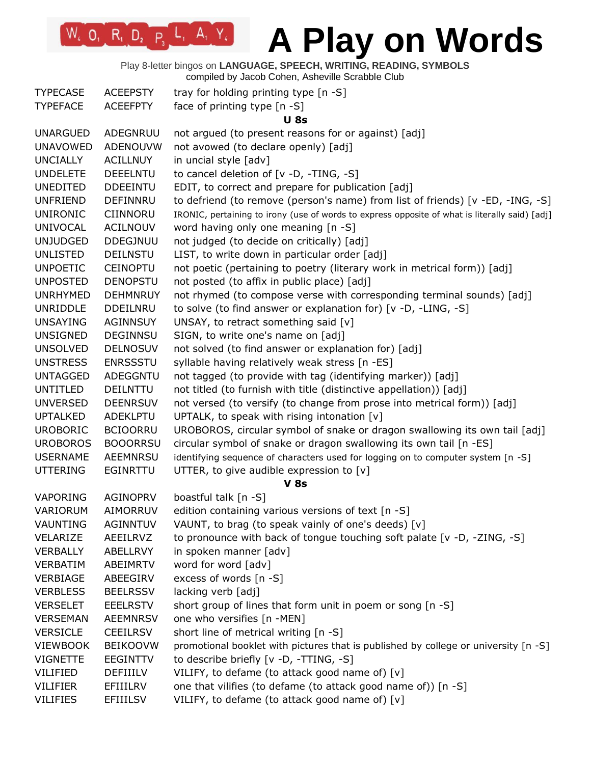Play 8-letter bingos on **LANGUAGE, SPEECH, WRITING, READING, SYMBOLS** compiled by Jacob Cohen, Asheville Scrabble Club

| complied by Jacob Corien, Astieville Octabble Cit |  |  |  |
|---------------------------------------------------|--|--|--|
|                                                   |  |  |  |

| <b>TYPECASE</b> | <b>ACEEPSTY</b> | tray for holding printing type [n -S]                                                          |  |  |
|-----------------|-----------------|------------------------------------------------------------------------------------------------|--|--|
| <b>TYPEFACE</b> | <b>ACEEFPTY</b> | face of printing type [n -S]                                                                   |  |  |
|                 |                 | <b>U</b> 8s                                                                                    |  |  |
| <b>UNARGUED</b> | ADEGNRUU        | not argued (to present reasons for or against) [adj]                                           |  |  |
| <b>UNAVOWED</b> | ADENOUVW        | not avowed (to declare openly) [adj]                                                           |  |  |
| <b>UNCIALLY</b> | <b>ACILLNUY</b> | in uncial style [adv]                                                                          |  |  |
| <b>UNDELETE</b> | <b>DEEELNTU</b> | to cancel deletion of [v -D, -TING, -S]                                                        |  |  |
| <b>UNEDITED</b> | <b>DDEEINTU</b> | EDIT, to correct and prepare for publication [adj]                                             |  |  |
| <b>UNFRIEND</b> | DEFINNRU        | to defriend (to remove (person's name) from list of friends) [v -ED, -ING, -S]                 |  |  |
| <b>UNIRONIC</b> | CIINNORU        | IRONIC, pertaining to irony (use of words to express opposite of what is literally said) [adj] |  |  |
| <b>UNIVOCAL</b> | <b>ACILNOUV</b> | word having only one meaning [n -S]                                                            |  |  |
| <b>UNJUDGED</b> | DDEGJNUU        | not judged (to decide on critically) [adj]                                                     |  |  |
|                 |                 |                                                                                                |  |  |
| <b>UNLISTED</b> | <b>DEILNSTU</b> | LIST, to write down in particular order [adj]                                                  |  |  |
| <b>UNPOETIC</b> | <b>CEINOPTU</b> | not poetic (pertaining to poetry (literary work in metrical form)) [adj]                       |  |  |
| <b>UNPOSTED</b> | <b>DENOPSTU</b> | not posted (to affix in public place) [adj]                                                    |  |  |
| <b>UNRHYMED</b> | <b>DEHMNRUY</b> | not rhymed (to compose verse with corresponding terminal sounds) [adj]                         |  |  |
| <b>UNRIDDLE</b> | <b>DDEILNRU</b> | to solve (to find answer or explanation for) [v -D, -LING, -S]                                 |  |  |
| <b>UNSAYING</b> | AGINNSUY        | UNSAY, to retract something said [v]                                                           |  |  |
| <b>UNSIGNED</b> | <b>DEGINNSU</b> | SIGN, to write one's name on [adj]                                                             |  |  |
| <b>UNSOLVED</b> | <b>DELNOSUV</b> | not solved (to find answer or explanation for) [adj]                                           |  |  |
| <b>UNSTRESS</b> | <b>ENRSSSTU</b> | syllable having relatively weak stress [n -ES]                                                 |  |  |
| <b>UNTAGGED</b> | ADEGGNTU        | not tagged (to provide with tag (identifying marker)) [adj]                                    |  |  |
| <b>UNTITLED</b> | DEILNTTU        | not titled (to furnish with title (distinctive appellation)) [adj]                             |  |  |
| <b>UNVERSED</b> | <b>DEENRSUV</b> | not versed (to versify (to change from prose into metrical form)) [adj]                        |  |  |
| <b>UPTALKED</b> | ADEKLPTU        | UPTALK, to speak with rising intonation [v]                                                    |  |  |
| <b>UROBORIC</b> | <b>BCIOORRU</b> | UROBOROS, circular symbol of snake or dragon swallowing its own tail [adj]                     |  |  |
| <b>UROBOROS</b> | <b>BOOORRSU</b> | circular symbol of snake or dragon swallowing its own tail [n -ES]                             |  |  |
| <b>USERNAME</b> | <b>AEEMNRSU</b> | identifying sequence of characters used for logging on to computer system [n -S]               |  |  |
| <b>UTTERING</b> | EGINRTTU        | UTTER, to give audible expression to [v]                                                       |  |  |
| <b>V 8s</b>     |                 |                                                                                                |  |  |
| VAPORING        | <b>AGINOPRV</b> | boastful talk [n -S]                                                                           |  |  |
| VARIORUM        | AIMORRUV        | edition containing various versions of text [n -S]                                             |  |  |
| VAUNTING        | <b>AGINNTUV</b> | VAUNT, to brag (to speak vainly of one's deeds) [v]                                            |  |  |
| VELARIZE        | AEEILRVZ        | to pronounce with back of tongue touching soft palate [v -D, -ZING, -S]                        |  |  |
| <b>VERBALLY</b> | ABELLRVY        | in spoken manner [adv]                                                                         |  |  |
| VERBATIM        | ABEIMRTV        | word for word [adv]                                                                            |  |  |
| VERBIAGE        | ABEEGIRV        | excess of words [n -S]                                                                         |  |  |
| <b>VERBLESS</b> | <b>BEELRSSV</b> | lacking verb [adj]                                                                             |  |  |
| <b>VERSELET</b> | <b>EEELRSTV</b> | short group of lines that form unit in poem or song [n -S]                                     |  |  |
| <b>VERSEMAN</b> | <b>AEEMNRSV</b> | one who versifies [n -MEN]                                                                     |  |  |
| <b>VERSICLE</b> | <b>CEEILRSV</b> | short line of metrical writing [n -S]                                                          |  |  |
| VIEWBOOK        | <b>BEIKOOVW</b> | promotional booklet with pictures that is published by college or university [n -S]            |  |  |
| <b>VIGNETTE</b> | <b>EEGINTTV</b> | to describe briefly [v -D, -TTING, -S]                                                         |  |  |
| VILIFIED        | DEFIIILV        | VILIFY, to defame (to attack good name of) [v]                                                 |  |  |
| <b>VILIFIER</b> | EFIIILRV        | one that vilifies (to defame (to attack good name of)) [n -S]                                  |  |  |
| <b>VILIFIES</b> | <b>EFIIILSV</b> | VILIFY, to defame (to attack good name of) [v]                                                 |  |  |